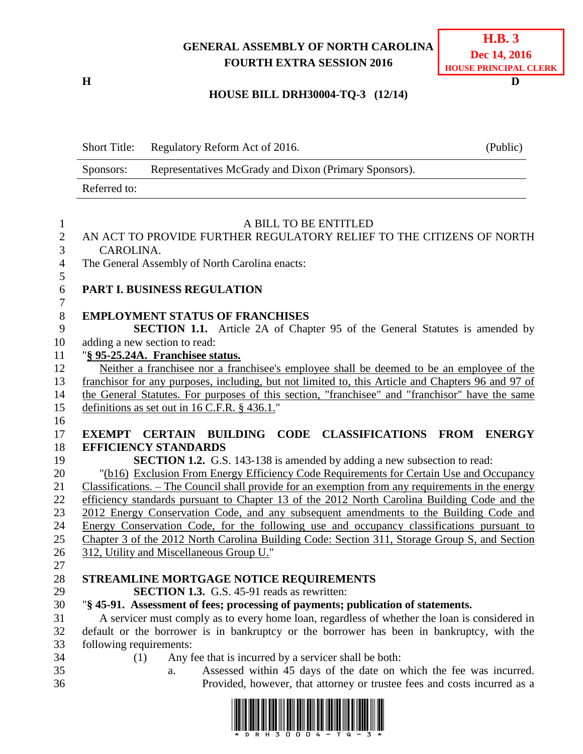# **GENERAL ASSEMBLY OF NORTH CAROLINA FOURTH EXTRA SESSION 2016**

# **HOUSE BILL DRH30004-TQ-3 (12/14)**

|                     | <b>Short Title:</b>     | Regulatory Reform Act of 2016.                                                                                                                       | (Public) |
|---------------------|-------------------------|------------------------------------------------------------------------------------------------------------------------------------------------------|----------|
|                     | Sponsors:               | Representatives McGrady and Dixon (Primary Sponsors).                                                                                                |          |
|                     | Referred to:            |                                                                                                                                                      |          |
| 1                   |                         | A BILL TO BE ENTITLED                                                                                                                                |          |
| $\overline{c}$<br>3 | CAROLINA.               | AN ACT TO PROVIDE FURTHER REGULATORY RELIEF TO THE CITIZENS OF NORTH                                                                                 |          |
| $\overline{4}$<br>5 |                         | The General Assembly of North Carolina enacts:                                                                                                       |          |
| 6<br>7              |                         | PART I. BUSINESS REGULATION                                                                                                                          |          |
| $8\,$<br>9          |                         | <b>EMPLOYMENT STATUS OF FRANCHISES</b><br><b>SECTION 1.1.</b> Article 2A of Chapter 95 of the General Statutes is amended by                         |          |
| 10<br>11            |                         | adding a new section to read:<br>"§ 95-25.24A. Franchisee status.                                                                                    |          |
| 12                  |                         | Neither a franchisee nor a franchisee's employee shall be deemed to be an employee of the                                                            |          |
| 13                  |                         | franchisor for any purposes, including, but not limited to, this Article and Chapters 96 and 97 of                                                   |          |
| 14                  |                         | the General Statutes. For purposes of this section, "franchisee" and "franchisor" have the same                                                      |          |
| 15                  |                         | definitions as set out in 16 C.F.R. § 436.1."                                                                                                        |          |
| 16                  |                         |                                                                                                                                                      |          |
| 17                  |                         | CODE CLASSIFICATIONS FROM ENERGY<br><b>EXEMPT CERTAIN BUILDING</b>                                                                                   |          |
| 18<br>19            |                         | <b>EFFICIENCY STANDARDS</b><br><b>SECTION 1.2.</b> G.S. 143-138 is amended by adding a new subsection to read:                                       |          |
| 20                  |                         | "(b16) Exclusion From Energy Efficiency Code Requirements for Certain Use and Occupancy                                                              |          |
| 21                  |                         | Classifications. - The Council shall provide for an exemption from any requirements in the energy                                                    |          |
| 22                  |                         | efficiency standards pursuant to Chapter 13 of the 2012 North Carolina Building Code and the                                                         |          |
| 23                  |                         | 2012 Energy Conservation Code, and any subsequent amendments to the Building Code and                                                                |          |
| 24                  |                         | Energy Conservation Code, for the following use and occupancy classifications pursuant to                                                            |          |
| 25                  |                         | Chapter 3 of the 2012 North Carolina Building Code: Section 311, Storage Group S, and Section                                                        |          |
| 26                  |                         | 312, Utility and Miscellaneous Group U."                                                                                                             |          |
| 27                  |                         |                                                                                                                                                      |          |
| 28                  |                         | STREAMLINE MORTGAGE NOTICE REQUIREMENTS                                                                                                              |          |
| 29                  |                         | SECTION 1.3. G.S. 45-91 reads as rewritten:                                                                                                          |          |
| 30                  |                         | "§ 45-91. Assessment of fees; processing of payments; publication of statements.                                                                     |          |
| 31                  |                         | A servicer must comply as to every home loan, regardless of whether the loan is considered in                                                        |          |
| 32                  |                         | default or the borrower is in bankruptcy or the borrower has been in bankruptcy, with the                                                            |          |
| 33                  | following requirements: |                                                                                                                                                      |          |
| 34                  | (1)                     | Any fee that is incurred by a servicer shall be both:                                                                                                |          |
| 35<br>36            |                         | Assessed within 45 days of the date on which the fee was incurred.<br>a.<br>Provided, however, that attorney or trustee fees and costs incurred as a |          |



**H D**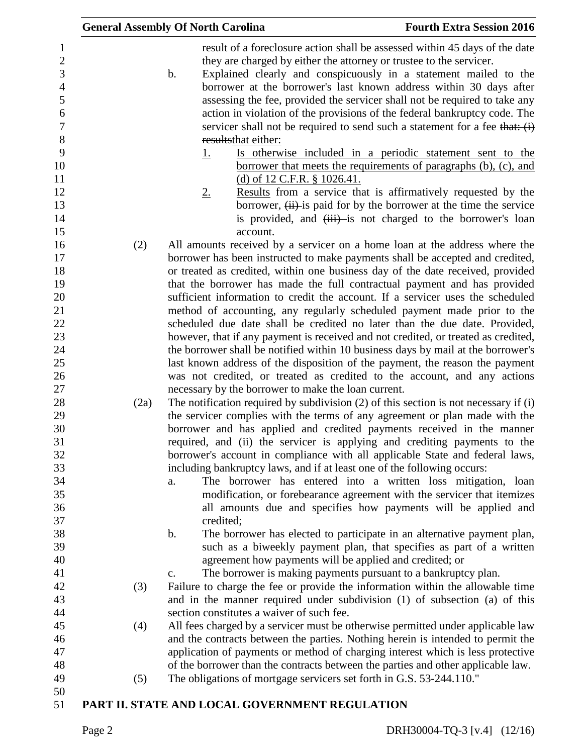|      | <b>General Assembly Of North Carolina</b>                                                                                                                                                                                                                                                                                                                                                                                                                                                                                                       | <b>Fourth Extra Session 2016</b>                                                                                                                                                                                                                                                                                                                                                                                                                                                                                                                                                                                                                                                                                                                                                                               |
|------|-------------------------------------------------------------------------------------------------------------------------------------------------------------------------------------------------------------------------------------------------------------------------------------------------------------------------------------------------------------------------------------------------------------------------------------------------------------------------------------------------------------------------------------------------|----------------------------------------------------------------------------------------------------------------------------------------------------------------------------------------------------------------------------------------------------------------------------------------------------------------------------------------------------------------------------------------------------------------------------------------------------------------------------------------------------------------------------------------------------------------------------------------------------------------------------------------------------------------------------------------------------------------------------------------------------------------------------------------------------------------|
|      | they are charged by either the attorney or trustee to the servicer.<br>$\mathbf b$ .<br>results that either:<br><u>1.</u><br>(d) of 12 C.F.R. $\S$ 1026.41.<br>2.                                                                                                                                                                                                                                                                                                                                                                               | result of a foreclosure action shall be assessed within 45 days of the date<br>Explained clearly and conspicuously in a statement mailed to the<br>borrower at the borrower's last known address within 30 days after<br>assessing the fee, provided the servicer shall not be required to take any<br>action in violation of the provisions of the federal bankruptcy code. The<br>servicer shall not be required to send such a statement for a fee that: $(i)$<br>Is otherwise included in a periodic statement sent to the<br>borrower that meets the requirements of paragraphs (b), (c), and<br>Results from a service that is affirmatively requested by the<br>borrower, $(ii)$ is paid for by the borrower at the time the service<br>is provided, and $(iii)$ -is not charged to the borrower's loan |
|      | account.                                                                                                                                                                                                                                                                                                                                                                                                                                                                                                                                        |                                                                                                                                                                                                                                                                                                                                                                                                                                                                                                                                                                                                                                                                                                                                                                                                                |
| (2)  | All amounts received by a servicer on a home loan at the address where the<br>borrower has been instructed to make payments shall be accepted and credited,<br>or treated as credited, within one business day of the date received, provided                                                                                                                                                                                                                                                                                                   |                                                                                                                                                                                                                                                                                                                                                                                                                                                                                                                                                                                                                                                                                                                                                                                                                |
|      | that the borrower has made the full contractual payment and has provided<br>sufficient information to credit the account. If a servicer uses the scheduled<br>method of accounting, any regularly scheduled payment made prior to the                                                                                                                                                                                                                                                                                                           |                                                                                                                                                                                                                                                                                                                                                                                                                                                                                                                                                                                                                                                                                                                                                                                                                |
|      | scheduled due date shall be credited no later than the due date. Provided,<br>however, that if any payment is received and not credited, or treated as credited,                                                                                                                                                                                                                                                                                                                                                                                |                                                                                                                                                                                                                                                                                                                                                                                                                                                                                                                                                                                                                                                                                                                                                                                                                |
|      | the borrower shall be notified within 10 business days by mail at the borrower's<br>last known address of the disposition of the payment, the reason the payment<br>was not credited, or treated as credited to the account, and any actions                                                                                                                                                                                                                                                                                                    |                                                                                                                                                                                                                                                                                                                                                                                                                                                                                                                                                                                                                                                                                                                                                                                                                |
| (2a) | necessary by the borrower to make the loan current.<br>The notification required by subdivision $(2)$ of this section is not necessary if $(i)$<br>the servicer complies with the terms of any agreement or plan made with the<br>borrower and has applied and credited payments received in the manner<br>required, and (ii) the servicer is applying and crediting payments to the<br>borrower's account in compliance with all applicable State and federal laws,<br>including bankruptcy laws, and if at least one of the following occurs: |                                                                                                                                                                                                                                                                                                                                                                                                                                                                                                                                                                                                                                                                                                                                                                                                                |
|      | a.<br>credited;                                                                                                                                                                                                                                                                                                                                                                                                                                                                                                                                 | The borrower has entered into a written loss mitigation, loan<br>modification, or forebearance agreement with the servicer that itemizes<br>all amounts due and specifies how payments will be applied and                                                                                                                                                                                                                                                                                                                                                                                                                                                                                                                                                                                                     |
|      | $\mathbf b$ .                                                                                                                                                                                                                                                                                                                                                                                                                                                                                                                                   | The borrower has elected to participate in an alternative payment plan,<br>such as a biweekly payment plan, that specifies as part of a written                                                                                                                                                                                                                                                                                                                                                                                                                                                                                                                                                                                                                                                                |
|      | agreement how payments will be applied and credited; or<br>The borrower is making payments pursuant to a bankruptcy plan.                                                                                                                                                                                                                                                                                                                                                                                                                       |                                                                                                                                                                                                                                                                                                                                                                                                                                                                                                                                                                                                                                                                                                                                                                                                                |
| (3)  | c.<br>Failure to charge the fee or provide the information within the allowable time                                                                                                                                                                                                                                                                                                                                                                                                                                                            |                                                                                                                                                                                                                                                                                                                                                                                                                                                                                                                                                                                                                                                                                                                                                                                                                |
|      | and in the manner required under subdivision (1) of subsection (a) of this<br>section constitutes a waiver of such fee.                                                                                                                                                                                                                                                                                                                                                                                                                         |                                                                                                                                                                                                                                                                                                                                                                                                                                                                                                                                                                                                                                                                                                                                                                                                                |
| (4)  | All fees charged by a servicer must be otherwise permitted under applicable law<br>and the contracts between the parties. Nothing herein is intended to permit the<br>application of payments or method of charging interest which is less protective<br>of the borrower than the contracts between the parties and other applicable law.                                                                                                                                                                                                       |                                                                                                                                                                                                                                                                                                                                                                                                                                                                                                                                                                                                                                                                                                                                                                                                                |
| (5)  | The obligations of mortgage servicers set forth in G.S. 53-244.110."                                                                                                                                                                                                                                                                                                                                                                                                                                                                            |                                                                                                                                                                                                                                                                                                                                                                                                                                                                                                                                                                                                                                                                                                                                                                                                                |
|      | PART II. STATE AND LOCAL GOVERNMENT REGULATION                                                                                                                                                                                                                                                                                                                                                                                                                                                                                                  |                                                                                                                                                                                                                                                                                                                                                                                                                                                                                                                                                                                                                                                                                                                                                                                                                |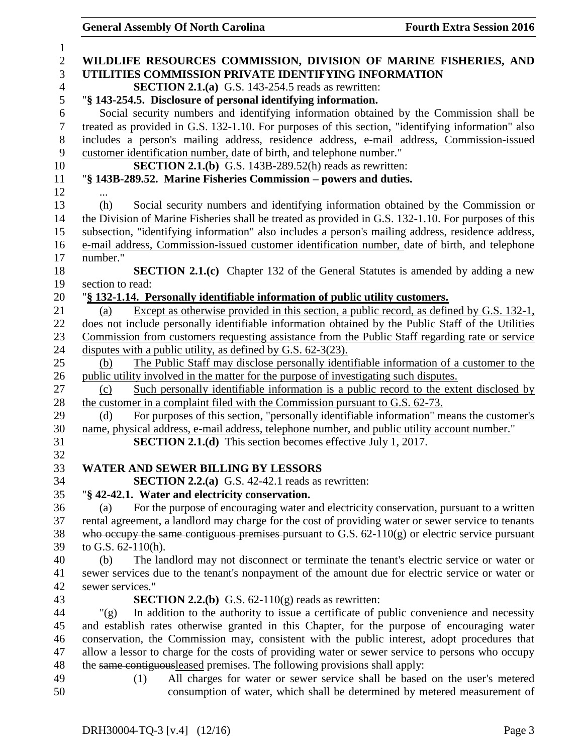|                    | $\alpha$ and $\alpha$ and $\alpha$ and $\alpha$ and $\alpha$ and $\alpha$ and $\alpha$        |                                                                                                      |
|--------------------|-----------------------------------------------------------------------------------------------|------------------------------------------------------------------------------------------------------|
|                    |                                                                                               |                                                                                                      |
|                    |                                                                                               | WILDLIFE RESOURCES COMMISSION, DIVISION OF MARINE FISHERIES, AND                                     |
|                    | UTILITIES COMMISSION PRIVATE IDENTIFYING INFORMATION                                          |                                                                                                      |
|                    | <b>SECTION 2.1.(a)</b> G.S. 143-254.5 reads as rewritten:                                     |                                                                                                      |
|                    | "§ 143-254.5. Disclosure of personal identifying information.                                 |                                                                                                      |
|                    |                                                                                               | Social security numbers and identifying information obtained by the Commission shall be              |
|                    |                                                                                               | treated as provided in G.S. 132-1.10. For purposes of this section, "identifying information" also   |
|                    |                                                                                               | includes a person's mailing address, residence address, e-mail address, Commission-issued            |
|                    | customer identification number, date of birth, and telephone number."                         |                                                                                                      |
|                    | <b>SECTION 2.1.(b)</b> G.S. 143B-289.52(h) reads as rewritten:                                |                                                                                                      |
|                    | "§ 143B-289.52. Marine Fisheries Commission – powers and duties.                              |                                                                                                      |
|                    |                                                                                               |                                                                                                      |
| (h)                |                                                                                               | Social security numbers and identifying information obtained by the Commission or                    |
|                    |                                                                                               | the Division of Marine Fisheries shall be treated as provided in G.S. 132-1.10. For purposes of this |
|                    |                                                                                               | subsection, "identifying information" also includes a person's mailing address, residence address,   |
|                    |                                                                                               | e-mail address, Commission-issued customer identification number, date of birth, and telephone       |
| number."           |                                                                                               |                                                                                                      |
|                    |                                                                                               | <b>SECTION 2.1.(c)</b> Chapter 132 of the General Statutes is amended by adding a new                |
| section to read:   |                                                                                               |                                                                                                      |
|                    | "§ 132-1.14. Personally identifiable information of public utility customers.                 |                                                                                                      |
| (a)                |                                                                                               | Except as otherwise provided in this section, a public record, as defined by G.S. 132-1,             |
|                    |                                                                                               | does not include personally identifiable information obtained by the Public Staff of the Utilities   |
|                    |                                                                                               | Commission from customers requesting assistance from the Public Staff regarding rate or service      |
|                    | disputes with a public utility, as defined by G.S. 62-3(23).                                  |                                                                                                      |
| (b)                |                                                                                               | The Public Staff may disclose personally identifiable information of a customer to the               |
|                    | public utility involved in the matter for the purpose of investigating such disputes.         |                                                                                                      |
| (c)                |                                                                                               | Such personally identifiable information is a public record to the extent disclosed by               |
|                    | the customer in a complaint filed with the Commission pursuant to G.S. 62-73.                 |                                                                                                      |
| (d)                |                                                                                               | For purposes of this section, "personally identifiable information" means the customer's             |
|                    | name, physical address, e-mail address, telephone number, and public utility account number." |                                                                                                      |
|                    | <b>SECTION 2.1.(d)</b> This section becomes effective July 1, 2017.                           |                                                                                                      |
|                    |                                                                                               |                                                                                                      |
|                    | <b>WATER AND SEWER BILLING BY LESSORS</b>                                                     |                                                                                                      |
|                    | <b>SECTION 2.2.(a)</b> G.S. $42-42.1$ reads as rewritten:                                     |                                                                                                      |
|                    | "§ 42-42.1. Water and electricity conservation.                                               |                                                                                                      |
| (a)                |                                                                                               | For the purpose of encouraging water and electricity conservation, pursuant to a written             |
|                    |                                                                                               | rental agreement, a landlord may charge for the cost of providing water or sewer service to tenants  |
|                    |                                                                                               | who occupy the same contiguous premises pursuant to G.S. $62-110(g)$ or electric service pursuant    |
| to G.S. 62-110(h). |                                                                                               |                                                                                                      |
|                    |                                                                                               |                                                                                                      |
| (b)                |                                                                                               | The landlord may not disconnect or terminate the tenant's electric service or water or               |
|                    |                                                                                               | sewer services due to the tenant's nonpayment of the amount due for electric service or water or     |
| sewer services."   |                                                                                               |                                                                                                      |
|                    | <b>SECTION 2.2.(b)</b> G.S. $62-110(g)$ reads as rewritten:                                   |                                                                                                      |
| " $(g)$            |                                                                                               | In addition to the authority to issue a certificate of public convenience and necessity              |
|                    |                                                                                               | and establish rates otherwise granted in this Chapter, for the purpose of encouraging water          |
|                    |                                                                                               | conservation, the Commission may, consistent with the public interest, adopt procedures that         |
|                    |                                                                                               | allow a lessor to charge for the costs of providing water or sewer service to persons who occupy     |
|                    | the same contiguous leased premises. The following provisions shall apply:                    |                                                                                                      |
| (1)                |                                                                                               | All charges for water or sewer service shall be based on the user's metered                          |
|                    |                                                                                               | consumption of water, which shall be determined by metered measurement of                            |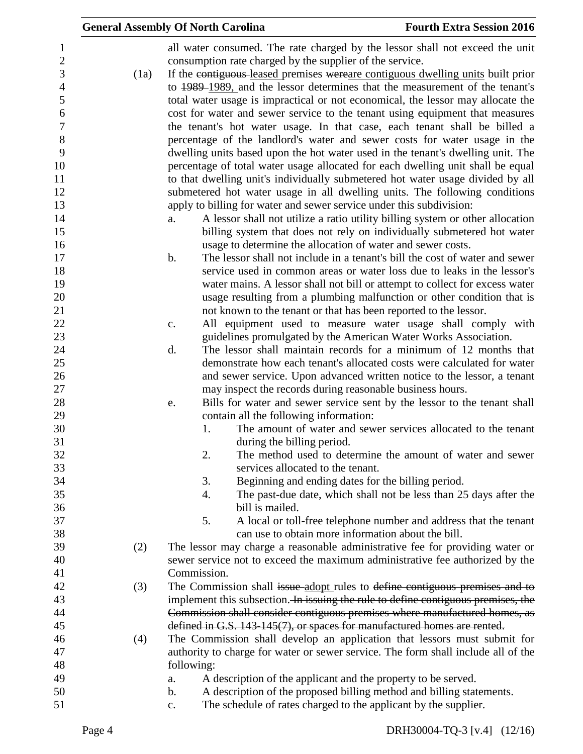|      | <b>General Assembly Of North Carolina</b>                                                       | <b>Fourth Extra Session 2016</b>                                              |
|------|-------------------------------------------------------------------------------------------------|-------------------------------------------------------------------------------|
|      | all water consumed. The rate charged by the lessor shall not exceed the unit                    |                                                                               |
|      | consumption rate charged by the supplier of the service.                                        |                                                                               |
| (1a) | If the contiguous-leased premises were are contiguous dwelling units built prior                |                                                                               |
|      | to 1989–1989, and the lessor determines that the measurement of the tenant's                    |                                                                               |
|      | total water usage is impractical or not economical, the lessor may allocate the                 |                                                                               |
|      | cost for water and sewer service to the tenant using equipment that measures                    |                                                                               |
|      | the tenant's hot water usage. In that case, each tenant shall be billed a                       |                                                                               |
|      | percentage of the landlord's water and sewer costs for water usage in the                       |                                                                               |
|      | dwelling units based upon the hot water used in the tenant's dwelling unit. The                 |                                                                               |
|      | percentage of total water usage allocated for each dwelling unit shall be equal                 |                                                                               |
|      | to that dwelling unit's individually submetered hot water usage divided by all                  |                                                                               |
|      | submetered hot water usage in all dwelling units. The following conditions                      |                                                                               |
|      | apply to billing for water and sewer service under this subdivision:                            |                                                                               |
|      | a.                                                                                              | A lessor shall not utilize a ratio utility billing system or other allocation |
|      |                                                                                                 | billing system that does not rely on individually submetered hot water        |
|      | usage to determine the allocation of water and sewer costs.                                     |                                                                               |
|      | $\mathbf b$ .                                                                                   | The lessor shall not include in a tenant's bill the cost of water and sewer   |
|      |                                                                                                 | service used in common areas or water loss due to leaks in the lessor's       |
|      |                                                                                                 | water mains. A lessor shall not bill or attempt to collect for excess water   |
|      |                                                                                                 | usage resulting from a plumbing malfunction or other condition that is        |
|      | not known to the tenant or that has been reported to the lessor.                                |                                                                               |
|      | c.                                                                                              | All equipment used to measure water usage shall comply with                   |
|      | guidelines promulgated by the American Water Works Association.                                 |                                                                               |
|      | d.                                                                                              | The lessor shall maintain records for a minimum of 12 months that             |
|      |                                                                                                 | demonstrate how each tenant's allocated costs were calculated for water       |
|      |                                                                                                 | and sewer service. Upon advanced written notice to the lessor, a tenant       |
|      | may inspect the records during reasonable business hours.                                       |                                                                               |
|      | e.                                                                                              | Bills for water and sewer service sent by the lessor to the tenant shall      |
|      | contain all the following information:                                                          |                                                                               |
|      | 1.                                                                                              | The amount of water and sewer services allocated to the tenant                |
|      | during the billing period.                                                                      |                                                                               |
|      | 2.                                                                                              | The method used to determine the amount of water and sewer                    |
|      | services allocated to the tenant.                                                               |                                                                               |
|      | Beginning and ending dates for the billing period.<br>3.                                        |                                                                               |
|      | 4.                                                                                              | The past-due date, which shall not be less than 25 days after the             |
|      | bill is mailed.                                                                                 |                                                                               |
|      | 5.                                                                                              | A local or toll-free telephone number and address that the tenant             |
|      | can use to obtain more information about the bill.                                              |                                                                               |
| (2)  | The lessor may charge a reasonable administrative fee for providing water or                    |                                                                               |
|      | sewer service not to exceed the maximum administrative fee authorized by the                    |                                                                               |
|      | Commission.                                                                                     |                                                                               |
| (3)  | The Commission shall issue-adopt rules to define contiguous premises and to                     |                                                                               |
|      | implement this subsection. In issuing the rule to define contiguous premises, the               |                                                                               |
|      | Commission shall consider contiguous premises where manufactured homes, as                      |                                                                               |
|      | defined in G.S. 143-145(7), or spaces for manufactured homes are rented.                        |                                                                               |
| (4)  | The Commission shall develop an application that lessors must submit for                        |                                                                               |
|      | authority to charge for water or sewer service. The form shall include all of the<br>following: |                                                                               |
|      | A description of the applicant and the property to be served.<br>a.                             |                                                                               |
|      | A description of the proposed billing method and billing statements.<br>b.                      |                                                                               |
|      | The schedule of rates charged to the applicant by the supplier.<br>$\mathbf{c}$ .               |                                                                               |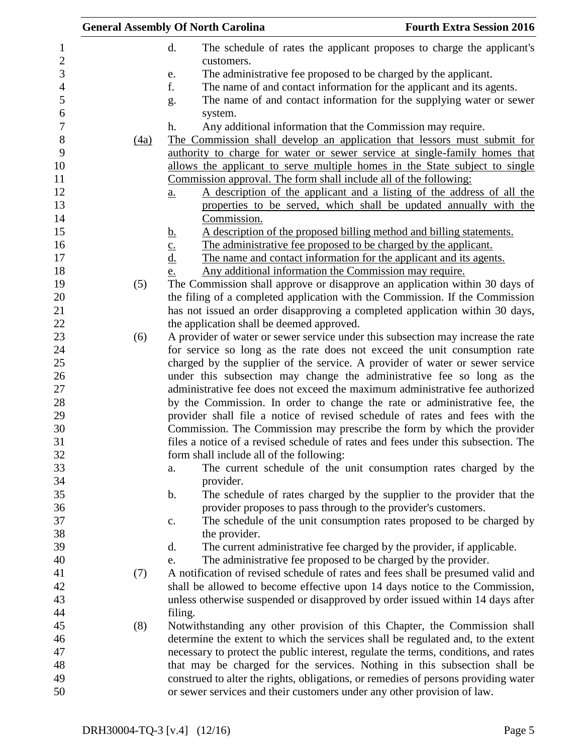| <b>General Assembly Of North Carolina</b> |      |                                                                                             | <b>Fourth Extra Session 2016</b> |
|-------------------------------------------|------|---------------------------------------------------------------------------------------------|----------------------------------|
|                                           |      | d.<br>The schedule of rates the applicant proposes to charge the applicant's                |                                  |
|                                           |      | customers.                                                                                  |                                  |
|                                           |      | The administrative fee proposed to be charged by the applicant.<br>e.                       |                                  |
|                                           |      | f.<br>The name of and contact information for the applicant and its agents.                 |                                  |
|                                           |      | The name of and contact information for the supplying water or sewer<br>g.                  |                                  |
|                                           |      | system.                                                                                     |                                  |
|                                           |      | Any additional information that the Commission may require.<br>h.                           |                                  |
|                                           | (4a) | The Commission shall develop an application that lessors must submit for                    |                                  |
|                                           |      | authority to charge for water or sewer service at single-family homes that                  |                                  |
|                                           |      | allows the applicant to serve multiple homes in the State subject to single                 |                                  |
|                                           |      | Commission approval. The form shall include all of the following:                           |                                  |
|                                           |      | A description of the applicant and a listing of the address of all the<br>$\underline{a}$ . |                                  |
|                                           |      | properties to be served, which shall be updated annually with the                           |                                  |
|                                           |      | Commission.                                                                                 |                                  |
|                                           |      | A description of the proposed billing method and billing statements.<br><u>b.</u>           |                                  |
|                                           |      | The administrative fee proposed to be charged by the applicant.<br>$\underline{c}$ .        |                                  |
|                                           |      | $\underline{d}$ .<br>The name and contact information for the applicant and its agents.     |                                  |
|                                           |      | Any additional information the Commission may require.<br>e.                                |                                  |
|                                           | (5)  | The Commission shall approve or disapprove an application within 30 days of                 |                                  |
|                                           |      | the filing of a completed application with the Commission. If the Commission                |                                  |
|                                           |      | has not issued an order disapproving a completed application within 30 days,                |                                  |
|                                           |      | the application shall be deemed approved.                                                   |                                  |
|                                           | (6)  | A provider of water or sewer service under this subsection may increase the rate            |                                  |
|                                           |      | for service so long as the rate does not exceed the unit consumption rate                   |                                  |
|                                           |      | charged by the supplier of the service. A provider of water or sewer service                |                                  |
|                                           |      | under this subsection may change the administrative fee so long as the                      |                                  |
|                                           |      | administrative fee does not exceed the maximum administrative fee authorized                |                                  |
|                                           |      | by the Commission. In order to change the rate or administrative fee, the                   |                                  |
|                                           |      | provider shall file a notice of revised schedule of rates and fees with the                 |                                  |
|                                           |      | Commission. The Commission may prescribe the form by which the provider                     |                                  |
|                                           |      | files a notice of a revised schedule of rates and fees under this subsection. The           |                                  |
|                                           |      | form shall include all of the following:                                                    |                                  |
|                                           |      | The current schedule of the unit consumption rates charged by the<br>a.                     |                                  |
|                                           |      | provider.                                                                                   |                                  |
|                                           |      | The schedule of rates charged by the supplier to the provider that the<br>$\mathbf b$ .     |                                  |
|                                           |      | provider proposes to pass through to the provider's customers.                              |                                  |
|                                           |      | The schedule of the unit consumption rates proposed to be charged by<br>$\mathbf{c}$ .      |                                  |
|                                           |      | the provider.                                                                               |                                  |
|                                           |      | The current administrative fee charged by the provider, if applicable.<br>d.                |                                  |
|                                           |      | The administrative fee proposed to be charged by the provider.<br>e.                        |                                  |
|                                           | (7)  | A notification of revised schedule of rates and fees shall be presumed valid and            |                                  |
|                                           |      | shall be allowed to become effective upon 14 days notice to the Commission,                 |                                  |
|                                           |      | unless otherwise suspended or disapproved by order issued within 14 days after              |                                  |
|                                           |      | filing.                                                                                     |                                  |
|                                           | (8)  | Notwithstanding any other provision of this Chapter, the Commission shall                   |                                  |
|                                           |      | determine the extent to which the services shall be regulated and, to the extent            |                                  |
|                                           |      | necessary to protect the public interest, regulate the terms, conditions, and rates         |                                  |
|                                           |      | that may be charged for the services. Nothing in this subsection shall be                   |                                  |
|                                           |      | construed to alter the rights, obligations, or remedies of persons providing water          |                                  |
|                                           |      | or sewer services and their customers under any other provision of law.                     |                                  |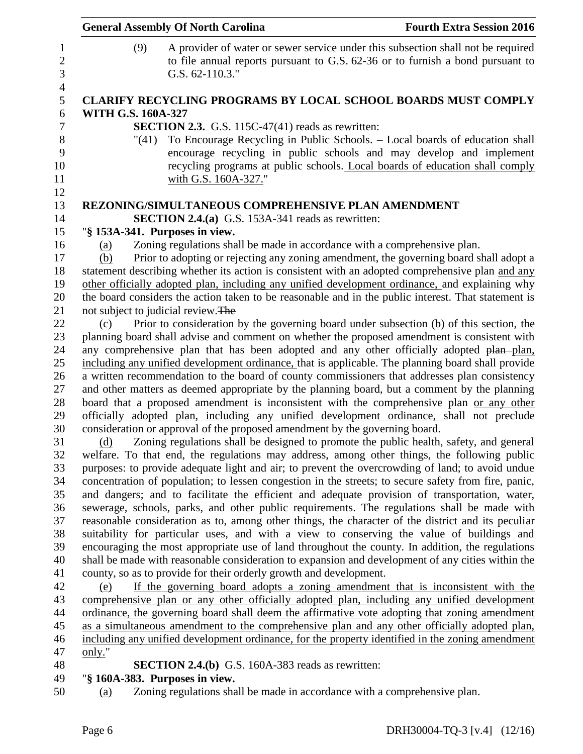|                           | <b>General Assembly Of North Carolina</b>                                   | <b>Fourth Extra Session 2016</b>                                                                                                                                                                                                   |
|---------------------------|-----------------------------------------------------------------------------|------------------------------------------------------------------------------------------------------------------------------------------------------------------------------------------------------------------------------------|
| (9)                       | G.S. 62-110.3."                                                             | A provider of water or sewer service under this subsection shall not be required<br>to file annual reports pursuant to G.S. 62-36 or to furnish a bond pursuant to                                                                 |
|                           |                                                                             | <b>CLARIFY RECYCLING PROGRAMS BY LOCAL SCHOOL BOARDS MUST COMPLY</b>                                                                                                                                                               |
| <b>WITH G.S. 160A-327</b> |                                                                             |                                                                                                                                                                                                                                    |
|                           | <b>SECTION 2.3.</b> G.S. 115C-47(41) reads as rewritten:                    |                                                                                                                                                                                                                                    |
| "(41)                     | with G.S. 160A-327."                                                        | To Encourage Recycling in Public Schools. – Local boards of education shall<br>encourage recycling in public schools and may develop and implement<br>recycling programs at public schools. Local boards of education shall comply |
|                           | REZONING/SIMULTANEOUS COMPREHENSIVE PLAN AMENDMENT                          |                                                                                                                                                                                                                                    |
|                           | <b>SECTION 2.4.(a)</b> G.S. 153A-341 reads as rewritten:                    |                                                                                                                                                                                                                                    |
|                           | "§ 153A-341. Purposes in view.                                              |                                                                                                                                                                                                                                    |
| (a)                       | Zoning regulations shall be made in accordance with a comprehensive plan.   |                                                                                                                                                                                                                                    |
| (b)                       |                                                                             | Prior to adopting or rejecting any zoning amendment, the governing board shall adopt a                                                                                                                                             |
|                           |                                                                             | statement describing whether its action is consistent with an adopted comprehensive plan and any                                                                                                                                   |
|                           |                                                                             | other officially adopted plan, including any unified development ordinance, and explaining why                                                                                                                                     |
|                           |                                                                             | the board considers the action taken to be reasonable and in the public interest. That statement is                                                                                                                                |
|                           | not subject to judicial review. The                                         |                                                                                                                                                                                                                                    |
| (c)                       |                                                                             | Prior to consideration by the governing board under subsection (b) of this section, the                                                                                                                                            |
|                           |                                                                             | planning board shall advise and comment on whether the proposed amendment is consistent with<br>any comprehensive plan that has been adopted and any other officially adopted plan-plan,                                           |
|                           |                                                                             | including any unified development ordinance, that is applicable. The planning board shall provide                                                                                                                                  |
|                           |                                                                             | a written recommendation to the board of county commissioners that addresses plan consistency                                                                                                                                      |
|                           |                                                                             | and other matters as deemed appropriate by the planning board, but a comment by the planning                                                                                                                                       |
|                           |                                                                             | board that a proposed amendment is inconsistent with the comprehensive plan or any other                                                                                                                                           |
|                           |                                                                             | officially adopted plan, including any unified development ordinance, shall not preclude                                                                                                                                           |
|                           | consideration or approval of the proposed amendment by the governing board. |                                                                                                                                                                                                                                    |
| (d)                       |                                                                             | Zoning regulations shall be designed to promote the public health, safety, and general                                                                                                                                             |
|                           |                                                                             | welfare. To that end, the regulations may address, among other things, the following public                                                                                                                                        |
|                           |                                                                             | purposes: to provide adequate light and air; to prevent the overcrowding of land; to avoid undue                                                                                                                                   |
|                           |                                                                             | concentration of population; to lessen congestion in the streets; to secure safety from fire, panic,                                                                                                                               |
|                           |                                                                             | and dangers; and to facilitate the efficient and adequate provision of transportation, water,<br>sewerage, schools, parks, and other public requirements. The regulations shall be made with                                       |
|                           |                                                                             | reasonable consideration as to, among other things, the character of the district and its peculiar                                                                                                                                 |
|                           |                                                                             | suitability for particular uses, and with a view to conserving the value of buildings and                                                                                                                                          |
|                           |                                                                             | encouraging the most appropriate use of land throughout the county. In addition, the regulations                                                                                                                                   |
|                           |                                                                             | shall be made with reasonable consideration to expansion and development of any cities within the                                                                                                                                  |
|                           | county, so as to provide for their orderly growth and development.          |                                                                                                                                                                                                                                    |
| (e)                       |                                                                             | If the governing board adopts a zoning amendment that is inconsistent with the                                                                                                                                                     |
|                           |                                                                             | comprehensive plan or any other officially adopted plan, including any unified development                                                                                                                                         |
|                           |                                                                             | ordinance, the governing board shall deem the affirmative vote adopting that zoning amendment                                                                                                                                      |
|                           |                                                                             | as a simultaneous amendment to the comprehensive plan and any other officially adopted plan,                                                                                                                                       |
|                           |                                                                             | including any unified development ordinance, for the property identified in the zoning amendment                                                                                                                                   |
| only."                    |                                                                             |                                                                                                                                                                                                                                    |
|                           | <b>SECTION 2.4.(b)</b> G.S. 160A-383 reads as rewritten:                    |                                                                                                                                                                                                                                    |
|                           | "§ 160A-383. Purposes in view.                                              |                                                                                                                                                                                                                                    |
| (a)                       | Zoning regulations shall be made in accordance with a comprehensive plan.   |                                                                                                                                                                                                                                    |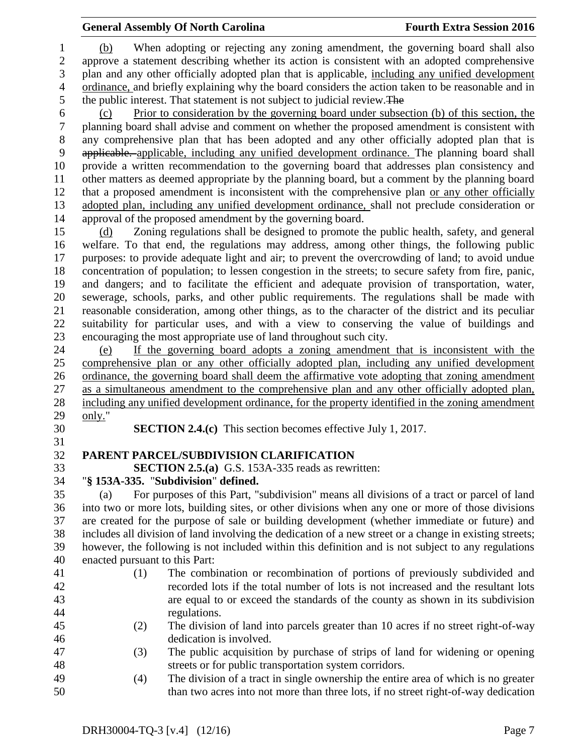(b) When adopting or rejecting any zoning amendment, the governing board shall also approve a statement describing whether its action is consistent with an adopted comprehensive plan and any other officially adopted plan that is applicable, including any unified development ordinance, and briefly explaining why the board considers the action taken to be reasonable and in the public interest. That statement is not subject to judicial review.The

 (c) Prior to consideration by the governing board under subsection (b) of this section, the planning board shall advise and comment on whether the proposed amendment is consistent with any comprehensive plan that has been adopted and any other officially adopted plan that is applicable. applicable, including any unified development ordinance. The planning board shall provide a written recommendation to the governing board that addresses plan consistency and other matters as deemed appropriate by the planning board, but a comment by the planning board that a proposed amendment is inconsistent with the comprehensive plan or any other officially adopted plan, including any unified development ordinance, shall not preclude consideration or approval of the proposed amendment by the governing board.

 (d) Zoning regulations shall be designed to promote the public health, safety, and general welfare. To that end, the regulations may address, among other things, the following public purposes: to provide adequate light and air; to prevent the overcrowding of land; to avoid undue concentration of population; to lessen congestion in the streets; to secure safety from fire, panic, and dangers; and to facilitate the efficient and adequate provision of transportation, water, sewerage, schools, parks, and other public requirements. The regulations shall be made with reasonable consideration, among other things, as to the character of the district and its peculiar suitability for particular uses, and with a view to conserving the value of buildings and encouraging the most appropriate use of land throughout such city.

 (e) If the governing board adopts a zoning amendment that is inconsistent with the comprehensive plan or any other officially adopted plan, including any unified development ordinance, the governing board shall deem the affirmative vote adopting that zoning amendment as a simultaneous amendment to the comprehensive plan and any other officially adopted plan, including any unified development ordinance, for the property identified in the zoning amendment only."

**SECTION 2.4.(c)** This section becomes effective July 1, 2017.

# **PARENT PARCEL/SUBDIVISION CLARIFICATION**

**SECTION 2.5.(a)** G.S. 153A-335 reads as rewritten:

### "**§ 153A-335.** "**Subdivision**" **defined.**

 (a) For purposes of this Part, "subdivision" means all divisions of a tract or parcel of land into two or more lots, building sites, or other divisions when any one or more of those divisions are created for the purpose of sale or building development (whether immediate or future) and includes all division of land involving the dedication of a new street or a change in existing streets; however, the following is not included within this definition and is not subject to any regulations enacted pursuant to this Part:

- 
- 
- (1) The combination or recombination of portions of previously subdivided and recorded lots if the total number of lots is not increased and the resultant lots are equal to or exceed the standards of the county as shown in its subdivision regulations.
- (2) The division of land into parcels greater than 10 acres if no street right-of-way dedication is involved.
- (3) The public acquisition by purchase of strips of land for widening or opening streets or for public transportation system corridors.
- (4) The division of a tract in single ownership the entire area of which is no greater than two acres into not more than three lots, if no street right-of-way dedication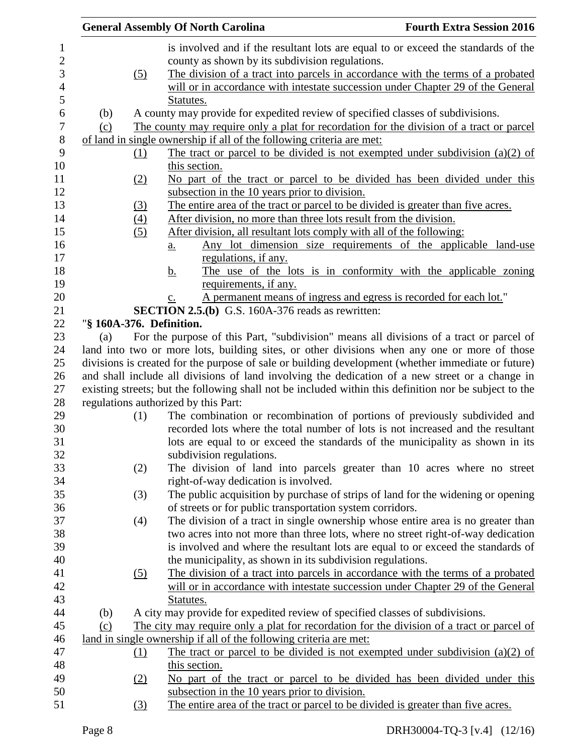|                  |                          | <b>General Assembly Of North Carolina</b>                                                              | <b>Fourth Extra Session 2016</b>                                |
|------------------|--------------------------|--------------------------------------------------------------------------------------------------------|-----------------------------------------------------------------|
| $\mathbf{1}$     |                          | is involved and if the resultant lots are equal to or exceed the standards of the                      |                                                                 |
| $\mathbf{2}$     |                          | county as shown by its subdivision regulations.                                                        |                                                                 |
| 3                | (5)                      | The division of a tract into parcels in accordance with the terms of a probated                        |                                                                 |
| $\overline{4}$   |                          | will or in accordance with intestate succession under Chapter 29 of the General                        |                                                                 |
| 5                |                          | Statutes.                                                                                              |                                                                 |
| 6                | (b)                      | A county may provide for expedited review of specified classes of subdivisions.                        |                                                                 |
| $\boldsymbol{7}$ | (c)                      | The county may require only a plat for recordation for the division of a tract or parcel               |                                                                 |
| $8\,$            |                          | of land in single ownership if all of the following criteria are met:                                  |                                                                 |
| 9                | (1)                      | The tract or parcel to be divided is not exempted under subdivision $(a)(2)$ of                        |                                                                 |
| 10               |                          | this section.                                                                                          |                                                                 |
| 11               | (2)                      | No part of the tract or parcel to be divided has been divided under this                               |                                                                 |
| 12               |                          | subsection in the 10 years prior to division.                                                          |                                                                 |
| 13               | (3)                      | The entire area of the tract or parcel to be divided is greater than five acres.                       |                                                                 |
| 14               | (4)                      | After division, no more than three lots result from the division.                                      |                                                                 |
| 15               | (5)                      | After division, all resultant lots comply with all of the following:                                   |                                                                 |
| 16               |                          | <u>a.</u>                                                                                              | Any lot dimension size requirements of the applicable land-use  |
| 17               |                          | regulations, if any.                                                                                   |                                                                 |
| 18               |                          | <u>b.</u>                                                                                              | The use of the lots is in conformity with the applicable zoning |
| 19               |                          | requirements, if any.                                                                                  |                                                                 |
| 20               |                          | A permanent means of ingress and egress is recorded for each lot."<br>$\underline{c}$ .                |                                                                 |
| 21               |                          | <b>SECTION 2.5.(b)</b> G.S. 160A-376 reads as rewritten:                                               |                                                                 |
| 22<br>23         | "§ 160A-376. Definition. | For the purpose of this Part, "subdivision" means all divisions of a tract or parcel of                |                                                                 |
| 24               | (a)                      | land into two or more lots, building sites, or other divisions when any one or more of those           |                                                                 |
| 25               |                          | divisions is created for the purpose of sale or building development (whether immediate or future)     |                                                                 |
| 26               |                          | and shall include all divisions of land involving the dedication of a new street or a change in        |                                                                 |
| 27               |                          | existing streets; but the following shall not be included within this definition nor be subject to the |                                                                 |
| $28\,$           |                          | regulations authorized by this Part:                                                                   |                                                                 |
| 29               | (1)                      | The combination or recombination of portions of previously subdivided and                              |                                                                 |
| 30               |                          | recorded lots where the total number of lots is not increased and the resultant                        |                                                                 |
| 31               |                          | lots are equal to or exceed the standards of the municipality as shown in its                          |                                                                 |
| 32               |                          | subdivision regulations.                                                                               |                                                                 |
| 33               | (2)                      | The division of land into parcels greater than 10 acres where no street                                |                                                                 |
| 34               |                          | right-of-way dedication is involved.                                                                   |                                                                 |
| 35               | (3)                      | The public acquisition by purchase of strips of land for the widening or opening                       |                                                                 |
| 36               |                          | of streets or for public transportation system corridors.                                              |                                                                 |
| 37               | (4)                      | The division of a tract in single ownership whose entire area is no greater than                       |                                                                 |
| 38               |                          | two acres into not more than three lots, where no street right-of-way dedication                       |                                                                 |
| 39               |                          | is involved and where the resultant lots are equal to or exceed the standards of                       |                                                                 |
| 40               |                          | the municipality, as shown in its subdivision regulations.                                             |                                                                 |
| 41               | <u>(5)</u>               | The division of a tract into parcels in accordance with the terms of a probated                        |                                                                 |
| 42               |                          | will or in accordance with intestate succession under Chapter 29 of the General                        |                                                                 |
| 43               |                          | Statutes.                                                                                              |                                                                 |
| 44               | (b)                      | A city may provide for expedited review of specified classes of subdivisions.                          |                                                                 |
| 45               | (c)                      | The city may require only a plat for recordation for the division of a tract or parcel of              |                                                                 |
| 46               |                          | land in single ownership if all of the following criteria are met:                                     |                                                                 |
| 47               | $\Omega$                 | The tract or parcel to be divided is not exempted under subdivision (a)(2) of                          |                                                                 |
| 48               |                          | this section.                                                                                          |                                                                 |
| 49               | (2)                      | No part of the tract or parcel to be divided has been divided under this                               |                                                                 |
| 50               |                          | subsection in the 10 years prior to division.                                                          |                                                                 |
| 51               | (3)                      | The entire area of the tract or parcel to be divided is greater than five acres.                       |                                                                 |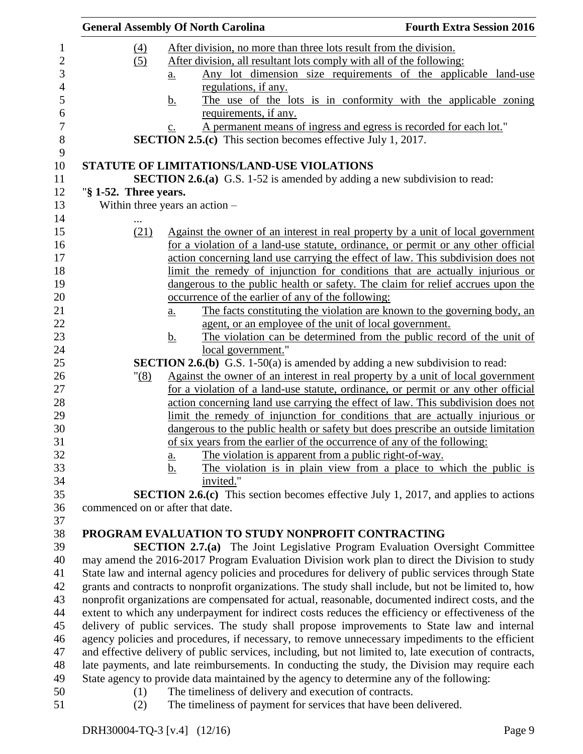|                |                                  | <b>General Assembly Of North Carolina</b>                                                              | <b>Fourth Extra Session 2016</b> |
|----------------|----------------------------------|--------------------------------------------------------------------------------------------------------|----------------------------------|
| 1              | $\left(4\right)$                 | After division, no more than three lots result from the division.                                      |                                  |
| $\overline{c}$ | (5)                              | After division, all resultant lots comply with all of the following:                                   |                                  |
| 3              |                                  | Any lot dimension size requirements of the applicable land-use<br><u>a.</u>                            |                                  |
| $\overline{4}$ |                                  | regulations, if any.                                                                                   |                                  |
| 5              |                                  | The use of the lots is in conformity with the applicable zoning<br>b.                                  |                                  |
| 6              |                                  | requirements, if any.                                                                                  |                                  |
| $\overline{7}$ |                                  | A permanent means of ingress and egress is recorded for each lot."<br>$\mathbf{c}$ .                   |                                  |
| 8              |                                  | <b>SECTION 2.5.(c)</b> This section becomes effective July 1, 2017.                                    |                                  |
| 9              |                                  |                                                                                                        |                                  |
| 10             |                                  | STATUTE OF LIMITATIONS/LAND-USE VIOLATIONS                                                             |                                  |
| 11             |                                  | <b>SECTION 2.6.(a)</b> G.S. 1-52 is amended by adding a new subdivision to read:                       |                                  |
| 12             | "§ 1-52. Three years.            |                                                                                                        |                                  |
| 13             |                                  | Within three years an action $-$                                                                       |                                  |
| 14             |                                  |                                                                                                        |                                  |
| 15             | (21)                             | Against the owner of an interest in real property by a unit of local government                        |                                  |
| 16             |                                  | for a violation of a land-use statute, ordinance, or permit or any other official                      |                                  |
| 17             |                                  | action concerning land use carrying the effect of law. This subdivision does not                       |                                  |
| 18             |                                  | limit the remedy of injunction for conditions that are actually injurious or                           |                                  |
| 19             |                                  | dangerous to the public health or safety. The claim for relief accrues upon the                        |                                  |
| 20             |                                  | occurrence of the earlier of any of the following:                                                     |                                  |
| 21             |                                  | The facts constituting the violation are known to the governing body, an<br>$\underline{a}$ .          |                                  |
| 22             |                                  | agent, or an employee of the unit of local government.                                                 |                                  |
| 23             |                                  | The violation can be determined from the public record of the unit of<br><u>b.</u>                     |                                  |
| 24             |                                  | local government."                                                                                     |                                  |
| 25             |                                  | <b>SECTION 2.6.(b)</b> G.S. 1-50(a) is amended by adding a new subdivision to read:                    |                                  |
| $26\,$         | <u>"(8)</u>                      | Against the owner of an interest in real property by a unit of local government                        |                                  |
| 27             |                                  | for a violation of a land-use statute, ordinance, or permit or any other official                      |                                  |
| 28             |                                  | action concerning land use carrying the effect of law. This subdivision does not                       |                                  |
| 29             |                                  | limit the remedy of injunction for conditions that are actually injurious or                           |                                  |
| 30             |                                  | dangerous to the public health or safety but does prescribe an outside limitation                      |                                  |
| 31             |                                  | of six years from the earlier of the occurrence of any of the following:                               |                                  |
| 32             |                                  | The violation is apparent from a public right-of-way.<br><u>a.</u>                                     |                                  |
| 33             |                                  | <u>b.</u><br>The violation is in plain view from a place to which the public is                        |                                  |
| 34             |                                  | invited."                                                                                              |                                  |
| 35             |                                  | <b>SECTION 2.6.(c)</b> This section becomes effective July 1, 2017, and applies to actions             |                                  |
| 36             | commenced on or after that date. |                                                                                                        |                                  |
| 37             |                                  |                                                                                                        |                                  |
| 38             |                                  | PROGRAM EVALUATION TO STUDY NONPROFIT CONTRACTING                                                      |                                  |
| 39             |                                  | <b>SECTION 2.7.(a)</b> The Joint Legislative Program Evaluation Oversight Committee                    |                                  |
| 40             |                                  | may amend the 2016-2017 Program Evaluation Division work plan to direct the Division to study          |                                  |
| 41             |                                  | State law and internal agency policies and procedures for delivery of public services through State    |                                  |
| 42             |                                  | grants and contracts to nonprofit organizations. The study shall include, but not be limited to, how   |                                  |
| 43             |                                  | nonprofit organizations are compensated for actual, reasonable, documented indirect costs, and the     |                                  |
| 44             |                                  | extent to which any underpayment for indirect costs reduces the efficiency or effectiveness of the     |                                  |
| 45             |                                  | delivery of public services. The study shall propose improvements to State law and internal            |                                  |
| 46             |                                  | agency policies and procedures, if necessary, to remove unnecessary impediments to the efficient       |                                  |
| 47             |                                  | and effective delivery of public services, including, but not limited to, late execution of contracts, |                                  |
| 48             |                                  | late payments, and late reimbursements. In conducting the study, the Division may require each         |                                  |
| 49             |                                  | State agency to provide data maintained by the agency to determine any of the following:               |                                  |
| 50             | (1)                              | The timeliness of delivery and execution of contracts.                                                 |                                  |
| 51             | (2)                              | The timeliness of payment for services that have been delivered.                                       |                                  |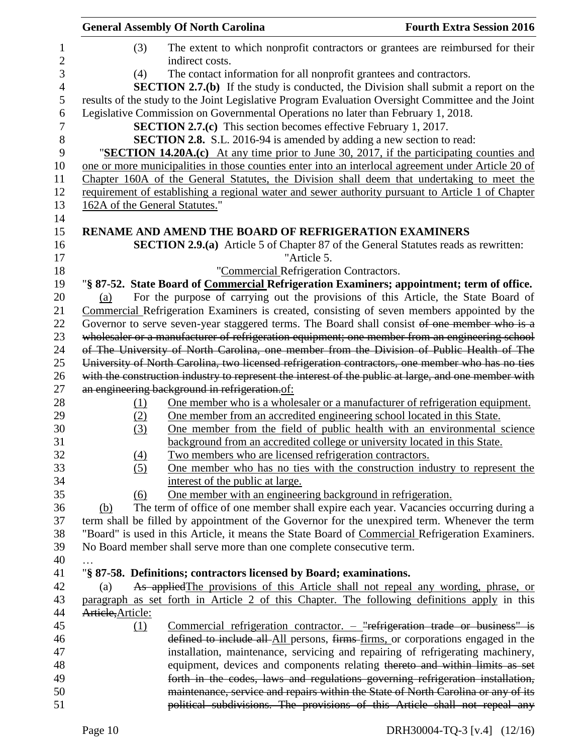|                                | <b>General Assembly Of North Carolina</b>                                         | <b>Fourth Extra Session 2016</b>                                                                     |
|--------------------------------|-----------------------------------------------------------------------------------|------------------------------------------------------------------------------------------------------|
| (3)                            | indirect costs.                                                                   | The extent to which nonprofit contractors or grantees are reimbursed for their                       |
| (4)                            | The contact information for all nonprofit grantees and contractors.               |                                                                                                      |
|                                |                                                                                   | <b>SECTION 2.7.(b)</b> If the study is conducted, the Division shall submit a report on the          |
|                                |                                                                                   | results of the study to the Joint Legislative Program Evaluation Oversight Committee and the Joint   |
|                                | Legislative Commission on Governmental Operations no later than February 1, 2018. |                                                                                                      |
|                                | <b>SECTION 2.7.(c)</b> This section becomes effective February 1, 2017.           |                                                                                                      |
|                                | <b>SECTION 2.8.</b> S.L. 2016-94 is amended by adding a new section to read:      |                                                                                                      |
|                                |                                                                                   | "SECTION 14.20A.(c) At any time prior to June 30, 2017, if the participating counties and            |
|                                |                                                                                   | one or more municipalities in those counties enter into an interlocal agreement under Article 20 of  |
|                                |                                                                                   | Chapter 160A of the General Statutes, the Division shall deem that undertaking to meet the           |
|                                |                                                                                   | requirement of establishing a regional water and sewer authority pursuant to Article 1 of Chapter    |
| 162A of the General Statutes." |                                                                                   |                                                                                                      |
|                                |                                                                                   |                                                                                                      |
|                                | RENAME AND AMEND THE BOARD OF REFRIGERATION EXAMINERS                             |                                                                                                      |
|                                |                                                                                   | <b>SECTION 2.9.(a)</b> Article 5 of Chapter 87 of the General Statutes reads as rewritten:           |
|                                | "Article 5.                                                                       |                                                                                                      |
|                                | "Commercial Refrigeration Contractors.                                            |                                                                                                      |
|                                |                                                                                   | "§ 87-52. State Board of Commercial Refrigeration Examiners; appointment; term of office.            |
| (a)                            |                                                                                   | For the purpose of carrying out the provisions of this Article, the State Board of                   |
|                                |                                                                                   | Commercial Refrigeration Examiners is created, consisting of seven members appointed by the          |
|                                |                                                                                   | Governor to serve seven-year staggered terms. The Board shall consist of one member who is a         |
|                                |                                                                                   | wholesaler or a manufacturer of refrigeration equipment; one member from an engineering school       |
|                                |                                                                                   | of The University of North Carolina, one member from the Division of Public Health of The            |
|                                |                                                                                   | University of North Carolina, two licensed refrigeration contractors, one member who has no ties     |
|                                |                                                                                   | with the construction industry to represent the interest of the public at large, and one member with |
|                                | an engineering background in refrigeration.of:                                    |                                                                                                      |
| (1)                            |                                                                                   | One member who is a wholesaler or a manufacturer of refrigeration equipment.                         |
| (2)                            | One member from an accredited engineering school located in this State.           |                                                                                                      |
| (3)                            | background from an accredited college or university located in this State.        | One member from the field of public health with an environmental science                             |
|                                | Two members who are licensed refrigeration contractors.                           |                                                                                                      |
| (4)<br>(5)                     |                                                                                   | One member who has no ties with the construction industry to represent the                           |
|                                | interest of the public at large.                                                  |                                                                                                      |
| (6)                            | One member with an engineering background in refrigeration.                       |                                                                                                      |
| (b)                            |                                                                                   | The term of office of one member shall expire each year. Vacancies occurring during a                |
|                                |                                                                                   | term shall be filled by appointment of the Governor for the unexpired term. Whenever the term        |
|                                |                                                                                   | "Board" is used in this Article, it means the State Board of Commercial Refrigeration Examiners.     |
|                                | No Board member shall serve more than one complete consecutive term.              |                                                                                                      |
|                                |                                                                                   |                                                                                                      |
|                                | "§ 87-58. Definitions; contractors licensed by Board; examinations.               |                                                                                                      |
| (a)                            |                                                                                   | As applied The provisions of this Article shall not repeal any wording, phrase, or                   |
|                                |                                                                                   | paragraph as set forth in Article 2 of this Chapter. The following definitions apply in this         |
| Artiele, Article:              |                                                                                   |                                                                                                      |
| (1)                            |                                                                                   | Commercial refrigeration contractor. $-$ "refrigeration trade or business" is                        |
|                                |                                                                                   | defined to include all All persons, firms firms, or corporations engaged in the                      |
|                                |                                                                                   | installation, maintenance, servicing and repairing of refrigerating machinery,                       |
|                                |                                                                                   | equipment, devices and components relating thereto and within limits as set                          |
|                                |                                                                                   | forth in the codes, laws and regulations governing refrigeration installation,                       |
|                                |                                                                                   | maintenance, service and repairs within the State of North Carolina or any of its                    |
|                                |                                                                                   | political subdivisions. The provisions of this Article shall not repeal any                          |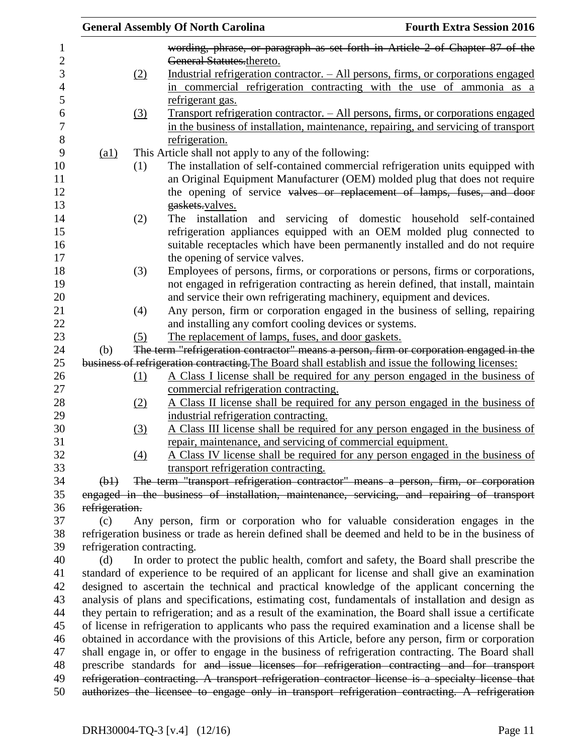|                            |     | <b>General Assembly Of North Carolina</b>                                                              | <b>Fourth Extra Session 2016</b> |
|----------------------------|-----|--------------------------------------------------------------------------------------------------------|----------------------------------|
|                            |     | wording, phrase, or paragraph as set forth in Article 2 of Chapter 87 of the                           |                                  |
|                            |     | General Statutes.thereto.                                                                              |                                  |
|                            | (2) | <u>Industrial refrigeration contractor. – All persons, firms, or corporations engaged</u>              |                                  |
|                            |     | in commercial refrigeration contracting with the use of ammonia as a                                   |                                  |
|                            |     | refrigerant gas.                                                                                       |                                  |
|                            | (3) | <u>Transport refrigeration contractor. – All persons, firms, or corporations engaged</u>               |                                  |
|                            |     | in the business of installation, maintenance, repairing, and servicing of transport                    |                                  |
|                            |     | refrigeration.                                                                                         |                                  |
| (a1)                       |     | This Article shall not apply to any of the following:                                                  |                                  |
|                            | (1) | The installation of self-contained commercial refrigeration units equipped with                        |                                  |
|                            |     | an Original Equipment Manufacturer (OEM) molded plug that does not require                             |                                  |
|                            |     | the opening of service valves or replacement of lamps, fuses, and door                                 |                                  |
|                            |     | gaskets.valves.                                                                                        |                                  |
|                            | (2) | The installation and servicing of domestic household self-contained                                    |                                  |
|                            |     | refrigeration appliances equipped with an OEM molded plug connected to                                 |                                  |
|                            |     |                                                                                                        |                                  |
|                            |     | suitable receptacles which have been permanently installed and do not require                          |                                  |
|                            |     | the opening of service valves.                                                                         |                                  |
|                            | (3) | Employees of persons, firms, or corporations or persons, firms or corporations,                        |                                  |
|                            |     | not engaged in refrigeration contracting as herein defined, that install, maintain                     |                                  |
|                            |     | and service their own refrigerating machinery, equipment and devices.                                  |                                  |
|                            | (4) | Any person, firm or corporation engaged in the business of selling, repairing                          |                                  |
|                            |     | and installing any comfort cooling devices or systems.                                                 |                                  |
|                            | (5) | The replacement of lamps, fuses, and door gaskets.                                                     |                                  |
| (b)                        |     | The term "refrigeration contractor" means a person, firm or corporation engaged in the                 |                                  |
|                            |     | business of refrigeration contracting. The Board shall establish and issue the following licenses:     |                                  |
|                            | (1) | A Class I license shall be required for any person engaged in the business of                          |                                  |
|                            |     | commercial refrigeration contracting.                                                                  |                                  |
|                            | (2) | A Class II license shall be required for any person engaged in the business of                         |                                  |
|                            |     | industrial refrigeration contracting.                                                                  |                                  |
|                            | (3) | A Class III license shall be required for any person engaged in the business of                        |                                  |
|                            |     | repair, maintenance, and servicing of commercial equipment.                                            |                                  |
|                            | (4) | A Class IV license shall be required for any person engaged in the business of                         |                                  |
|                            |     | transport refrigeration contracting.                                                                   |                                  |
| $\Theta$ <sup>+</sup>      |     | The term "transport refrigeration contractor" means a person, firm, or corporation                     |                                  |
|                            |     | engaged in the business of installation, maintenance, servicing, and repairing of transport            |                                  |
| refrigeration.             |     |                                                                                                        |                                  |
| (c)                        |     | Any person, firm or corporation who for valuable consideration engages in the                          |                                  |
|                            |     | refrigeration business or trade as herein defined shall be deemed and held to be in the business of    |                                  |
| refrigeration contracting. |     |                                                                                                        |                                  |
| (d)                        |     | In order to protect the public health, comfort and safety, the Board shall prescribe the               |                                  |
|                            |     | standard of experience to be required of an applicant for license and shall give an examination        |                                  |
|                            |     | designed to ascertain the technical and practical knowledge of the applicant concerning the            |                                  |
|                            |     | analysis of plans and specifications, estimating cost, fundamentals of installation and design as      |                                  |
|                            |     | they pertain to refrigeration; and as a result of the examination, the Board shall issue a certificate |                                  |
|                            |     | of license in refrigeration to applicants who pass the required examination and a license shall be     |                                  |
|                            |     | obtained in accordance with the provisions of this Article, before any person, firm or corporation     |                                  |
|                            |     | shall engage in, or offer to engage in the business of refrigeration contracting. The Board shall      |                                  |
|                            |     | prescribe standards for and issue licenses for refrigeration contracting and for transport             |                                  |
|                            |     | refrigeration contracting. A transport refrigeration contractor license is a specialty license that    |                                  |
|                            |     | authorizes the licensee to engage only in transport refrigeration contracting. A refrigeration         |                                  |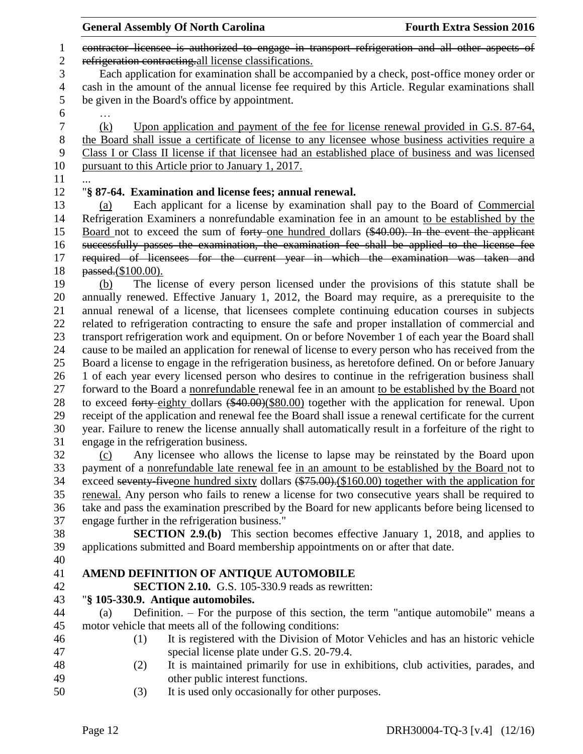|                    | <b>General Assembly Of North Carolina</b>                                                              | <b>Fourth Extra Session 2016</b> |
|--------------------|--------------------------------------------------------------------------------------------------------|----------------------------------|
|                    | contractor licensee is authorized to engage in transport refrigeration and all other aspects of        |                                  |
|                    | refrigeration contracting all license classifications.                                                 |                                  |
|                    | Each application for examination shall be accompanied by a check, post-office money order or           |                                  |
|                    | cash in the amount of the annual license fee required by this Article. Regular examinations shall      |                                  |
|                    | be given in the Board's office by appointment.                                                         |                                  |
|                    |                                                                                                        |                                  |
| (k)                | Upon application and payment of the fee for license renewal provided in G.S. 87-64,                    |                                  |
|                    | the Board shall issue a certificate of license to any licensee whose business activities require a     |                                  |
|                    | Class I or Class II license if that licensee had an established place of business and was licensed     |                                  |
|                    | pursuant to this Article prior to January 1, 2017.                                                     |                                  |
|                    |                                                                                                        |                                  |
|                    | "§ 87-64. Examination and license fees; annual renewal.                                                |                                  |
| (a)                | Each applicant for a license by examination shall pay to the Board of Commercial                       |                                  |
|                    | Refrigeration Examiners a nonrefundable examination fee in an amount to be established by the          |                                  |
|                    | Board not to exceed the sum of forty-one hundred dollars (\$40.00). In the event the applicant         |                                  |
|                    | successfully passes the examination, the examination fee shall be applied to the license fee           |                                  |
|                    | required of licensees for the current year in which the examination was taken and                      |                                  |
| passed.(\$100.00). |                                                                                                        |                                  |
| (b)                | The license of every person licensed under the provisions of this statute shall be                     |                                  |
|                    | annually renewed. Effective January 1, 2012, the Board may require, as a prerequisite to the           |                                  |
|                    | annual renewal of a license, that licensees complete continuing education courses in subjects          |                                  |
|                    | related to refrigeration contracting to ensure the safe and proper installation of commercial and      |                                  |
|                    | transport refrigeration work and equipment. On or before November 1 of each year the Board shall       |                                  |
|                    | cause to be mailed an application for renewal of license to every person who has received from the     |                                  |
|                    | Board a license to engage in the refrigeration business, as heretofore defined. On or before January   |                                  |
|                    | 1 of each year every licensed person who desires to continue in the refrigeration business shall       |                                  |
|                    | forward to the Board a nonrefundable renewal fee in an amount to be established by the Board not       |                                  |
|                    | to exceed forty-eighty dollars (\$40.00)(\$80.00) together with the application for renewal. Upon      |                                  |
|                    | receipt of the application and renewal fee the Board shall issue a renewal certificate for the current |                                  |
|                    | year. Failure to renew the license annually shall automatically result in a forfeiture of the right to |                                  |
|                    | engage in the refrigeration business.                                                                  |                                  |
| (c)                | Any licensee who allows the license to lapse may be reinstated by the Board upon                       |                                  |
|                    | payment of a nonrefundable late renewal fee in an amount to be established by the Board not to         |                                  |
|                    | exceed seventy-five one hundred sixty dollars (\$75.00). (\$160.00) together with the application for  |                                  |
|                    | renewal. Any person who fails to renew a license for two consecutive years shall be required to        |                                  |
|                    | take and pass the examination prescribed by the Board for new applicants before being licensed to      |                                  |
|                    | engage further in the refrigeration business."                                                         |                                  |
|                    | <b>SECTION 2.9.(b)</b> This section becomes effective January 1, 2018, and applies to                  |                                  |
|                    | applications submitted and Board membership appointments on or after that date.                        |                                  |
|                    |                                                                                                        |                                  |
|                    | AMEND DEFINITION OF ANTIQUE AUTOMOBILE                                                                 |                                  |
|                    | <b>SECTION 2.10.</b> G.S. 105-330.9 reads as rewritten:                                                |                                  |
|                    | "§ 105-330.9. Antique automobiles.                                                                     |                                  |
| (a)                | Definition. – For the purpose of this section, the term "antique automobile" means a                   |                                  |
|                    | motor vehicle that meets all of the following conditions:                                              |                                  |
| (1)                | It is registered with the Division of Motor Vehicles and has an historic vehicle                       |                                  |
|                    | special license plate under G.S. 20-79.4.                                                              |                                  |
| (2)                | It is maintained primarily for use in exhibitions, club activities, parades, and                       |                                  |
|                    | other public interest functions.                                                                       |                                  |
| (3)                | It is used only occasionally for other purposes.                                                       |                                  |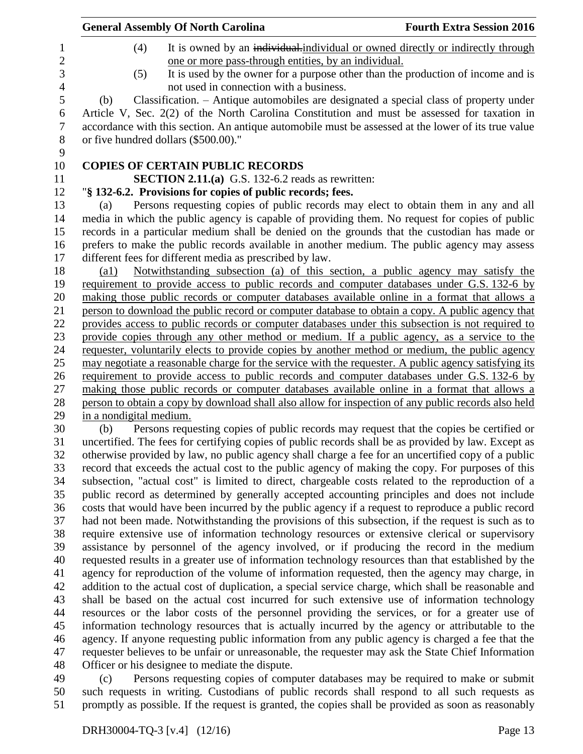|                         | <b>General Assembly Of North Carolina</b>                                                                                                                | <b>Fourth Extra Session 2016</b> |
|-------------------------|----------------------------------------------------------------------------------------------------------------------------------------------------------|----------------------------------|
| (4)                     | It is owned by an individual-individual or owned directly or indirectly through                                                                          |                                  |
|                         | one or more pass-through entities, by an individual.                                                                                                     |                                  |
| (5)                     | It is used by the owner for a purpose other than the production of income and is<br>not used in connection with a business.                              |                                  |
| (b)                     | Classification. – Antique automobiles are designated a special class of property under                                                                   |                                  |
|                         | Article V, Sec. 2(2) of the North Carolina Constitution and must be assessed for taxation in                                                             |                                  |
|                         | accordance with this section. An antique automobile must be assessed at the lower of its true value                                                      |                                  |
|                         | or five hundred dollars (\$500.00)."                                                                                                                     |                                  |
|                         | <b>COPIES OF CERTAIN PUBLIC RECORDS</b>                                                                                                                  |                                  |
|                         | <b>SECTION 2.11.(a)</b> G.S. 132-6.2 reads as rewritten:                                                                                                 |                                  |
|                         |                                                                                                                                                          |                                  |
|                         | "§ 132-6.2. Provisions for copies of public records; fees.                                                                                               |                                  |
| (a)                     | Persons requesting copies of public records may elect to obtain them in any and all                                                                      |                                  |
|                         | media in which the public agency is capable of providing them. No request for copies of public                                                           |                                  |
|                         | records in a particular medium shall be denied on the grounds that the custodian has made or                                                             |                                  |
|                         | prefers to make the public records available in another medium. The public agency may assess<br>different fees for different media as prescribed by law. |                                  |
| $\left( a1\right)$      | Notwithstanding subsection (a) of this section, a public agency may satisfy the                                                                          |                                  |
|                         | requirement to provide access to public records and computer databases under G.S. 132-6 by                                                               |                                  |
|                         | making those public records or computer databases available online in a format that allows a                                                             |                                  |
|                         | person to download the public record or computer database to obtain a copy. A public agency that                                                         |                                  |
|                         | provides access to public records or computer databases under this subsection is not required to                                                         |                                  |
|                         | provide copies through any other method or medium. If a public agency, as a service to the                                                               |                                  |
|                         | requester, voluntarily elects to provide copies by another method or medium, the public agency                                                           |                                  |
|                         | may negotiate a reasonable charge for the service with the requester. A public agency satisfying its                                                     |                                  |
|                         | requirement to provide access to public records and computer databases under G.S. 132-6 by                                                               |                                  |
|                         | making those public records or computer databases available online in a format that allows a                                                             |                                  |
|                         | person to obtain a copy by download shall also allow for inspection of any public records also held                                                      |                                  |
| in a nondigital medium. |                                                                                                                                                          |                                  |
| (b)                     | Persons requesting copies of public records may request that the copies be certified or                                                                  |                                  |
|                         | uncertified. The fees for certifying copies of public records shall be as provided by law. Except as                                                     |                                  |
|                         | otherwise provided by law, no public agency shall charge a fee for an uncertified copy of a public                                                       |                                  |
|                         | record that exceeds the actual cost to the public agency of making the copy. For purposes of this                                                        |                                  |
|                         | subsection, "actual cost" is limited to direct, chargeable costs related to the reproduction of a                                                        |                                  |
|                         | public record as determined by generally accepted accounting principles and does not include                                                             |                                  |
|                         | costs that would have been incurred by the public agency if a request to reproduce a public record                                                       |                                  |
|                         | had not been made. Notwithstanding the provisions of this subsection, if the request is such as to                                                       |                                  |
|                         | require extensive use of information technology resources or extensive clerical or supervisory                                                           |                                  |
|                         | assistance by personnel of the agency involved, or if producing the record in the medium                                                                 |                                  |
|                         | requested results in a greater use of information technology resources than that established by the                                                      |                                  |
|                         | agency for reproduction of the volume of information requested, then the agency may charge, in                                                           |                                  |
|                         | addition to the actual cost of duplication, a special service charge, which shall be reasonable and                                                      |                                  |
|                         | shall be based on the actual cost incurred for such extensive use of information technology                                                              |                                  |
|                         | resources or the labor costs of the personnel providing the services, or for a greater use of                                                            |                                  |
|                         | information technology resources that is actually incurred by the agency or attributable to the                                                          |                                  |
|                         | agency. If anyone requesting public information from any public agency is charged a fee that the                                                         |                                  |
|                         | requester believes to be unfair or unreasonable, the requester may ask the State Chief Information                                                       |                                  |
|                         | Officer or his designee to mediate the dispute.                                                                                                          |                                  |
|                         |                                                                                                                                                          |                                  |

 (c) Persons requesting copies of computer databases may be required to make or submit such requests in writing. Custodians of public records shall respond to all such requests as 51 promptly as possible. If the request is granted, the copies shall be provided as soon as reasonably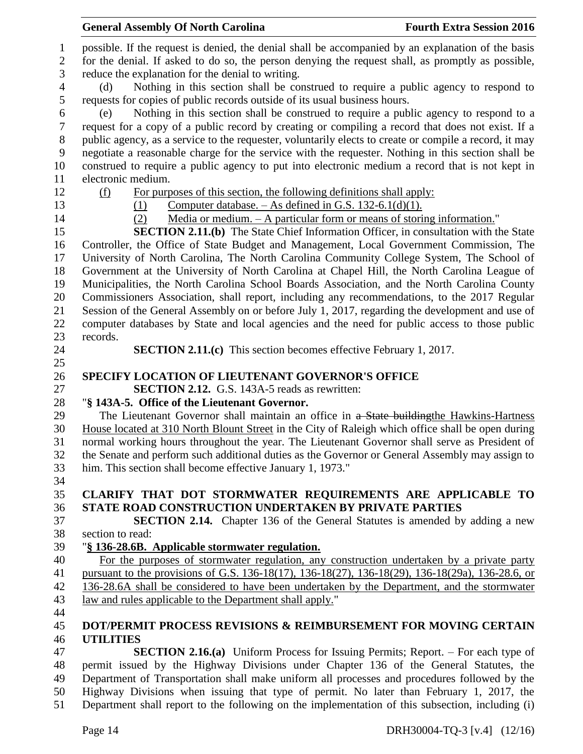|                | <b>General Assembly Of North Carolina</b>                                                              | <b>Fourth Extra Session 2016</b> |
|----------------|--------------------------------------------------------------------------------------------------------|----------------------------------|
| $\mathbf 1$    | possible. If the request is denied, the denial shall be accompanied by an explanation of the basis     |                                  |
| $\mathbf{2}$   | for the denial. If asked to do so, the person denying the request shall, as promptly as possible,      |                                  |
| 3              | reduce the explanation for the denial to writing.                                                      |                                  |
| $\overline{4}$ | Nothing in this section shall be construed to require a public agency to respond to<br>(d)             |                                  |
| 5              | requests for copies of public records outside of its usual business hours.                             |                                  |
| 6              | Nothing in this section shall be construed to require a public agency to respond to a<br>(e)           |                                  |
| 7              | request for a copy of a public record by creating or compiling a record that does not exist. If a      |                                  |
| 8              | public agency, as a service to the requester, voluntarily elects to create or compile a record, it may |                                  |
| 9              | negotiate a reasonable charge for the service with the requester. Nothing in this section shall be     |                                  |
| 10             | construed to require a public agency to put into electronic medium a record that is not kept in        |                                  |
| 11             | electronic medium.                                                                                     |                                  |
| 12             | For purposes of this section, the following definitions shall apply:<br>(f)                            |                                  |
| 13             | Computer database. $-$ As defined in G.S. 132-6.1(d)(1).<br>(1)                                        |                                  |
| 14             | Media or medium. $- A$ particular form or means of storing information."<br>(2)                        |                                  |
| 15             | <b>SECTION 2.11.(b)</b> The State Chief Information Officer, in consultation with the State            |                                  |
| 16             | Controller, the Office of State Budget and Management, Local Government Commission, The                |                                  |
| 17             | University of North Carolina, The North Carolina Community College System, The School of               |                                  |
| 18             | Government at the University of North Carolina at Chapel Hill, the North Carolina League of            |                                  |
| 19             | Municipalities, the North Carolina School Boards Association, and the North Carolina County            |                                  |
| 20             | Commissioners Association, shall report, including any recommendations, to the 2017 Regular            |                                  |
| 21             | Session of the General Assembly on or before July 1, 2017, regarding the development and use of        |                                  |
| 22             | computer databases by State and local agencies and the need for public access to those public          |                                  |
| 23<br>24       | records.<br><b>SECTION 2.11.(c)</b> This section becomes effective February 1, 2017.                   |                                  |
| 25             |                                                                                                        |                                  |
| 26             | <b>SPECIFY LOCATION OF LIEUTENANT GOVERNOR'S OFFICE</b>                                                |                                  |
| 27             | <b>SECTION 2.12.</b> G.S. 143A-5 reads as rewritten:                                                   |                                  |
| 28             | "§ 143A-5. Office of the Lieutenant Governor.                                                          |                                  |
| 29             | The Lieutenant Governor shall maintain an office in a State building the Hawkins-Hartness              |                                  |
| 30             | House located at 310 North Blount Street in the City of Raleigh which office shall be open during      |                                  |
| 31             | normal working hours throughout the year. The Lieutenant Governor shall serve as President of          |                                  |
| 32             | the Senate and perform such additional duties as the Governor or General Assembly may assign to        |                                  |
| 33             | him. This section shall become effective January 1, 1973."                                             |                                  |
| 34             |                                                                                                        |                                  |
| 35             | CLARIFY THAT DOT STORMWATER REQUIREMENTS ARE APPLICABLE TO                                             |                                  |
| 36             | <b>STATE ROAD CONSTRUCTION UNDERTAKEN BY PRIVATE PARTIES</b>                                           |                                  |
| 37             | <b>SECTION 2.14.</b> Chapter 136 of the General Statutes is amended by adding a new                    |                                  |
| 38             | section to read:                                                                                       |                                  |
| 39             | "§ 136-28.6B. Applicable stormwater regulation.                                                        |                                  |
| 40             | For the purposes of stormwater regulation, any construction undertaken by a private party              |                                  |
| 41             | pursuant to the provisions of G.S. 136-18(17), 136-18(27), 136-18(29), 136-18(29a), 136-28.6, or       |                                  |
| 42             | 136-28.6A shall be considered to have been undertaken by the Department, and the stormwater            |                                  |
| 43             | law and rules applicable to the Department shall apply."                                               |                                  |
| 44<br>45       | DOT/PERMIT PROCESS REVISIONS & REIMBURSEMENT FOR MOVING CERTAIN                                        |                                  |
| 46             | <b>UTILITIES</b>                                                                                       |                                  |
| 47             | <b>SECTION 2.16.(a)</b> Uniform Process for Issuing Permits; Report. – For each type of                |                                  |
| 48             | permit issued by the Highway Divisions under Chapter 136 of the General Statutes, the                  |                                  |
| 49             | Department of Transportation shall make uniform all processes and procedures followed by the           |                                  |
| 50             | Highway Divisions when issuing that type of permit. No later than February 1, 2017, the                |                                  |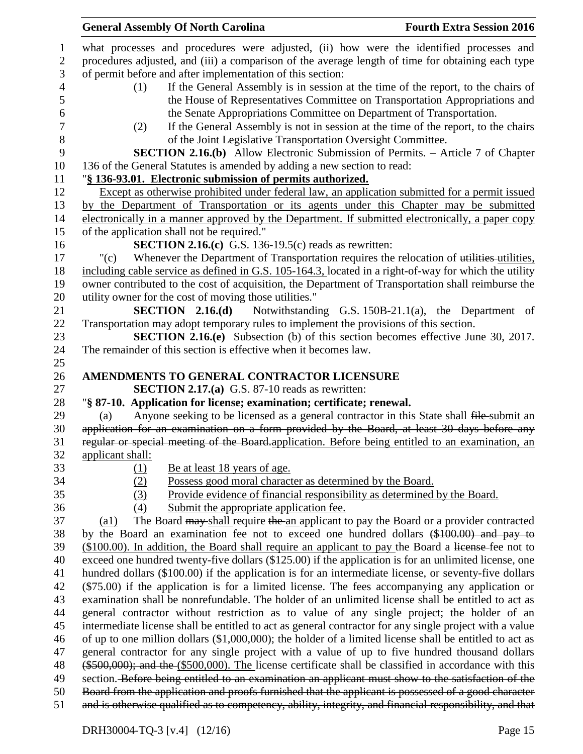|                | <b>General Assembly Of North Carolina</b><br><b>Fourth Extra Session 2016</b>                                                                                                                                  |
|----------------|----------------------------------------------------------------------------------------------------------------------------------------------------------------------------------------------------------------|
| $\mathbf{1}$   | what processes and procedures were adjusted, (ii) how were the identified processes and                                                                                                                        |
| $\overline{c}$ | procedures adjusted, and (iii) a comparison of the average length of time for obtaining each type                                                                                                              |
| 3              | of permit before and after implementation of this section:                                                                                                                                                     |
| 4              | If the General Assembly is in session at the time of the report, to the chairs of<br>(1)                                                                                                                       |
| 5              | the House of Representatives Committee on Transportation Appropriations and                                                                                                                                    |
| 6              | the Senate Appropriations Committee on Department of Transportation.                                                                                                                                           |
| 7              | If the General Assembly is not in session at the time of the report, to the chairs<br>(2)                                                                                                                      |
| 8              | of the Joint Legislative Transportation Oversight Committee.                                                                                                                                                   |
| 9              | SECTION 2.16.(b) Allow Electronic Submission of Permits. - Article 7 of Chapter                                                                                                                                |
| 10             | 136 of the General Statutes is amended by adding a new section to read:                                                                                                                                        |
| 11             | "§ 136-93.01. Electronic submission of permits authorized.                                                                                                                                                     |
| 12             | Except as otherwise prohibited under federal law, an application submitted for a permit issued                                                                                                                 |
| 13             | by the Department of Transportation or its agents under this Chapter may be submitted                                                                                                                          |
| 14             | electronically in a manner approved by the Department. If submitted electronically, a paper copy                                                                                                               |
| 15             | of the application shall not be required."                                                                                                                                                                     |
| 16             | <b>SECTION 2.16.(c)</b> G.S. 136-19.5(c) reads as rewritten:                                                                                                                                                   |
| 17             | Whenever the Department of Transportation requires the relocation of utilities utilities,<br>"(c)                                                                                                              |
| 18             | including cable service as defined in G.S. 105-164.3, located in a right-of-way for which the utility                                                                                                          |
| 19             | owner contributed to the cost of acquisition, the Department of Transportation shall reimburse the                                                                                                             |
| $20\,$         | utility owner for the cost of moving those utilities."                                                                                                                                                         |
| 21             | SECTION 2.16(d)<br>Notwithstanding G.S. 150B-21.1(a), the Department of                                                                                                                                        |
| 22             | Transportation may adopt temporary rules to implement the provisions of this section.                                                                                                                          |
| 23             | <b>SECTION 2.16.(e)</b> Subsection (b) of this section becomes effective June 30, 2017.                                                                                                                        |
| 24             | The remainder of this section is effective when it becomes law.                                                                                                                                                |
| 25             |                                                                                                                                                                                                                |
| 26             | AMENDMENTS TO GENERAL CONTRACTOR LICENSURE                                                                                                                                                                     |
| 27             | <b>SECTION 2.17.(a)</b> G.S. 87-10 reads as rewritten:                                                                                                                                                         |
| 28             | "§ 87-10. Application for license; examination; certificate; renewal.                                                                                                                                          |
| 29             | Anyone seeking to be licensed as a general contractor in this State shall file-submit an<br>(a)                                                                                                                |
| 30             | application for an examination on a form provided by the Board, at least 30 days before any                                                                                                                    |
| 31             | regular or special meeting of the Board application. Before being entitled to an examination, an                                                                                                               |
| 32             | applicant shall:                                                                                                                                                                                               |
| 33             | (1)<br><u>Be at least 18 years of age.</u>                                                                                                                                                                     |
| 34             | Possess good moral character as determined by the Board.<br>(2)                                                                                                                                                |
| 35             | (3)<br>Provide evidence of financial responsibility as determined by the Board.                                                                                                                                |
| 36             | (4)<br>Submit the appropriate application fee.                                                                                                                                                                 |
| 37             | The Board may shall require the an applicant to pay the Board or a provider contracted<br>$\left( a1\right)$                                                                                                   |
| 38             | by the Board an examination fee not to exceed one hundred dollars (\$100.00) and pay to                                                                                                                        |
| 39             | (\$100.00). In addition, the Board shall require an applicant to pay the Board a license-fee not to                                                                                                            |
| 40             |                                                                                                                                                                                                                |
| 41             | exceed one hundred twenty-five dollars (\$125.00) if the application is for an unlimited license, one                                                                                                          |
| 42             | hundred dollars (\$100.00) if the application is for an intermediate license, or seventy-five dollars                                                                                                          |
|                | $(\$75.00)$ if the application is for a limited license. The fees accompanying any application or                                                                                                              |
| 43             | examination shall be nonrefundable. The holder of an unlimited license shall be entitled to act as                                                                                                             |
| 44             | general contractor without restriction as to value of any single project; the holder of an                                                                                                                     |
| 45             | intermediate license shall be entitled to act as general contractor for any single project with a value                                                                                                        |
| 46             | of up to one million dollars $(\$1,000,000)$ ; the holder of a limited license shall be entitled to act as                                                                                                     |
| 47             | general contractor for any single project with a value of up to five hundred thousand dollars                                                                                                                  |
| 48             | $(*500,000)$ ; and the $(*500,000)$ . The license certificate shall be classified in accordance with this                                                                                                      |
| 49             | section. Before being entitled to an examination an applicant must show to the satisfaction of the                                                                                                             |
| 50<br>51       | Board from the application and proofs furnished that the applicant is possessed of a good character<br>and is otherwise qualified as to competency, ability, integrity, and financial responsibility, and that |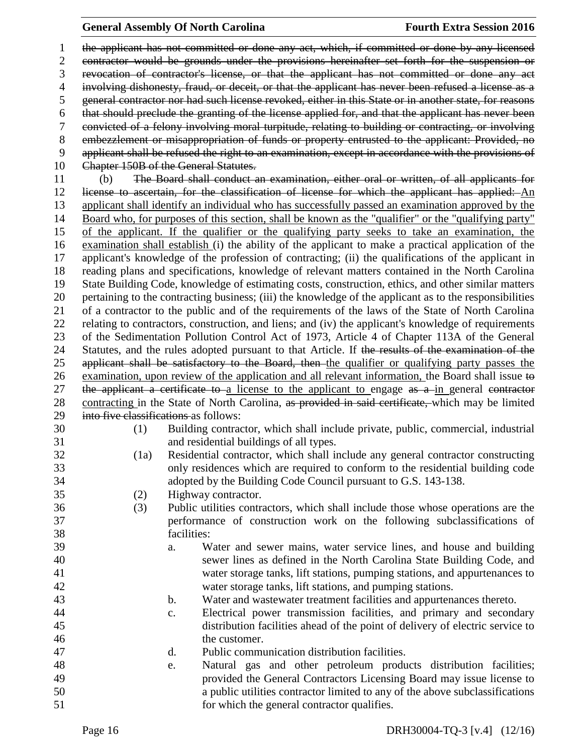the applicant has not committed or done any act, which, if committed or done by any licensed contractor would be grounds under the provisions hereinafter set forth for the suspension or revocation of contractor's license, or that the applicant has not committed or done any act involving dishonesty, fraud, or deceit, or that the applicant has never been refused a license as a general contractor nor had such license revoked, either in this State or in another state, for reasons that should preclude the granting of the license applied for, and that the applicant has never been convicted of a felony involving moral turpitude, relating to building or contracting, or involving embezzlement or misappropriation of funds or property entrusted to the applicant: Provided, no applicant shall be refused the right to an examination, except in accordance with the provisions of 10 Chapter 150B of the General Statutes. (b) The Board shall conduct an examination, either oral or written, of all applicants for license to ascertain, for the classification of license for which the applicant has applied: An applicant shall identify an individual who has successfully passed an examination approved by the Board who, for purposes of this section, shall be known as the "qualifier" or the "qualifying party" of the applicant. If the qualifier or the qualifying party seeks to take an examination, the examination shall establish (i) the ability of the applicant to make a practical application of the applicant's knowledge of the profession of contracting; (ii) the qualifications of the applicant in reading plans and specifications, knowledge of relevant matters contained in the North Carolina State Building Code, knowledge of estimating costs, construction, ethics, and other similar matters pertaining to the contracting business; (iii) the knowledge of the applicant as to the responsibilities of a contractor to the public and of the requirements of the laws of the State of North Carolina relating to contractors, construction, and liens; and (iv) the applicant's knowledge of requirements of the Sedimentation Pollution Control Act of 1973, Article 4 of Chapter 113A of the General 24 Statutes, and the rules adopted pursuant to that Article. If the results of the examination of the applicant shall be satisfactory to the Board, then the qualifier or qualifying party passes the examination, upon review of the application and all relevant information, the Board shall issue to 27 the applicant a certificate to a license to the applicant to engage  $\frac{a}{a}$  a in general contractor 28 contracting in the State of North Carolina, as provided in said certificate, which may be limited into five classifications as follows: (1) Building contractor, which shall include private, public, commercial, industrial and residential buildings of all types. (1a) Residential contractor, which shall include any general contractor constructing only residences which are required to conform to the residential building code adopted by the Building Code Council pursuant to G.S. 143-138. (2) Highway contractor. (3) Public utilities contractors, which shall include those whose operations are the performance of construction work on the following subclassifications of facilities: a. Water and sewer mains, water service lines, and house and building sewer lines as defined in the North Carolina State Building Code, and water storage tanks, lift stations, pumping stations, and appurtenances to water storage tanks, lift stations, and pumping stations. b. Water and wastewater treatment facilities and appurtenances thereto. c. Electrical power transmission facilities, and primary and secondary distribution facilities ahead of the point of delivery of electric service to the customer. d. Public communication distribution facilities. e. Natural gas and other petroleum products distribution facilities; provided the General Contractors Licensing Board may issue license to a public utilities contractor limited to any of the above subclassifications for which the general contractor qualifies.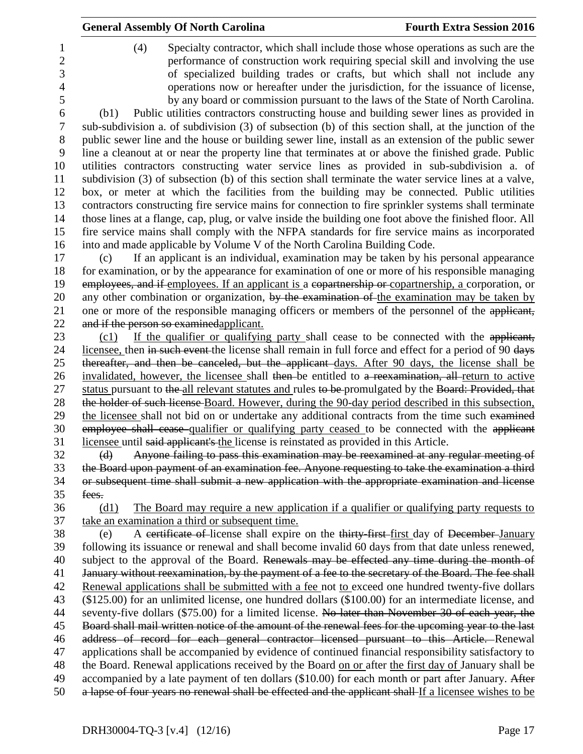|             | <b>General Assembly Of North Carolina</b>                                                                                                                                                                  | <b>Fourth Extra Session 2016</b>                                                                                                                                                                                                                                                                                                                                                                                       |
|-------------|------------------------------------------------------------------------------------------------------------------------------------------------------------------------------------------------------------|------------------------------------------------------------------------------------------------------------------------------------------------------------------------------------------------------------------------------------------------------------------------------------------------------------------------------------------------------------------------------------------------------------------------|
| (4)<br>(b1) | Public utilities contractors constructing house and building sewer lines as provided in                                                                                                                    | Specialty contractor, which shall include those whose operations as such are the<br>performance of construction work requiring special skill and involving the use<br>of specialized building trades or crafts, but which shall not include any<br>operations now or hereafter under the jurisdiction, for the issuance of license,<br>by any board or commission pursuant to the laws of the State of North Carolina. |
|             | sub-subdivision a. of subdivision (3) of subsection (b) of this section shall, at the junction of the                                                                                                      |                                                                                                                                                                                                                                                                                                                                                                                                                        |
|             | public sewer line and the house or building sewer line, install as an extension of the public sewer<br>line a cleanout at or near the property line that terminates at or above the finished grade. Public |                                                                                                                                                                                                                                                                                                                                                                                                                        |
|             | utilities contractors constructing water service lines as provided in sub-subdivision a. of<br>subdivision (3) of subsection (b) of this section shall terminate the water service lines at a valve,       |                                                                                                                                                                                                                                                                                                                                                                                                                        |
|             | box, or meter at which the facilities from the building may be connected. Public utilities<br>contractors constructing fire service mains for connection to fire sprinkler systems shall terminate         |                                                                                                                                                                                                                                                                                                                                                                                                                        |
|             | those lines at a flange, cap, plug, or valve inside the building one foot above the finished floor. All                                                                                                    |                                                                                                                                                                                                                                                                                                                                                                                                                        |
|             | fire service mains shall comply with the NFPA standards for fire service mains as incorporated                                                                                                             |                                                                                                                                                                                                                                                                                                                                                                                                                        |
|             | into and made applicable by Volume V of the North Carolina Building Code.                                                                                                                                  |                                                                                                                                                                                                                                                                                                                                                                                                                        |
| (c)         | If an applicant is an individual, examination may be taken by his personal appearance<br>for examination, or by the appearance for examination of one or more of his responsible managing                  |                                                                                                                                                                                                                                                                                                                                                                                                                        |
|             | employees, and if employees. If an applicant is a copartnership or copartnership, a corporation, or                                                                                                        |                                                                                                                                                                                                                                                                                                                                                                                                                        |
|             | any other combination or organization, by the examination of the examination may be taken by                                                                                                               |                                                                                                                                                                                                                                                                                                                                                                                                                        |
|             | one or more of the responsible managing officers or members of the personnel of the applicant,                                                                                                             |                                                                                                                                                                                                                                                                                                                                                                                                                        |
|             | and if the person so examined applicant.                                                                                                                                                                   |                                                                                                                                                                                                                                                                                                                                                                                                                        |
| (c1)        | If the qualifier or qualifying party shall cease to be connected with the applicant,                                                                                                                       |                                                                                                                                                                                                                                                                                                                                                                                                                        |
|             | licensee, then in such event the license shall remain in full force and effect for a period of 90 days                                                                                                     |                                                                                                                                                                                                                                                                                                                                                                                                                        |
|             | thereafter, and then be canceled, but the applicant days. After 90 days, the license shall be                                                                                                              |                                                                                                                                                                                                                                                                                                                                                                                                                        |
|             | invalidated, however, the licensee shall then be entitled to a reexamination, all return to active                                                                                                         |                                                                                                                                                                                                                                                                                                                                                                                                                        |
|             | status pursuant to the all relevant statutes and rules to be promulgated by the Board: Provided, that                                                                                                      |                                                                                                                                                                                                                                                                                                                                                                                                                        |
|             | the holder of such license-Board. However, during the 90-day period described in this subsection,                                                                                                          |                                                                                                                                                                                                                                                                                                                                                                                                                        |
|             | the licensee shall not bid on or undertake any additional contracts from the time such examined                                                                                                            |                                                                                                                                                                                                                                                                                                                                                                                                                        |
|             | employee shall cease qualifier or qualifying party ceased to be connected with the applicant                                                                                                               |                                                                                                                                                                                                                                                                                                                                                                                                                        |
|             | licensee until said applicant's the license is reinstated as provided in this Article.                                                                                                                     |                                                                                                                                                                                                                                                                                                                                                                                                                        |
| $\Theta$    | Anyone failing to pass this examination may be reexamined at any regular meeting of                                                                                                                        |                                                                                                                                                                                                                                                                                                                                                                                                                        |
|             | the Board upon payment of an examination fee. Anyone requesting to take the examination a third                                                                                                            |                                                                                                                                                                                                                                                                                                                                                                                                                        |
|             | or subsequent time shall submit a new application with the appropriate examination and license                                                                                                             |                                                                                                                                                                                                                                                                                                                                                                                                                        |
| fees.       |                                                                                                                                                                                                            |                                                                                                                                                                                                                                                                                                                                                                                                                        |
| (d1)        | The Board may require a new application if a qualifier or qualifying party requests to                                                                                                                     |                                                                                                                                                                                                                                                                                                                                                                                                                        |
|             | take an examination a third or subsequent time.                                                                                                                                                            |                                                                                                                                                                                                                                                                                                                                                                                                                        |
| (e)         | A certificate of license shall expire on the thirty-first-first day of December-January                                                                                                                    |                                                                                                                                                                                                                                                                                                                                                                                                                        |
|             | following its issuance or renewal and shall become invalid 60 days from that date unless renewed,<br>subject to the approval of the Board. Renewals may be effected any time during the month of           |                                                                                                                                                                                                                                                                                                                                                                                                                        |
|             | January without reexamination, by the payment of a fee to the secretary of the Board. The fee shall                                                                                                        |                                                                                                                                                                                                                                                                                                                                                                                                                        |
|             | Renewal applications shall be submitted with a fee not to exceed one hundred twenty-five dollars                                                                                                           |                                                                                                                                                                                                                                                                                                                                                                                                                        |
|             | $(\$125.00)$ for an unlimited license, one hundred dollars $(\$100.00)$ for an intermediate license, and                                                                                                   |                                                                                                                                                                                                                                                                                                                                                                                                                        |
|             | seventy-five dollars (\$75.00) for a limited license. No later than November 30 of each year, the                                                                                                          |                                                                                                                                                                                                                                                                                                                                                                                                                        |
|             | Board shall mail written notice of the amount of the renewal fees for the upcoming year to the last                                                                                                        |                                                                                                                                                                                                                                                                                                                                                                                                                        |
|             | address of record for each general contractor licensed pursuant to this Article. Renewal                                                                                                                   |                                                                                                                                                                                                                                                                                                                                                                                                                        |
|             | applications shall be accompanied by evidence of continued financial responsibility satisfactory to                                                                                                        |                                                                                                                                                                                                                                                                                                                                                                                                                        |
|             | the Board. Renewal applications received by the Board on or after the first day of January shall be                                                                                                        |                                                                                                                                                                                                                                                                                                                                                                                                                        |
|             | accompanied by a late payment of ten dollars (\$10.00) for each month or part after January. After                                                                                                         |                                                                                                                                                                                                                                                                                                                                                                                                                        |
|             | a lapse of four years no renewal shall be effected and the applicant shall If a licensee wishes to be                                                                                                      |                                                                                                                                                                                                                                                                                                                                                                                                                        |
|             |                                                                                                                                                                                                            |                                                                                                                                                                                                                                                                                                                                                                                                                        |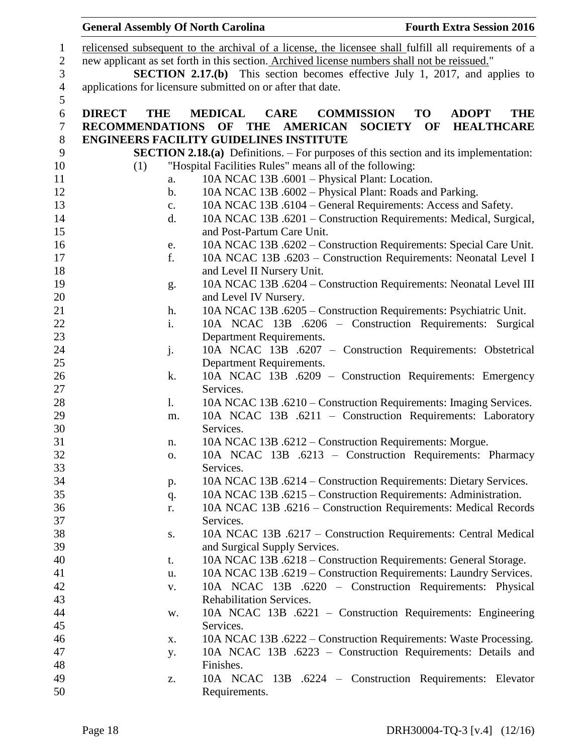|               |                                                                                              |                | <b>General Assembly Of North Carolina</b>                                                            |                   |           | <b>Fourth Extra Session 2016</b> |
|---------------|----------------------------------------------------------------------------------------------|----------------|------------------------------------------------------------------------------------------------------|-------------------|-----------|----------------------------------|
|               |                                                                                              |                | relicensed subsequent to the archival of a license, the licensee shall fulfill all requirements of a |                   |           |                                  |
|               | new applicant as set forth in this section. Archived license numbers shall not be reissued." |                |                                                                                                      |                   |           |                                  |
|               | <b>SECTION 2.17.(b)</b> This section becomes effective July 1, 2017, and applies to          |                |                                                                                                      |                   |           |                                  |
|               | applications for licensure submitted on or after that date.                                  |                |                                                                                                      |                   |           |                                  |
| <b>DIRECT</b> | <b>THE</b>                                                                                   |                | <b>MEDICAL</b><br><b>CARE</b>                                                                        | <b>COMMISSION</b> | <b>TO</b> | <b>ADOPT</b><br><b>THE</b>       |
|               | <b>RECOMMENDATIONS</b>                                                                       |                | OF<br><b>THE</b><br><b>AMERICAN</b>                                                                  | <b>SOCIETY</b>    | OF        | <b>HEALTHCARE</b>                |
|               |                                                                                              |                | <b>ENGINEERS FACILITY GUIDELINES INSTITUTE</b>                                                       |                   |           |                                  |
|               |                                                                                              |                | <b>SECTION 2.18.(a)</b> Definitions. – For purposes of this section and its implementation:          |                   |           |                                  |
|               | (1)                                                                                          |                | "Hospital Facilities Rules" means all of the following:                                              |                   |           |                                  |
|               |                                                                                              | a.             | 10A NCAC 13B .6001 - Physical Plant: Location.                                                       |                   |           |                                  |
|               |                                                                                              | $\mathbf b$ .  | 10A NCAC 13B .6002 - Physical Plant: Roads and Parking.                                              |                   |           |                                  |
|               |                                                                                              | c.             | 10A NCAC 13B .6104 – General Requirements: Access and Safety.                                        |                   |           |                                  |
|               |                                                                                              | d.             | 10A NCAC 13B .6201 - Construction Requirements: Medical, Surgical,                                   |                   |           |                                  |
|               |                                                                                              |                | and Post-Partum Care Unit.                                                                           |                   |           |                                  |
|               |                                                                                              |                | 10A NCAC 13B .6202 - Construction Requirements: Special Care Unit.                                   |                   |           |                                  |
|               |                                                                                              | e.<br>f.       | 10A NCAC 13B .6203 - Construction Requirements: Neonatal Level I                                     |                   |           |                                  |
|               |                                                                                              |                |                                                                                                      |                   |           |                                  |
|               |                                                                                              |                | and Level II Nursery Unit.<br>10A NCAC 13B .6204 – Construction Requirements: Neonatal Level III     |                   |           |                                  |
|               |                                                                                              | g.             | and Level IV Nursery.                                                                                |                   |           |                                  |
|               |                                                                                              | h.             | 10A NCAC 13B .6205 - Construction Requirements: Psychiatric Unit.                                    |                   |           |                                  |
|               |                                                                                              | i.             | 10A NCAC 13B .6206 - Construction Requirements: Surgical                                             |                   |           |                                  |
|               |                                                                                              |                |                                                                                                      |                   |           |                                  |
|               |                                                                                              |                | Department Requirements.                                                                             |                   |           |                                  |
|               |                                                                                              | j.             | 10A NCAC 13B .6207 - Construction Requirements: Obstetrical                                          |                   |           |                                  |
|               |                                                                                              | k.             | Department Requirements.<br>10A NCAC 13B .6209 – Construction Requirements: Emergency                |                   |           |                                  |
|               |                                                                                              |                | Services.                                                                                            |                   |           |                                  |
|               |                                                                                              | $\mathbf{l}$ . | 10A NCAC 13B .6210 – Construction Requirements: Imaging Services.                                    |                   |           |                                  |
|               |                                                                                              |                | 10A NCAC 13B .6211 - Construction Requirements: Laboratory                                           |                   |           |                                  |
|               |                                                                                              | m.             | Services.                                                                                            |                   |           |                                  |
|               |                                                                                              |                | 10A NCAC 13B .6212 – Construction Requirements: Morgue.                                              |                   |           |                                  |
|               |                                                                                              | n.<br>0.       | 10A NCAC 13B .6213 - Construction Requirements: Pharmacy                                             |                   |           |                                  |
|               |                                                                                              |                | Services.                                                                                            |                   |           |                                  |
|               |                                                                                              |                | 10A NCAC 13B .6214 – Construction Requirements: Dietary Services.                                    |                   |           |                                  |
|               |                                                                                              | p.             | 10A NCAC 13B .6215 – Construction Requirements: Administration.                                      |                   |           |                                  |
|               |                                                                                              | q.<br>r.       | 10A NCAC 13B .6216 - Construction Requirements: Medical Records                                      |                   |           |                                  |
|               |                                                                                              |                | Services.                                                                                            |                   |           |                                  |
|               |                                                                                              | S.             | 10A NCAC 13B .6217 – Construction Requirements: Central Medical                                      |                   |           |                                  |
|               |                                                                                              |                | and Surgical Supply Services.                                                                        |                   |           |                                  |
|               |                                                                                              | t.             | 10A NCAC 13B .6218 – Construction Requirements: General Storage.                                     |                   |           |                                  |
|               |                                                                                              | u.             | 10A NCAC 13B .6219 – Construction Requirements: Laundry Services.                                    |                   |           |                                  |
|               |                                                                                              | $\mathbf{V}$ . | 10A NCAC 13B .6220 - Construction Requirements: Physical                                             |                   |           |                                  |
|               |                                                                                              |                | <b>Rehabilitation Services.</b>                                                                      |                   |           |                                  |
|               |                                                                                              |                | 10A NCAC 13B .6221 – Construction Requirements: Engineering                                          |                   |           |                                  |
|               |                                                                                              | w.             | Services.                                                                                            |                   |           |                                  |
|               |                                                                                              |                | 10A NCAC 13B .6222 – Construction Requirements: Waste Processing.                                    |                   |           |                                  |
|               |                                                                                              | X.             | 10A NCAC 13B .6223 - Construction Requirements: Details and                                          |                   |           |                                  |
|               |                                                                                              | у.             | Finishes.                                                                                            |                   |           |                                  |
|               |                                                                                              |                | 10A NCAC 13B .6224 – Construction Requirements: Elevator                                             |                   |           |                                  |
|               |                                                                                              | z.             | Requirements.                                                                                        |                   |           |                                  |
|               |                                                                                              |                |                                                                                                      |                   |           |                                  |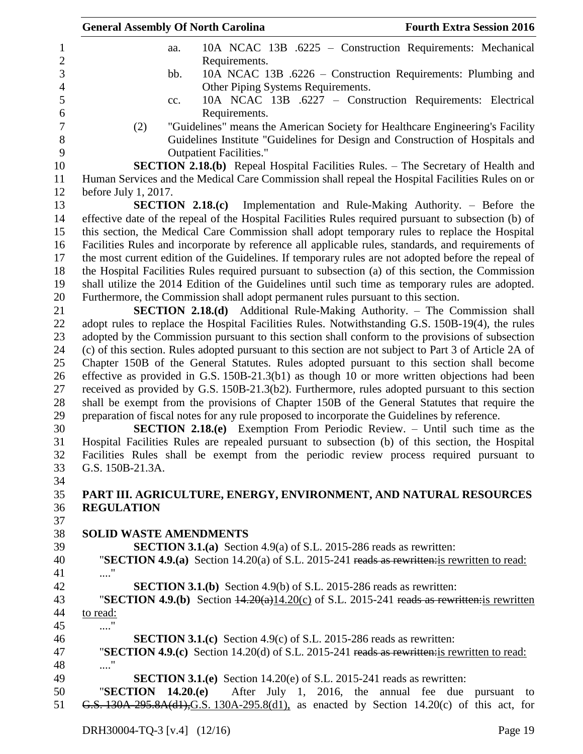| <b>General Assembly Of North Carolina</b>                                                     | <b>Fourth Extra Session 2016</b>                                                                       |
|-----------------------------------------------------------------------------------------------|--------------------------------------------------------------------------------------------------------|
| aa.                                                                                           | 10A NCAC 13B .6225 - Construction Requirements: Mechanical                                             |
| Requirements.                                                                                 |                                                                                                        |
| bb.                                                                                           | 10A NCAC 13B .6226 – Construction Requirements: Plumbing and                                           |
| Other Piping Systems Requirements.                                                            |                                                                                                        |
| cc.                                                                                           | 10A NCAC 13B .6227 – Construction Requirements: Electrical                                             |
| Requirements.                                                                                 |                                                                                                        |
| (2)                                                                                           | "Guidelines" means the American Society for Healthcare Engineering's Facility                          |
|                                                                                               | Guidelines Institute "Guidelines for Design and Construction of Hospitals and                          |
| <b>Outpatient Facilities."</b>                                                                |                                                                                                        |
|                                                                                               | <b>SECTION 2.18.(b)</b> Repeal Hospital Facilities Rules. – The Secretary of Health and                |
|                                                                                               | Human Services and the Medical Care Commission shall repeal the Hospital Facilities Rules on or        |
| before July 1, 2017.                                                                          |                                                                                                        |
|                                                                                               | <b>SECTION 2.18.(c)</b> Implementation and Rule-Making Authority. – Before the                         |
|                                                                                               | effective date of the repeal of the Hospital Facilities Rules required pursuant to subsection (b) of   |
|                                                                                               | this section, the Medical Care Commission shall adopt temporary rules to replace the Hospital          |
|                                                                                               | Facilities Rules and incorporate by reference all applicable rules, standards, and requirements of     |
|                                                                                               | the most current edition of the Guidelines. If temporary rules are not adopted before the repeal of    |
|                                                                                               | the Hospital Facilities Rules required pursuant to subsection (a) of this section, the Commission      |
|                                                                                               | shall utilize the 2014 Edition of the Guidelines until such time as temporary rules are adopted.       |
| Furthermore, the Commission shall adopt permanent rules pursuant to this section.             |                                                                                                        |
|                                                                                               | <b>SECTION 2.18.(d)</b> Additional Rule-Making Authority. – The Commission shall                       |
|                                                                                               | adopt rules to replace the Hospital Facilities Rules. Notwithstanding G.S. 150B-19(4), the rules       |
|                                                                                               | adopted by the Commission pursuant to this section shall conform to the provisions of subsection       |
|                                                                                               | (c) of this section. Rules adopted pursuant to this section are not subject to Part 3 of Article 2A of |
|                                                                                               | Chapter 150B of the General Statutes. Rules adopted pursuant to this section shall become              |
|                                                                                               | effective as provided in G.S. 150B-21.3(b1) as though 10 or more written objections had been           |
|                                                                                               | received as provided by G.S. 150B-21.3(b2). Furthermore, rules adopted pursuant to this section        |
|                                                                                               | shall be exempt from the provisions of Chapter 150B of the General Statutes that require the           |
| preparation of fiscal notes for any rule proposed to incorporate the Guidelines by reference. |                                                                                                        |
|                                                                                               | <b>SECTION 2.18.(e)</b> Exemption From Periodic Review. – Until such time as the                       |
|                                                                                               | Hospital Facilities Rules are repealed pursuant to subsection (b) of this section, the Hospital        |
|                                                                                               | Facilities Rules shall be exempt from the periodic review process required pursuant to                 |
| G.S. 150B-21.3A.                                                                              |                                                                                                        |
|                                                                                               |                                                                                                        |
|                                                                                               | PART III. AGRICULTURE, ENERGY, ENVIRONMENT, AND NATURAL RESOURCES                                      |
| <b>REGULATION</b>                                                                             |                                                                                                        |
|                                                                                               |                                                                                                        |
| <b>SOLID WASTE AMENDMENTS</b>                                                                 |                                                                                                        |
|                                                                                               | <b>SECTION 3.1.(a)</b> Section 4.9(a) of S.L. 2015-286 reads as rewritten:                             |
|                                                                                               | "SECTION 4.9.(a) Section 14.20(a) of S.L. 2015-241 reads as rewritten: is rewritten to read:           |
| $\ldots$ "                                                                                    |                                                                                                        |
|                                                                                               | <b>SECTION 3.1.(b)</b> Section 4.9(b) of S.L. 2015-286 reads as rewritten:                             |
|                                                                                               | "SECTION 4.9.(b) Section $\frac{14.20(a)14.20(c)}{2015-241}$ reads as rewritten; is rewritten          |
| to read:                                                                                      |                                                                                                        |
|                                                                                               |                                                                                                        |
|                                                                                               | <b>SECTION 3.1.(c)</b> Section 4.9(c) of S.L. 2015-286 reads as rewritten:                             |
|                                                                                               | "SECTION 4.9.(c) Section 14.20(d) of S.L. 2015-241 reads as rewritten: is rewritten to read:           |
| $\ldots\overset{~}{.}$                                                                        |                                                                                                        |
|                                                                                               | <b>SECTION 3.1.(e)</b> Section 14.20(e) of S.L. 2015-241 reads as rewritten:                           |
| "SECTION $14.20(e)$                                                                           | After July 1, 2016, the annual fee due pursuant to                                                     |
|                                                                                               | G.S. $130A-295.8A(d1)$ , G.S. 130A-295.8(d1), as enacted by Section 14.20(c) of this act, for          |
|                                                                                               |                                                                                                        |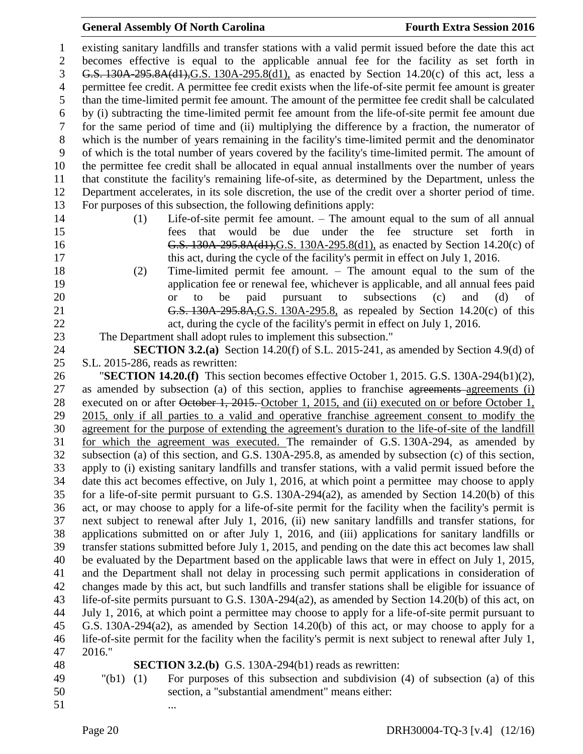existing sanitary landfills and transfer stations with a valid permit issued before the date this act becomes effective is equal to the applicable annual fee for the facility as set forth in G.S. 130A-295.8A(d1),G.S. 130A-295.8(d1), as enacted by Section 14.20(c) of this act, less a permittee fee credit. A permittee fee credit exists when the life-of-site permit fee amount is greater than the time-limited permit fee amount. The amount of the permittee fee credit shall be calculated by (i) subtracting the time-limited permit fee amount from the life-of-site permit fee amount due for the same period of time and (ii) multiplying the difference by a fraction, the numerator of which is the number of years remaining in the facility's time-limited permit and the denominator of which is the total number of years covered by the facility's time-limited permit. The amount of the permittee fee credit shall be allocated in equal annual installments over the number of years that constitute the facility's remaining life-of-site, as determined by the Department, unless the Department accelerates, in its sole discretion, the use of the credit over a shorter period of time. For purposes of this subsection, the following definitions apply:

- 
- 
- (1) Life-of-site permit fee amount. The amount equal to the sum of all annual fees that would be due under the fee structure set forth in **G.S. 130A-295.8A(d1), G.S.** 130A-295.8(d1), as enacted by Section 14.20(c) of this act, during the cycle of the facility's permit in effect on July 1, 2016.
- (2) Time-limited permit fee amount. The amount equal to the sum of the application fee or renewal fee, whichever is applicable, and all annual fees paid or to be paid pursuant to subsections (c) and (d) of G.S. 130A-295.8A,G.S. 130A-295.8, as repealed by Section 14.20(c) of this 22 act, during the cycle of the facility's permit in effect on July 1, 2016.

The Department shall adopt rules to implement this subsection."

 **SECTION 3.2.(a)** Section 14.20(f) of S.L. 2015-241, as amended by Section 4.9(d) of S.L. 2015-286, reads as rewritten:

 "**SECTION 14.20.(f)** This section becomes effective October 1, 2015. G.S. 130A-294(b1)(2), as amended by subsection (a) of this section, applies to franchise agreements agreements (i) 28 executed on or after October 1, 2015. October 1, 2015, and (ii) executed on or before October 1, 2015, only if all parties to a valid and operative franchise agreement consent to modify the agreement for the purpose of extending the agreement's duration to the life-of-site of the landfill for which the agreement was executed. The remainder of G.S. 130A-294, as amended by subsection (a) of this section, and G.S. 130A-295.8, as amended by subsection (c) of this section, apply to (i) existing sanitary landfills and transfer stations, with a valid permit issued before the date this act becomes effective, on July 1, 2016, at which point a permittee may choose to apply for a life-of-site permit pursuant to G.S. 130A-294(a2), as amended by Section 14.20(b) of this act, or may choose to apply for a life-of-site permit for the facility when the facility's permit is next subject to renewal after July 1, 2016, (ii) new sanitary landfills and transfer stations, for applications submitted on or after July 1, 2016, and (iii) applications for sanitary landfills or transfer stations submitted before July 1, 2015, and pending on the date this act becomes law shall be evaluated by the Department based on the applicable laws that were in effect on July 1, 2015, and the Department shall not delay in processing such permit applications in consideration of changes made by this act, but such landfills and transfer stations shall be eligible for issuance of life-of-site permits pursuant to G.S. 130A-294(a2), as amended by Section 14.20(b) of this act, on July 1, 2016, at which point a permittee may choose to apply for a life-of-site permit pursuant to G.S. 130A-294(a2), as amended by Section 14.20(b) of this act, or may choose to apply for a life-of-site permit for the facility when the facility's permit is next subject to renewal after July 1, 2016."

 **SECTION 3.2.(b)** G.S. 130A-294(b1) reads as rewritten: "(b1) (1) For purposes of this subsection and subdivision (4) of subsection (a) of this section, a "substantial amendment" means either:

51 ...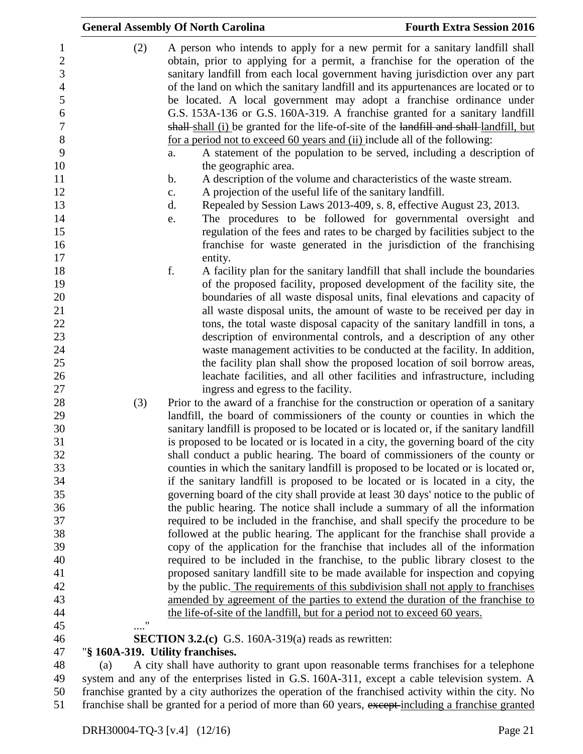|               | <b>General Assembly Of North Carolina</b>                                                                                                                                                                                                                                                                                                                                                                                                                                                   | <b>Fourth Extra Session 2016</b>                                                                                                                        |
|---------------|---------------------------------------------------------------------------------------------------------------------------------------------------------------------------------------------------------------------------------------------------------------------------------------------------------------------------------------------------------------------------------------------------------------------------------------------------------------------------------------------|---------------------------------------------------------------------------------------------------------------------------------------------------------|
| (2)           | A person who intends to apply for a new permit for a sanitary landfill shall<br>obtain, prior to applying for a permit, a franchise for the operation of the<br>sanitary landfill from each local government having jurisdiction over any part<br>of the land on which the sanitary landfill and its appurtenances are located or to<br>be located. A local government may adopt a franchise ordinance under<br>G.S. 153A-136 or G.S. 160A-319. A franchise granted for a sanitary landfill |                                                                                                                                                         |
|               | shall shall (i) be granted for the life-of-site of the landfill and shall landfill, but<br>for a period not to exceed 60 years and (ii) include all of the following:<br>a.                                                                                                                                                                                                                                                                                                                 | A statement of the population to be served, including a description of                                                                                  |
|               | the geographic area.<br>A description of the volume and characteristics of the waste stream.<br>b.                                                                                                                                                                                                                                                                                                                                                                                          |                                                                                                                                                         |
|               | A projection of the useful life of the sanitary landfill.<br>c.                                                                                                                                                                                                                                                                                                                                                                                                                             |                                                                                                                                                         |
|               | d.                                                                                                                                                                                                                                                                                                                                                                                                                                                                                          | Repealed by Session Laws 2013-409, s. 8, effective August 23, 2013.                                                                                     |
|               | e.                                                                                                                                                                                                                                                                                                                                                                                                                                                                                          | The procedures to be followed for governmental oversight and                                                                                            |
|               |                                                                                                                                                                                                                                                                                                                                                                                                                                                                                             | regulation of the fees and rates to be charged by facilities subject to the<br>franchise for waste generated in the jurisdiction of the franchising     |
|               | entity.                                                                                                                                                                                                                                                                                                                                                                                                                                                                                     |                                                                                                                                                         |
|               | f.                                                                                                                                                                                                                                                                                                                                                                                                                                                                                          | A facility plan for the sanitary landfill that shall include the boundaries                                                                             |
|               |                                                                                                                                                                                                                                                                                                                                                                                                                                                                                             | of the proposed facility, proposed development of the facility site, the                                                                                |
|               |                                                                                                                                                                                                                                                                                                                                                                                                                                                                                             | boundaries of all waste disposal units, final elevations and capacity of                                                                                |
|               |                                                                                                                                                                                                                                                                                                                                                                                                                                                                                             | all waste disposal units, the amount of waste to be received per day in                                                                                 |
|               |                                                                                                                                                                                                                                                                                                                                                                                                                                                                                             | tons, the total waste disposal capacity of the sanitary landfill in tons, a                                                                             |
|               |                                                                                                                                                                                                                                                                                                                                                                                                                                                                                             | description of environmental controls, and a description of any other                                                                                   |
|               |                                                                                                                                                                                                                                                                                                                                                                                                                                                                                             | waste management activities to be conducted at the facility. In addition,                                                                               |
|               |                                                                                                                                                                                                                                                                                                                                                                                                                                                                                             | the facility plan shall show the proposed location of soil borrow areas,<br>leachate facilities, and all other facilities and infrastructure, including |
|               | ingress and egress to the facility.                                                                                                                                                                                                                                                                                                                                                                                                                                                         |                                                                                                                                                         |
| (3)           | Prior to the award of a franchise for the construction or operation of a sanitary                                                                                                                                                                                                                                                                                                                                                                                                           |                                                                                                                                                         |
|               | landfill, the board of commissioners of the county or counties in which the                                                                                                                                                                                                                                                                                                                                                                                                                 |                                                                                                                                                         |
|               | sanitary landfill is proposed to be located or is located or, if the sanitary landfill                                                                                                                                                                                                                                                                                                                                                                                                      |                                                                                                                                                         |
|               | is proposed to be located or is located in a city, the governing board of the city<br>shall conduct a public hearing. The board of commissioners of the county or                                                                                                                                                                                                                                                                                                                           |                                                                                                                                                         |
|               | counties in which the sanitary landfill is proposed to be located or is located or,                                                                                                                                                                                                                                                                                                                                                                                                         |                                                                                                                                                         |
|               | if the sanitary landfill is proposed to be located or is located in a city, the                                                                                                                                                                                                                                                                                                                                                                                                             |                                                                                                                                                         |
|               | governing board of the city shall provide at least 30 days' notice to the public of                                                                                                                                                                                                                                                                                                                                                                                                         |                                                                                                                                                         |
|               | the public hearing. The notice shall include a summary of all the information                                                                                                                                                                                                                                                                                                                                                                                                               |                                                                                                                                                         |
|               | required to be included in the franchise, and shall specify the procedure to be                                                                                                                                                                                                                                                                                                                                                                                                             |                                                                                                                                                         |
|               | followed at the public hearing. The applicant for the franchise shall provide a                                                                                                                                                                                                                                                                                                                                                                                                             |                                                                                                                                                         |
|               | copy of the application for the franchise that includes all of the information                                                                                                                                                                                                                                                                                                                                                                                                              |                                                                                                                                                         |
|               | required to be included in the franchise, to the public library closest to the                                                                                                                                                                                                                                                                                                                                                                                                              |                                                                                                                                                         |
|               | proposed sanitary landfill site to be made available for inspection and copying                                                                                                                                                                                                                                                                                                                                                                                                             |                                                                                                                                                         |
|               | by the public. The requirements of this subdivision shall not apply to franchises                                                                                                                                                                                                                                                                                                                                                                                                           |                                                                                                                                                         |
|               | amended by agreement of the parties to extend the duration of the franchise to                                                                                                                                                                                                                                                                                                                                                                                                              |                                                                                                                                                         |
| $\pmb{\cdot}$ | the life-of-site of the landfill, but for a period not to exceed 60 years.                                                                                                                                                                                                                                                                                                                                                                                                                  |                                                                                                                                                         |
|               |                                                                                                                                                                                                                                                                                                                                                                                                                                                                                             |                                                                                                                                                         |
|               | <b>SECTION 3.2.(c)</b> G.S. 160A-319(a) reads as rewritten:                                                                                                                                                                                                                                                                                                                                                                                                                                 |                                                                                                                                                         |
|               | "§ 160A-319. Utility franchises.                                                                                                                                                                                                                                                                                                                                                                                                                                                            |                                                                                                                                                         |
| (a)           | A city shall have authority to grant upon reasonable terms franchises for a telephone<br>system and any of the enterprises listed in G.S. 160A-311, except a cable television system. A                                                                                                                                                                                                                                                                                                     |                                                                                                                                                         |
|               | franchise granted by a city authorizes the operation of the franchised activity within the city. No                                                                                                                                                                                                                                                                                                                                                                                         |                                                                                                                                                         |
|               | franchise shall be granted for a period of more than 60 years, except-including a franchise granted                                                                                                                                                                                                                                                                                                                                                                                         |                                                                                                                                                         |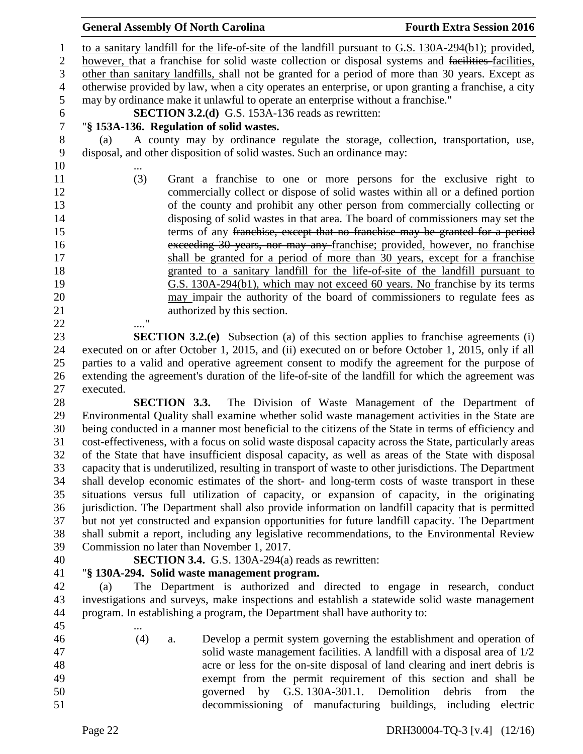to a sanitary landfill for the life-of-site of the landfill pursuant to G.S. 130A-294(b1); provided, however, that a franchise for solid waste collection or disposal systems and facilities facilities, other than sanitary landfills, shall not be granted for a period of more than 30 years. Except as otherwise provided by law, when a city operates an enterprise, or upon granting a franchise, a city may by ordinance make it unlawful to operate an enterprise without a franchise." **SECTION 3.2.(d)** G.S. 153A-136 reads as rewritten:<br>7 <sup>"§</sup> 153A-136. Regulation of solid wastes. "**§ 153A-136. Regulation of solid wastes.** (a) A county may by ordinance regulate the storage, collection, transportation, use, disposal, and other disposition of solid wastes. Such an ordinance may:  $10<sup>°</sup>$  (3) Grant a franchise to one or more persons for the exclusive right to commercially collect or dispose of solid wastes within all or a defined portion of the county and prohibit any other person from commercially collecting or disposing of solid wastes in that area. The board of commissioners may set the 15 terms of any franchise, except that no franchise may be granted for a period exceeding 30 years, nor may any franchise; provided, however, no franchise shall be granted for a period of more than 30 years, except for a franchise granted to a sanitary landfill for the life-of-site of the landfill pursuant to G.S. 130A-294(b1), which may not exceed 60 years. No franchise by its terms may impair the authority of the board of commissioners to regulate fees as 21 authorized by this section. ...."

 **SECTION 3.2.(e)** Subsection (a) of this section applies to franchise agreements (i) executed on or after October 1, 2015, and (ii) executed on or before October 1, 2015, only if all parties to a valid and operative agreement consent to modify the agreement for the purpose of extending the agreement's duration of the life-of-site of the landfill for which the agreement was executed.

 **SECTION 3.3.** The Division of Waste Management of the Department of Environmental Quality shall examine whether solid waste management activities in the State are being conducted in a manner most beneficial to the citizens of the State in terms of efficiency and cost-effectiveness, with a focus on solid waste disposal capacity across the State, particularly areas of the State that have insufficient disposal capacity, as well as areas of the State with disposal capacity that is underutilized, resulting in transport of waste to other jurisdictions. The Department shall develop economic estimates of the short- and long-term costs of waste transport in these situations versus full utilization of capacity, or expansion of capacity, in the originating jurisdiction. The Department shall also provide information on landfill capacity that is permitted but not yet constructed and expansion opportunities for future landfill capacity. The Department shall submit a report, including any legislative recommendations, to the Environmental Review Commission no later than November 1, 2017.

# **SECTION 3.4.** G.S. 130A-294(a) reads as rewritten:

# "**§ 130A-294. Solid waste management program.**

 (a) The Department is authorized and directed to engage in research, conduct investigations and surveys, make inspections and establish a statewide solid waste management program. In establishing a program, the Department shall have authority to:

- (4) a. Develop a permit system governing the establishment and operation of
- 

 solid waste management facilities. A landfill with a disposal area of 1/2 acre or less for the on-site disposal of land clearing and inert debris is exempt from the permit requirement of this section and shall be governed by G.S. 130A-301.1. Demolition debris from the decommissioning of manufacturing buildings, including electric

...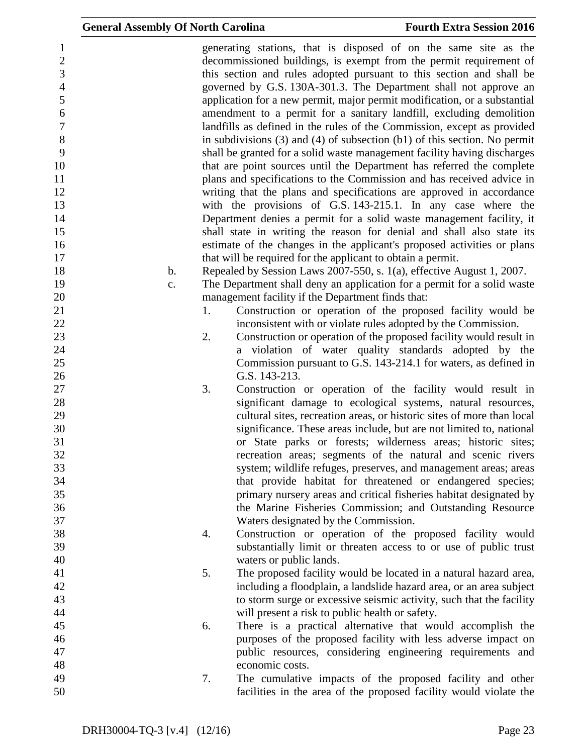| $\mathbf{1}$     |               |    | generating stations, that is disposed of on the same site as the                |
|------------------|---------------|----|---------------------------------------------------------------------------------|
| $\mathbf{2}$     |               |    | decommissioned buildings, is exempt from the permit requirement of              |
| 3                |               |    | this section and rules adopted pursuant to this section and shall be            |
| $\overline{4}$   |               |    | governed by G.S. 130A-301.3. The Department shall not approve an                |
| 5                |               |    | application for a new permit, major permit modification, or a substantial       |
| 6                |               |    | amendment to a permit for a sanitary landfill, excluding demolition             |
| $\boldsymbol{7}$ |               |    | landfills as defined in the rules of the Commission, except as provided         |
| $8\,$            |               |    | in subdivisions $(3)$ and $(4)$ of subsection $(b1)$ of this section. No permit |
| 9                |               |    | shall be granted for a solid waste management facility having discharges        |
| 10               |               |    | that are point sources until the Department has referred the complete           |
| 11               |               |    | plans and specifications to the Commission and has received advice in           |
| 12               |               |    | writing that the plans and specifications are approved in accordance            |
|                  |               |    |                                                                                 |
| 13               |               |    | with the provisions of G.S. 143-215.1. In any case where the                    |
| 14               |               |    | Department denies a permit for a solid waste management facility, it            |
| 15               |               |    | shall state in writing the reason for denial and shall also state its           |
| 16               |               |    | estimate of the changes in the applicant's proposed activities or plans         |
| 17               |               |    | that will be required for the applicant to obtain a permit.                     |
| 18               | $\mathbf b$ . |    | Repealed by Session Laws 2007-550, s. 1(a), effective August 1, 2007.           |
| 19               | c.            |    | The Department shall deny an application for a permit for a solid waste         |
| 20               |               |    | management facility if the Department finds that:                               |
| 21               |               | 1. | Construction or operation of the proposed facility would be                     |
| 22               |               |    | inconsistent with or violate rules adopted by the Commission.                   |
| 23               |               | 2. | Construction or operation of the proposed facility would result in              |
| 24               |               |    | a violation of water quality standards adopted by the                           |
| 25               |               |    | Commission pursuant to G.S. 143-214.1 for waters, as defined in                 |
| 26               |               |    | G.S. 143-213.                                                                   |
| 27               |               | 3. | Construction or operation of the facility would result in                       |
| 28               |               |    | significant damage to ecological systems, natural resources,                    |
| 29               |               |    | cultural sites, recreation areas, or historic sites of more than local          |
| 30               |               |    | significance. These areas include, but are not limited to, national             |
| 31               |               |    |                                                                                 |
|                  |               |    | or State parks or forests; wilderness areas; historic sites;                    |
| 32               |               |    | recreation areas; segments of the natural and scenic rivers                     |
| 33               |               |    | system; wildlife refuges, preserves, and management areas; areas                |
| 34               |               |    | that provide habitat for threatened or endangered species;                      |
| 35               |               |    | primary nursery areas and critical fisheries habitat designated by              |
| 36               |               |    | the Marine Fisheries Commission; and Outstanding Resource                       |
| 37               |               |    | Waters designated by the Commission.                                            |
| 38               |               | 4. | Construction or operation of the proposed facility would                        |
| 39               |               |    | substantially limit or threaten access to or use of public trust                |
| 40               |               |    | waters or public lands.                                                         |
| 41               |               | 5. | The proposed facility would be located in a natural hazard area,                |
| 42               |               |    | including a floodplain, a landslide hazard area, or an area subject             |
| 43               |               |    | to storm surge or excessive seismic activity, such that the facility            |
| 44               |               |    | will present a risk to public health or safety.                                 |
| 45               |               | 6. | There is a practical alternative that would accomplish the                      |
| 46               |               |    | purposes of the proposed facility with less adverse impact on                   |
| 47               |               |    | public resources, considering engineering requirements and                      |
| 48               |               |    | economic costs.                                                                 |
| 49               |               | 7. | The cumulative impacts of the proposed facility and other                       |
| 50               |               |    | facilities in the area of the proposed facility would violate the               |
|                  |               |    |                                                                                 |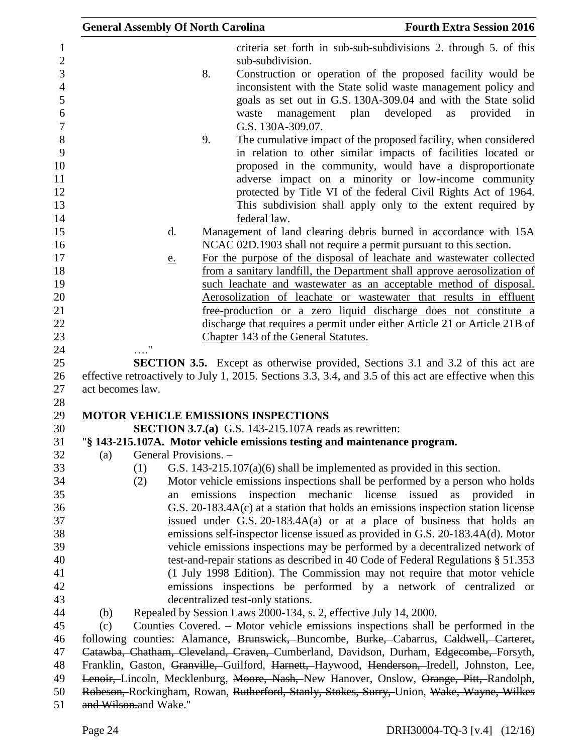|                                                                |                  | <b>General Assembly Of North Carolina</b> |           |                                                                            | <b>Fourth Extra Session 2016</b>                                                                                                                                                                                                                                                                                                                               |
|----------------------------------------------------------------|------------------|-------------------------------------------|-----------|----------------------------------------------------------------------------|----------------------------------------------------------------------------------------------------------------------------------------------------------------------------------------------------------------------------------------------------------------------------------------------------------------------------------------------------------------|
| $\mathbf{1}$<br>$\mathbf{2}$                                   |                  |                                           |           | sub-subdivision.                                                           | criteria set forth in sub-sub-subdivisions 2. through 5. of this                                                                                                                                                                                                                                                                                               |
| 3<br>$\overline{4}$<br>$\mathfrak{S}$<br>6<br>$\boldsymbol{7}$ |                  |                                           | 8.        | management plan<br>waste<br>G.S. 130A-309.07.                              | Construction or operation of the proposed facility would be<br>inconsistent with the State solid waste management policy and<br>goals as set out in G.S. 130A-309.04 and with the State solid<br>developed<br>provided<br>as<br>in                                                                                                                             |
| $\,8\,$<br>9<br>10<br>11<br>12                                 |                  |                                           | 9.        |                                                                            | The cumulative impact of the proposed facility, when considered<br>in relation to other similar impacts of facilities located or<br>proposed in the community, would have a disproportionate<br>adverse impact on a minority or low-income community<br>protected by Title VI of the federal Civil Rights Act of 1964.                                         |
| 13<br>14                                                       |                  |                                           |           | federal law.                                                               | This subdivision shall apply only to the extent required by                                                                                                                                                                                                                                                                                                    |
| 15<br>16                                                       |                  | d.                                        |           |                                                                            | Management of land clearing debris burned in accordance with 15A<br>NCAC 02D.1903 shall not require a permit pursuant to this section.                                                                                                                                                                                                                         |
| 17<br>18<br>19<br>20<br>21                                     |                  | <u>e.</u>                                 |           |                                                                            | For the purpose of the disposal of leachate and wastewater collected<br>from a sanitary landfill, the Department shall approve aerosolization of<br>such leachate and wastewater as an acceptable method of disposal.<br>Aerosolization of leachate or wastewater that results in effluent<br>free-production or a zero liquid discharge does not constitute a |
| 22<br>23                                                       |                  |                                           |           | Chapter 143 of the General Statutes.                                       | discharge that requires a permit under either Article 21 or Article 21B of                                                                                                                                                                                                                                                                                     |
| 24                                                             |                  |                                           |           |                                                                            |                                                                                                                                                                                                                                                                                                                                                                |
| 25                                                             |                  |                                           |           |                                                                            | <b>SECTION 3.5.</b> Except as otherwise provided, Sections 3.1 and 3.2 of this act are                                                                                                                                                                                                                                                                         |
| 26                                                             |                  |                                           |           |                                                                            | effective retroactively to July 1, 2015. Sections 3.3, 3.4, and 3.5 of this act are effective when this                                                                                                                                                                                                                                                        |
| 27                                                             | act becomes law. |                                           |           |                                                                            |                                                                                                                                                                                                                                                                                                                                                                |
| 28                                                             |                  |                                           |           | <b>MOTOR VEHICLE EMISSIONS INSPECTIONS</b>                                 |                                                                                                                                                                                                                                                                                                                                                                |
| 29<br>30                                                       |                  |                                           |           | <b>SECTION 3.7.(a)</b> G.S. 143-215.107A reads as rewritten:               |                                                                                                                                                                                                                                                                                                                                                                |
| 31                                                             |                  |                                           |           | "§ 143-215.107A. Motor vehicle emissions testing and maintenance program.  |                                                                                                                                                                                                                                                                                                                                                                |
| 32                                                             | (a)              | General Provisions. -                     |           |                                                                            |                                                                                                                                                                                                                                                                                                                                                                |
| 33                                                             |                  | (1)                                       |           | G.S. $143-215.107(a)(6)$ shall be implemented as provided in this section. |                                                                                                                                                                                                                                                                                                                                                                |
| 34                                                             |                  | (2)                                       |           |                                                                            | Motor vehicle emissions inspections shall be performed by a person who holds                                                                                                                                                                                                                                                                                   |
| 35                                                             |                  | an                                        | emissions | inspection mechanic license issued as                                      | provided<br>in                                                                                                                                                                                                                                                                                                                                                 |
| 36                                                             |                  |                                           |           |                                                                            | G.S. 20-183.4A(c) at a station that holds an emissions inspection station license                                                                                                                                                                                                                                                                              |
| 37                                                             |                  |                                           |           |                                                                            | issued under G.S. $20-183.4A(a)$ or at a place of business that holds an                                                                                                                                                                                                                                                                                       |
| 38                                                             |                  |                                           |           |                                                                            | emissions self-inspector license issued as provided in G.S. 20-183.4A(d). Motor                                                                                                                                                                                                                                                                                |
| 39                                                             |                  |                                           |           |                                                                            | vehicle emissions inspections may be performed by a decentralized network of                                                                                                                                                                                                                                                                                   |
| 40                                                             |                  |                                           |           |                                                                            | test-and-repair stations as described in 40 Code of Federal Regulations § 51.353                                                                                                                                                                                                                                                                               |
| 41                                                             |                  |                                           |           |                                                                            | (1 July 1998 Edition). The Commission may not require that motor vehicle                                                                                                                                                                                                                                                                                       |
| 42                                                             |                  |                                           |           |                                                                            | emissions inspections be performed by a network of centralized or                                                                                                                                                                                                                                                                                              |
| 43                                                             |                  |                                           |           | decentralized test-only stations.                                          |                                                                                                                                                                                                                                                                                                                                                                |
| 44                                                             | (b)              |                                           |           | Repealed by Session Laws 2000-134, s. 2, effective July 14, 2000.          |                                                                                                                                                                                                                                                                                                                                                                |
| 45                                                             | (c)              |                                           |           |                                                                            | Counties Covered. - Motor vehicle emissions inspections shall be performed in the                                                                                                                                                                                                                                                                              |
| 46                                                             |                  |                                           |           |                                                                            | following counties: Alamance, Brunswick, Buncombe, Burke, Cabarrus, Caldwell, Carteret,                                                                                                                                                                                                                                                                        |
| 47<br>48                                                       |                  |                                           |           |                                                                            | Catawba, Chatham, Cleveland, Craven, Cumberland, Davidson, Durham, Edgecombe, Forsyth,                                                                                                                                                                                                                                                                         |
| 49                                                             |                  |                                           |           |                                                                            | Franklin, Gaston, Granville, Guilford, Harnett, Haywood, Henderson, Iredell, Johnston, Lee,<br>Lenoir, Lincoln, Mecklenburg, Moore, Nash, New Hanover, Onslow, Orange, Pitt, Randolph,                                                                                                                                                                         |
| 50                                                             |                  |                                           |           |                                                                            | Robeson, Rockingham, Rowan, Rutherford, Stanly, Stokes, Surry, Union, Wake, Wayne, Wilkes                                                                                                                                                                                                                                                                      |
| 51                                                             |                  | and Wilson.and Wake."                     |           |                                                                            |                                                                                                                                                                                                                                                                                                                                                                |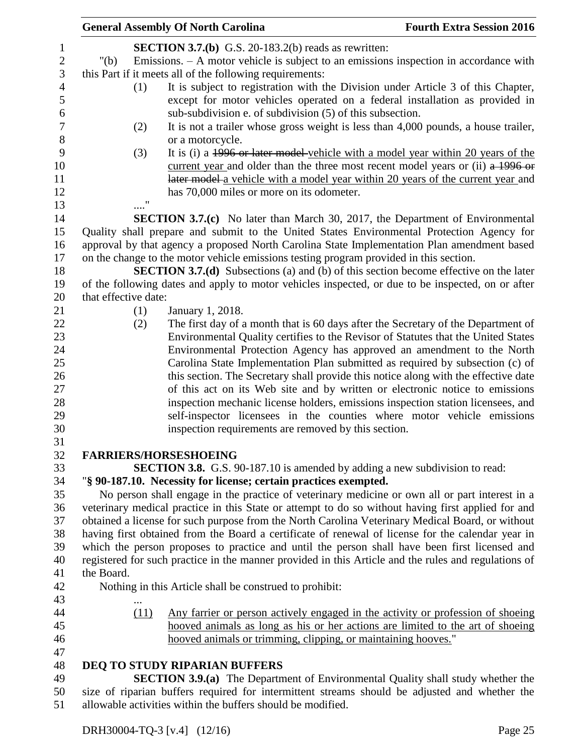|                  | <b>General Assembly Of North Carolina</b>                                                            | <b>Fourth Extra Session 2016</b> |
|------------------|------------------------------------------------------------------------------------------------------|----------------------------------|
| 1                | <b>SECTION 3.7.(b)</b> G.S. 20-183.2(b) reads as rewritten:                                          |                                  |
| $\boldsymbol{2}$ | Emissions. $- A$ motor vehicle is subject to an emissions inspection in accordance with<br>" $(b)$   |                                  |
| 3                | this Part if it meets all of the following requirements:                                             |                                  |
| $\overline{4}$   | It is subject to registration with the Division under Article 3 of this Chapter,<br>(1)              |                                  |
| 5                | except for motor vehicles operated on a federal installation as provided in                          |                                  |
| 6                | sub-subdivision e. of subdivision (5) of this subsection.                                            |                                  |
| $\boldsymbol{7}$ | It is not a trailer whose gross weight is less than 4,000 pounds, a house trailer,<br>(2)            |                                  |
| 8                | or a motorcycle.                                                                                     |                                  |
| 9                | (3)<br>It is (i) a 1996 or later model vehicle with a model year within 20 years of the              |                                  |
| 10               | current year and older than the three most recent model years or (ii) a 1996 or                      |                                  |
| 11               | later model a vehicle with a model year within 20 years of the current year and                      |                                  |
| 12               | has 70,000 miles or more on its odometer.                                                            |                                  |
| 13               |                                                                                                      |                                  |
| 14               | <b>SECTION 3.7.(c)</b> No later than March 30, 2017, the Department of Environmental                 |                                  |
| 15               | Quality shall prepare and submit to the United States Environmental Protection Agency for            |                                  |
| 16               | approval by that agency a proposed North Carolina State Implementation Plan amendment based          |                                  |
| 17               | on the change to the motor vehicle emissions testing program provided in this section.               |                                  |
| 18               | <b>SECTION 3.7.(d)</b> Subsections (a) and (b) of this section become effective on the later         |                                  |
| 19               | of the following dates and apply to motor vehicles inspected, or due to be inspected, on or after    |                                  |
| 20               | that effective date:                                                                                 |                                  |
| 21               | January 1, 2018.<br>(1)                                                                              |                                  |
| 22               | The first day of a month that is 60 days after the Secretary of the Department of<br>(2)             |                                  |
| 23               | Environmental Quality certifies to the Revisor of Statutes that the United States                    |                                  |
| 24               | Environmental Protection Agency has approved an amendment to the North                               |                                  |
| 25               | Carolina State Implementation Plan submitted as required by subsection (c) of                        |                                  |
| 26               | this section. The Secretary shall provide this notice along with the effective date                  |                                  |
| 27               | of this act on its Web site and by written or electronic notice to emissions                         |                                  |
| 28               | inspection mechanic license holders, emissions inspection station licensees, and                     |                                  |
| 29               | self-inspector licensees in the counties where motor vehicle emissions                               |                                  |
| 30               | inspection requirements are removed by this section.                                                 |                                  |
| 31<br>32         | <b>FARRIERS/HORSESHOEING</b>                                                                         |                                  |
| 33               | <b>SECTION 3.8.</b> G.S. 90-187.10 is amended by adding a new subdivision to read:                   |                                  |
| 34               | "§ 90-187.10. Necessity for license; certain practices exempted.                                     |                                  |
| 35               | No person shall engage in the practice of veterinary medicine or own all or part interest in a       |                                  |
| 36               | veterinary medical practice in this State or attempt to do so without having first applied for and   |                                  |
| 37               | obtained a license for such purpose from the North Carolina Veterinary Medical Board, or without     |                                  |
| 38               | having first obtained from the Board a certificate of renewal of license for the calendar year in    |                                  |
| 39               | which the person proposes to practice and until the person shall have been first licensed and        |                                  |
| 40               | registered for such practice in the manner provided in this Article and the rules and regulations of |                                  |
| 41               | the Board.                                                                                           |                                  |
| 42               | Nothing in this Article shall be construed to prohibit:                                              |                                  |
| 43               |                                                                                                      |                                  |
| 44               | (11)<br><u>Any farrier or person actively engaged in the activity or profession of shoeing</u>       |                                  |
| 45               | hooved animals as long as his or her actions are limited to the art of shoeing                       |                                  |
| 46               | hooved animals or trimming, clipping, or maintaining hooves."                                        |                                  |
| 47               |                                                                                                      |                                  |
| 48               | <b>DEQ TO STUDY RIPARIAN BUFFERS</b>                                                                 |                                  |
| 49               | <b>SECTION 3.9.(a)</b> The Department of Environmental Quality shall study whether the               |                                  |
| 50               | size of riparian buffers required for intermittent streams should be adjusted and whether the        |                                  |
| 51               | allowable activities within the buffers should be modified.                                          |                                  |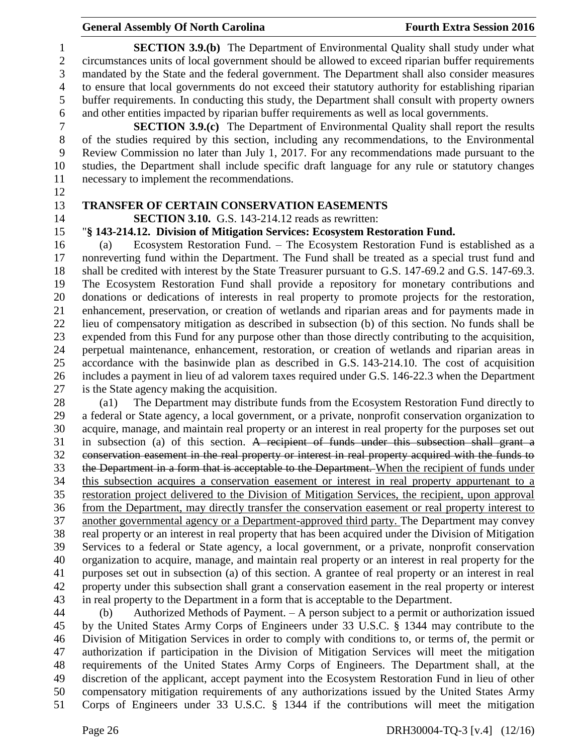**SECTION 3.9.(b)** The Department of Environmental Quality shall study under what circumstances units of local government should be allowed to exceed riparian buffer requirements mandated by the State and the federal government. The Department shall also consider measures to ensure that local governments do not exceed their statutory authority for establishing riparian buffer requirements. In conducting this study, the Department shall consult with property owners and other entities impacted by riparian buffer requirements as well as local governments.

 **SECTION 3.9.(c)** The Department of Environmental Quality shall report the results of the studies required by this section, including any recommendations, to the Environmental Review Commission no later than July 1, 2017. For any recommendations made pursuant to the studies, the Department shall include specific draft language for any rule or statutory changes necessary to implement the recommendations.

- 
- 

### **TRANSFER OF CERTAIN CONSERVATION EASEMENTS**

**SECTION 3.10.** G.S. 143-214.12 reads as rewritten:

### "**§ 143-214.12. Division of Mitigation Services: Ecosystem Restoration Fund.**

 (a) Ecosystem Restoration Fund. – The Ecosystem Restoration Fund is established as a nonreverting fund within the Department. The Fund shall be treated as a special trust fund and shall be credited with interest by the State Treasurer pursuant to G.S. 147-69.2 and G.S. 147-69.3. The Ecosystem Restoration Fund shall provide a repository for monetary contributions and donations or dedications of interests in real property to promote projects for the restoration, enhancement, preservation, or creation of wetlands and riparian areas and for payments made in lieu of compensatory mitigation as described in subsection (b) of this section. No funds shall be expended from this Fund for any purpose other than those directly contributing to the acquisition, perpetual maintenance, enhancement, restoration, or creation of wetlands and riparian areas in accordance with the basinwide plan as described in G.S. 143-214.10. The cost of acquisition includes a payment in lieu of ad valorem taxes required under G.S. 146-22.3 when the Department is the State agency making the acquisition.

 (a1) The Department may distribute funds from the Ecosystem Restoration Fund directly to a federal or State agency, a local government, or a private, nonprofit conservation organization to acquire, manage, and maintain real property or an interest in real property for the purposes set out in subsection (a) of this section. A recipient of funds under this subsection shall grant a conservation easement in the real property or interest in real property acquired with the funds to 33 the Department in a form that is acceptable to the Department. When the recipient of funds under this subsection acquires a conservation easement or interest in real property appurtenant to a restoration project delivered to the Division of Mitigation Services, the recipient, upon approval from the Department, may directly transfer the conservation easement or real property interest to another governmental agency or a Department-approved third party. The Department may convey real property or an interest in real property that has been acquired under the Division of Mitigation Services to a federal or State agency, a local government, or a private, nonprofit conservation organization to acquire, manage, and maintain real property or an interest in real property for the purposes set out in subsection (a) of this section. A grantee of real property or an interest in real property under this subsection shall grant a conservation easement in the real property or interest in real property to the Department in a form that is acceptable to the Department.

 (b) Authorized Methods of Payment. – A person subject to a permit or authorization issued by the United States Army Corps of Engineers under 33 U.S.C. § 1344 may contribute to the Division of Mitigation Services in order to comply with conditions to, or terms of, the permit or authorization if participation in the Division of Mitigation Services will meet the mitigation requirements of the United States Army Corps of Engineers. The Department shall, at the discretion of the applicant, accept payment into the Ecosystem Restoration Fund in lieu of other compensatory mitigation requirements of any authorizations issued by the United States Army Corps of Engineers under 33 U.S.C. § 1344 if the contributions will meet the mitigation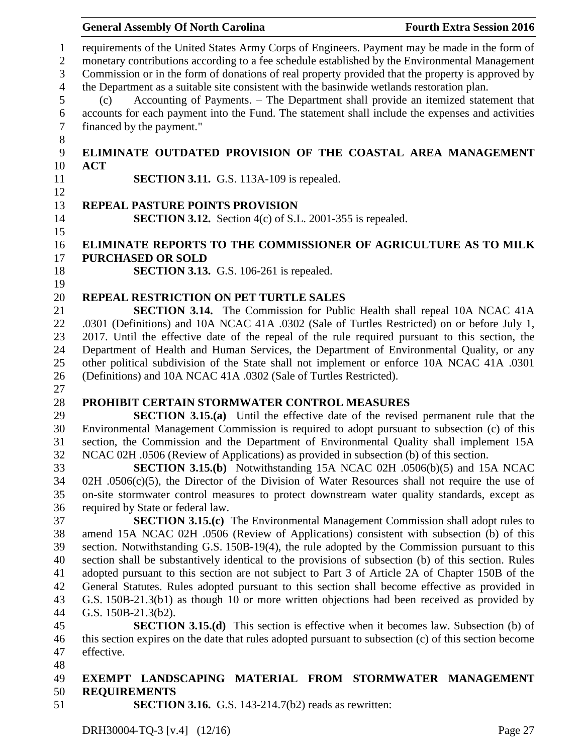|                                     | <b>General Assembly Of North Carolina</b>                                                                                                                                                                                                                                                            | <b>Fourth Extra Session 2016</b> |
|-------------------------------------|------------------------------------------------------------------------------------------------------------------------------------------------------------------------------------------------------------------------------------------------------------------------------------------------------|----------------------------------|
| $\mathbf{1}$<br>$\overline{2}$<br>3 | requirements of the United States Army Corps of Engineers. Payment may be made in the form of<br>monetary contributions according to a fee schedule established by the Environmental Management<br>Commission or in the form of donations of real property provided that the property is approved by |                                  |
| $\overline{4}$                      | the Department as a suitable site consistent with the basinwide wetlands restoration plan.                                                                                                                                                                                                           |                                  |
| 5                                   | Accounting of Payments. - The Department shall provide an itemized statement that<br>(c)                                                                                                                                                                                                             |                                  |
| 6                                   | accounts for each payment into the Fund. The statement shall include the expenses and activities                                                                                                                                                                                                     |                                  |
| $\overline{7}$<br>$\,8\,$           | financed by the payment."                                                                                                                                                                                                                                                                            |                                  |
| 9                                   | ELIMINATE OUTDATED PROVISION OF THE COASTAL AREA MANAGEMENT<br><b>ACT</b>                                                                                                                                                                                                                            |                                  |
| 10<br>11                            | <b>SECTION 3.11.</b> G.S. 113A-109 is repealed.                                                                                                                                                                                                                                                      |                                  |
| 12                                  |                                                                                                                                                                                                                                                                                                      |                                  |
| 13                                  | <b>REPEAL PASTURE POINTS PROVISION</b>                                                                                                                                                                                                                                                               |                                  |
| 14<br>15                            | <b>SECTION 3.12.</b> Section $4(c)$ of S.L. 2001-355 is repealed.                                                                                                                                                                                                                                    |                                  |
| 16                                  | ELIMINATE REPORTS TO THE COMMISSIONER OF AGRICULTURE AS TO MILK                                                                                                                                                                                                                                      |                                  |
| 17                                  | <b>PURCHASED OR SOLD</b>                                                                                                                                                                                                                                                                             |                                  |
| 18                                  | <b>SECTION 3.13.</b> G.S. 106-261 is repealed.                                                                                                                                                                                                                                                       |                                  |
| 19                                  |                                                                                                                                                                                                                                                                                                      |                                  |
| 20<br>21                            | REPEAL RESTRICTION ON PET TURTLE SALES<br>SECTION 3.14. The Commission for Public Health shall repeal 10A NCAC 41A                                                                                                                                                                                   |                                  |
| 22                                  | .0301 (Definitions) and 10A NCAC 41A .0302 (Sale of Turtles Restricted) on or before July 1,                                                                                                                                                                                                         |                                  |
| 23                                  | 2017. Until the effective date of the repeal of the rule required pursuant to this section, the                                                                                                                                                                                                      |                                  |
| 24                                  | Department of Health and Human Services, the Department of Environmental Quality, or any                                                                                                                                                                                                             |                                  |
| 25                                  | other political subdivision of the State shall not implement or enforce 10A NCAC 41A .0301                                                                                                                                                                                                           |                                  |
| 26                                  | (Definitions) and 10A NCAC 41A .0302 (Sale of Turtles Restricted).                                                                                                                                                                                                                                   |                                  |
| 27                                  |                                                                                                                                                                                                                                                                                                      |                                  |
| 28                                  | PROHIBIT CERTAIN STORMWATER CONTROL MEASURES                                                                                                                                                                                                                                                         |                                  |
| 29                                  | <b>SECTION 3.15.(a)</b> Until the effective date of the revised permanent rule that the                                                                                                                                                                                                              |                                  |
| 30                                  | Environmental Management Commission is required to adopt pursuant to subsection (c) of this                                                                                                                                                                                                          |                                  |
| 31                                  | section, the Commission and the Department of Environmental Quality shall implement 15A                                                                                                                                                                                                              |                                  |
| 32<br>33                            | NCAC 02H .0506 (Review of Applications) as provided in subsection (b) of this section.<br><b>SECTION 3.15.(b)</b> Notwithstanding 15A NCAC 02H .0506(b)(5) and 15A NCAC                                                                                                                              |                                  |
| 34                                  | $02H$ .0506(c)(5), the Director of the Division of Water Resources shall not require the use of                                                                                                                                                                                                      |                                  |
| 35                                  | on-site stormwater control measures to protect downstream water quality standards, except as                                                                                                                                                                                                         |                                  |
| 36                                  | required by State or federal law.                                                                                                                                                                                                                                                                    |                                  |
| 37                                  | <b>SECTION 3.15.(c)</b> The Environmental Management Commission shall adopt rules to                                                                                                                                                                                                                 |                                  |
| 38                                  | amend 15A NCAC 02H .0506 (Review of Applications) consistent with subsection (b) of this                                                                                                                                                                                                             |                                  |
| 39                                  | section. Notwithstanding G.S. 150B-19(4), the rule adopted by the Commission pursuant to this                                                                                                                                                                                                        |                                  |
| 40                                  | section shall be substantively identical to the provisions of subsection (b) of this section. Rules                                                                                                                                                                                                  |                                  |
| 41                                  | adopted pursuant to this section are not subject to Part 3 of Article 2A of Chapter 150B of the                                                                                                                                                                                                      |                                  |
| 42                                  | General Statutes. Rules adopted pursuant to this section shall become effective as provided in                                                                                                                                                                                                       |                                  |
| 43                                  | G.S. 150B-21.3(b1) as though 10 or more written objections had been received as provided by                                                                                                                                                                                                          |                                  |
| 44<br>45                            | G.S. 150B-21.3(b2).<br><b>SECTION 3.15.(d)</b> This section is effective when it becomes law. Subsection (b) of                                                                                                                                                                                      |                                  |
| 46                                  | this section expires on the date that rules adopted pursuant to subsection (c) of this section become                                                                                                                                                                                                |                                  |
| 47                                  | effective.                                                                                                                                                                                                                                                                                           |                                  |
| 48                                  |                                                                                                                                                                                                                                                                                                      |                                  |
| 49                                  | EXEMPT LANDSCAPING MATERIAL FROM STORMWATER MANAGEMENT                                                                                                                                                                                                                                               |                                  |
| 50                                  | <b>REQUIREMENTS</b>                                                                                                                                                                                                                                                                                  |                                  |
| 51                                  | <b>SECTION 3.16.</b> G.S. 143-214.7( $b2$ ) reads as rewritten:                                                                                                                                                                                                                                      |                                  |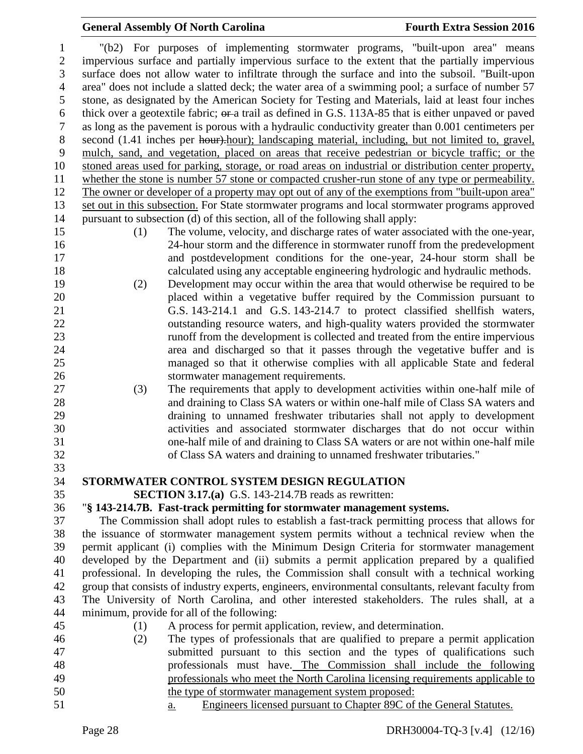"(b2) For purposes of implementing stormwater programs, "built-upon area" means impervious surface and partially impervious surface to the extent that the partially impervious surface does not allow water to infiltrate through the surface and into the subsoil. "Built-upon area" does not include a slatted deck; the water area of a swimming pool; a surface of number 57 stone, as designated by the American Society for Testing and Materials, laid at least four inches thick over a geotextile fabric; or a trail as defined in G.S. 113A-85 that is either unpaved or paved as long as the pavement is porous with a hydraulic conductivity greater than 0.001 centimeters per 8 second (1.41 inches per hour).hour); landscaping material, including, but not limited to, gravel, mulch, sand, and vegetation, placed on areas that receive pedestrian or bicycle traffic; or the stoned areas used for parking, storage, or road areas on industrial or distribution center property, whether the stone is number 57 stone or compacted crusher-run stone of any type or permeability. The owner or developer of a property may opt out of any of the exemptions from "built-upon area" set out in this subsection. For State stormwater programs and local stormwater programs approved pursuant to subsection (d) of this section, all of the following shall apply: (1) The volume, velocity, and discharge rates of water associated with the one-year, 24-hour storm and the difference in stormwater runoff from the predevelopment and postdevelopment conditions for the one-year, 24-hour storm shall be calculated using any acceptable engineering hydrologic and hydraulic methods. (2) Development may occur within the area that would otherwise be required to be placed within a vegetative buffer required by the Commission pursuant to G.S. 143-214.1 and G.S. 143-214.7 to protect classified shellfish waters, outstanding resource waters, and high-quality waters provided the stormwater runoff from the development is collected and treated from the entire impervious area and discharged so that it passes through the vegetative buffer and is managed so that it otherwise complies with all applicable State and federal stormwater management requirements. (3) The requirements that apply to development activities within one-half mile of and draining to Class SA waters or within one-half mile of Class SA waters and draining to unnamed freshwater tributaries shall not apply to development activities and associated stormwater discharges that do not occur within one-half mile of and draining to Class SA waters or are not within one-half mile of Class SA waters and draining to unnamed freshwater tributaries." **STORMWATER CONTROL SYSTEM DESIGN REGULATION SECTION 3.17.(a)** G.S. 143-214.7B reads as rewritten: "**§ 143-214.7B. Fast-track permitting for stormwater management systems.** The Commission shall adopt rules to establish a fast-track permitting process that allows for the issuance of stormwater management system permits without a technical review when the permit applicant (i) complies with the Minimum Design Criteria for stormwater management developed by the Department and (ii) submits a permit application prepared by a qualified professional. In developing the rules, the Commission shall consult with a technical working group that consists of industry experts, engineers, environmental consultants, relevant faculty from The University of North Carolina, and other interested stakeholders. The rules shall, at a minimum, provide for all of the following: (1) A process for permit application, review, and determination. (2) The types of professionals that are qualified to prepare a permit application submitted pursuant to this section and the types of qualifications such professionals must have. The Commission shall include the following professionals who meet the North Carolina licensing requirements applicable to the type of stormwater management system proposed:

a. Engineers licensed pursuant to Chapter 89C of the General Statutes.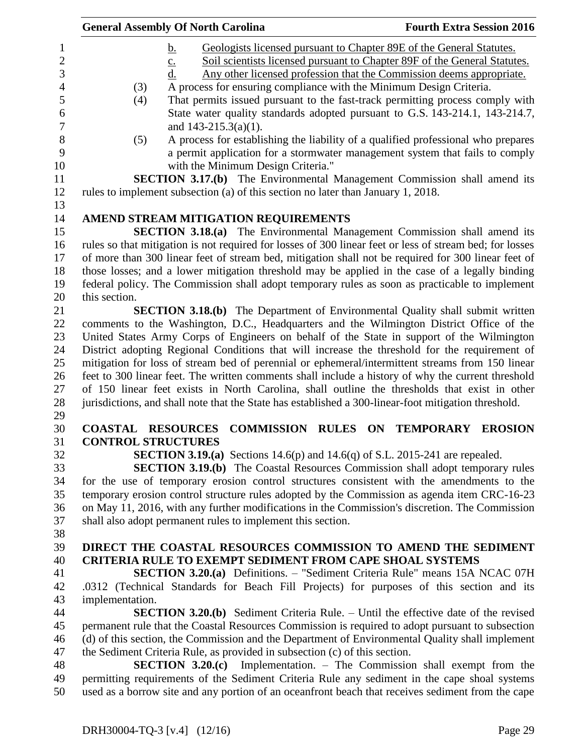|                           | <b>General Assembly Of North Carolina</b>                                                                                                                                                                                                                        | <b>Fourth Extra Session 2016</b>                                                                                                                                                                                                                                                                                                                                                                                                                                                                                                                                                                                                            |
|---------------------------|------------------------------------------------------------------------------------------------------------------------------------------------------------------------------------------------------------------------------------------------------------------|---------------------------------------------------------------------------------------------------------------------------------------------------------------------------------------------------------------------------------------------------------------------------------------------------------------------------------------------------------------------------------------------------------------------------------------------------------------------------------------------------------------------------------------------------------------------------------------------------------------------------------------------|
| (3)<br>(4)<br>(5)         | <u>b.</u><br>$\underline{c}$ .<br>d.<br>A process for ensuring compliance with the Minimum Design Criteria.<br>and $143-215.3(a)(1)$ .<br>with the Minimum Design Criteria."<br>rules to implement subsection (a) of this section no later than January 1, 2018. | Geologists licensed pursuant to Chapter 89E of the General Statutes.<br>Soil scientists licensed pursuant to Chapter 89F of the General Statutes.<br>Any other licensed profession that the Commission deems appropriate.<br>That permits issued pursuant to the fast-track permitting process comply with<br>State water quality standards adopted pursuant to G.S. 143-214.1, 143-214.7,<br>A process for establishing the liability of a qualified professional who prepares<br>a permit application for a stormwater management system that fails to comply<br>SECTION 3.17.(b) The Environmental Management Commission shall amend its |
|                           | AMEND STREAM MITIGATION REQUIREMENTS                                                                                                                                                                                                                             |                                                                                                                                                                                                                                                                                                                                                                                                                                                                                                                                                                                                                                             |
|                           |                                                                                                                                                                                                                                                                  | SECTION 3.18.(a) The Environmental Management Commission shall amend its                                                                                                                                                                                                                                                                                                                                                                                                                                                                                                                                                                    |
|                           |                                                                                                                                                                                                                                                                  | rules so that mitigation is not required for losses of 300 linear feet or less of stream bed; for losses                                                                                                                                                                                                                                                                                                                                                                                                                                                                                                                                    |
|                           |                                                                                                                                                                                                                                                                  | of more than 300 linear feet of stream bed, mitigation shall not be required for 300 linear feet of                                                                                                                                                                                                                                                                                                                                                                                                                                                                                                                                         |
|                           |                                                                                                                                                                                                                                                                  | those losses; and a lower mitigation threshold may be applied in the case of a legally binding                                                                                                                                                                                                                                                                                                                                                                                                                                                                                                                                              |
|                           |                                                                                                                                                                                                                                                                  | federal policy. The Commission shall adopt temporary rules as soon as practicable to implement                                                                                                                                                                                                                                                                                                                                                                                                                                                                                                                                              |
| this section.             |                                                                                                                                                                                                                                                                  |                                                                                                                                                                                                                                                                                                                                                                                                                                                                                                                                                                                                                                             |
|                           |                                                                                                                                                                                                                                                                  | <b>SECTION 3.18.(b)</b> The Department of Environmental Quality shall submit written                                                                                                                                                                                                                                                                                                                                                                                                                                                                                                                                                        |
|                           |                                                                                                                                                                                                                                                                  | comments to the Washington, D.C., Headquarters and the Wilmington District Office of the<br>United States Army Corps of Engineers on behalf of the State in support of the Wilmington                                                                                                                                                                                                                                                                                                                                                                                                                                                       |
|                           |                                                                                                                                                                                                                                                                  | District adopting Regional Conditions that will increase the threshold for the requirement of                                                                                                                                                                                                                                                                                                                                                                                                                                                                                                                                               |
|                           |                                                                                                                                                                                                                                                                  | mitigation for loss of stream bed of perennial or ephemeral/intermittent streams from 150 linear                                                                                                                                                                                                                                                                                                                                                                                                                                                                                                                                            |
|                           |                                                                                                                                                                                                                                                                  | feet to 300 linear feet. The written comments shall include a history of why the current threshold                                                                                                                                                                                                                                                                                                                                                                                                                                                                                                                                          |
|                           |                                                                                                                                                                                                                                                                  | of 150 linear feet exists in North Carolina, shall outline the thresholds that exist in other                                                                                                                                                                                                                                                                                                                                                                                                                                                                                                                                               |
|                           |                                                                                                                                                                                                                                                                  | jurisdictions, and shall note that the State has established a 300-linear-foot mitigation threshold.                                                                                                                                                                                                                                                                                                                                                                                                                                                                                                                                        |
|                           |                                                                                                                                                                                                                                                                  |                                                                                                                                                                                                                                                                                                                                                                                                                                                                                                                                                                                                                                             |
| <b>COASTAL RESOURCES</b>  |                                                                                                                                                                                                                                                                  | <b>COMMISSION RULES ON TEMPORARY EROSION</b>                                                                                                                                                                                                                                                                                                                                                                                                                                                                                                                                                                                                |
| <b>CONTROL STRUCTURES</b> |                                                                                                                                                                                                                                                                  |                                                                                                                                                                                                                                                                                                                                                                                                                                                                                                                                                                                                                                             |
|                           | <b>SECTION 3.19.(a)</b> Sections 14.6(p) and 14.6(q) of S.L. 2015-241 are repealed.                                                                                                                                                                              | <b>SECTION 3.19.(b)</b> The Coastal Resources Commission shall adopt temporary rules                                                                                                                                                                                                                                                                                                                                                                                                                                                                                                                                                        |
|                           |                                                                                                                                                                                                                                                                  | for the use of temporary erosion control structures consistent with the amendments to the                                                                                                                                                                                                                                                                                                                                                                                                                                                                                                                                                   |
|                           |                                                                                                                                                                                                                                                                  | temporary erosion control structure rules adopted by the Commission as agenda item CRC-16-23                                                                                                                                                                                                                                                                                                                                                                                                                                                                                                                                                |
|                           |                                                                                                                                                                                                                                                                  | on May 11, 2016, with any further modifications in the Commission's discretion. The Commission                                                                                                                                                                                                                                                                                                                                                                                                                                                                                                                                              |
|                           | shall also adopt permanent rules to implement this section.                                                                                                                                                                                                      |                                                                                                                                                                                                                                                                                                                                                                                                                                                                                                                                                                                                                                             |
|                           |                                                                                                                                                                                                                                                                  |                                                                                                                                                                                                                                                                                                                                                                                                                                                                                                                                                                                                                                             |
|                           |                                                                                                                                                                                                                                                                  | DIRECT THE COASTAL RESOURCES COMMISSION TO AMEND THE SEDIMENT                                                                                                                                                                                                                                                                                                                                                                                                                                                                                                                                                                               |
|                           | <b>CRITERIA RULE TO EXEMPT SEDIMENT FROM CAPE SHOAL SYSTEMS</b>                                                                                                                                                                                                  |                                                                                                                                                                                                                                                                                                                                                                                                                                                                                                                                                                                                                                             |
|                           |                                                                                                                                                                                                                                                                  | <b>SECTION 3.20.(a)</b> Definitions. - "Sediment Criteria Rule" means 15A NCAC 07H                                                                                                                                                                                                                                                                                                                                                                                                                                                                                                                                                          |
|                           |                                                                                                                                                                                                                                                                  | .0312 (Technical Standards for Beach Fill Projects) for purposes of this section and its                                                                                                                                                                                                                                                                                                                                                                                                                                                                                                                                                    |
| implementation.           |                                                                                                                                                                                                                                                                  | <b>SECTION 3.20.(b)</b> Sediment Criteria Rule. – Until the effective date of the revised                                                                                                                                                                                                                                                                                                                                                                                                                                                                                                                                                   |
|                           |                                                                                                                                                                                                                                                                  | permanent rule that the Coastal Resources Commission is required to adopt pursuant to subsection                                                                                                                                                                                                                                                                                                                                                                                                                                                                                                                                            |
|                           |                                                                                                                                                                                                                                                                  | (d) of this section, the Commission and the Department of Environmental Quality shall implement                                                                                                                                                                                                                                                                                                                                                                                                                                                                                                                                             |
|                           | the Sediment Criteria Rule, as provided in subsection (c) of this section.                                                                                                                                                                                       |                                                                                                                                                                                                                                                                                                                                                                                                                                                                                                                                                                                                                                             |
|                           |                                                                                                                                                                                                                                                                  | <b>SECTION 3.20.(c)</b> Implementation. – The Commission shall exempt from the                                                                                                                                                                                                                                                                                                                                                                                                                                                                                                                                                              |
|                           |                                                                                                                                                                                                                                                                  | permitting requirements of the Sediment Criteria Rule any sediment in the cape shoal systems<br>used as a borrow site and any portion of an oceanfront beach that receives sediment from the cape                                                                                                                                                                                                                                                                                                                                                                                                                                           |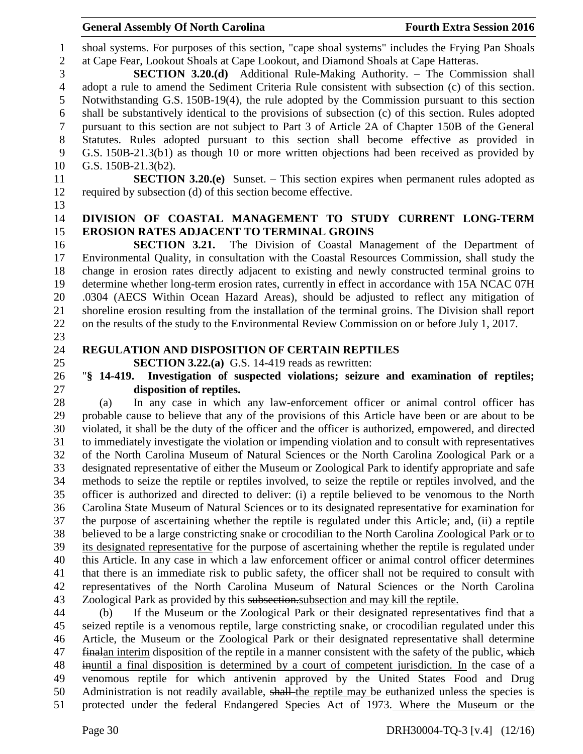shoal systems. For purposes of this section, "cape shoal systems" includes the Frying Pan Shoals at Cape Fear, Lookout Shoals at Cape Lookout, and Diamond Shoals at Cape Hatteras.

 **SECTION 3.20.(d)** Additional Rule-Making Authority. – The Commission shall adopt a rule to amend the Sediment Criteria Rule consistent with subsection (c) of this section. Notwithstanding G.S. 150B-19(4), the rule adopted by the Commission pursuant to this section shall be substantively identical to the provisions of subsection (c) of this section. Rules adopted pursuant to this section are not subject to Part 3 of Article 2A of Chapter 150B of the General Statutes. Rules adopted pursuant to this section shall become effective as provided in G.S. 150B-21.3(b1) as though 10 or more written objections had been received as provided by G.S. 150B-21.3(b2).

- **SECTION 3.20.(e)** Sunset. This section expires when permanent rules adopted as required by subsection (d) of this section become effective.
- 

# **DIVISION OF COASTAL MANAGEMENT TO STUDY CURRENT LONG-TERM EROSION RATES ADJACENT TO TERMINAL GROINS**

 **SECTION 3.21.** The Division of Coastal Management of the Department of Environmental Quality, in consultation with the Coastal Resources Commission, shall study the change in erosion rates directly adjacent to existing and newly constructed terminal groins to determine whether long-term erosion rates, currently in effect in accordance with 15A NCAC 07H .0304 (AECS Within Ocean Hazard Areas), should be adjusted to reflect any mitigation of shoreline erosion resulting from the installation of the terminal groins. The Division shall report on the results of the study to the Environmental Review Commission on or before July 1, 2017.

# **REGULATION AND DISPOSITION OF CERTAIN REPTILES**

**SECTION 3.22.(a)** G.S. 14-419 reads as rewritten:

# "**§ 14-419. Investigation of suspected violations; seizure and examination of reptiles; disposition of reptiles.**

 (a) In any case in which any law-enforcement officer or animal control officer has probable cause to believe that any of the provisions of this Article have been or are about to be violated, it shall be the duty of the officer and the officer is authorized, empowered, and directed to immediately investigate the violation or impending violation and to consult with representatives of the North Carolina Museum of Natural Sciences or the North Carolina Zoological Park or a designated representative of either the Museum or Zoological Park to identify appropriate and safe methods to seize the reptile or reptiles involved, to seize the reptile or reptiles involved, and the officer is authorized and directed to deliver: (i) a reptile believed to be venomous to the North Carolina State Museum of Natural Sciences or to its designated representative for examination for the purpose of ascertaining whether the reptile is regulated under this Article; and, (ii) a reptile believed to be a large constricting snake or crocodilian to the North Carolina Zoological Park or to its designated representative for the purpose of ascertaining whether the reptile is regulated under this Article. In any case in which a law enforcement officer or animal control officer determines that there is an immediate risk to public safety, the officer shall not be required to consult with representatives of the North Carolina Museum of Natural Sciences or the North Carolina Zoological Park as provided by this subsection.subsection and may kill the reptile.

 (b) If the Museum or the Zoological Park or their designated representatives find that a seized reptile is a venomous reptile, large constricting snake, or crocodilian regulated under this Article, the Museum or the Zoological Park or their designated representative shall determine 47 finalan interim disposition of the reptile in a manner consistent with the safety of the public, which inuntil a final disposition is determined by a court of competent jurisdiction. In the case of a venomous reptile for which antivenin approved by the United States Food and Drug Administration is not readily available, shall the reptile may be euthanized unless the species is protected under the federal Endangered Species Act of 1973. Where the Museum or the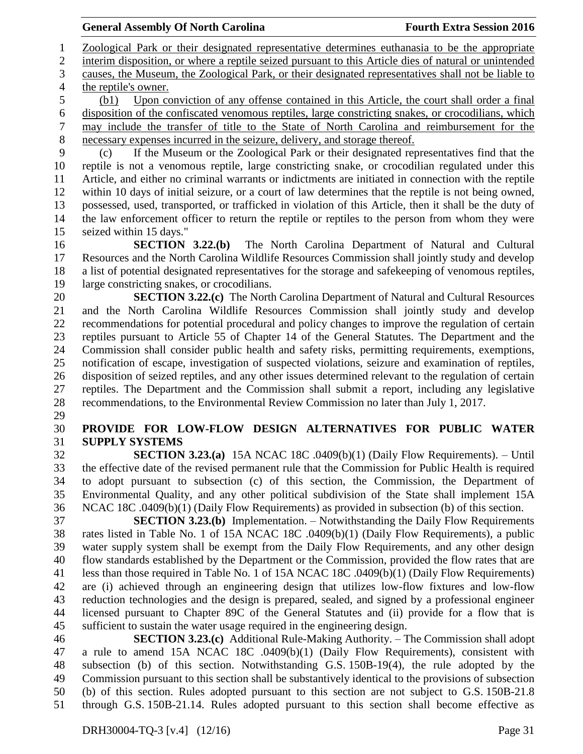Zoological Park or their designated representative determines euthanasia to be the appropriate interim disposition, or where a reptile seized pursuant to this Article dies of natural or unintended causes, the Museum, the Zoological Park, or their designated representatives shall not be liable to the reptile's owner.

 (b1) Upon conviction of any offense contained in this Article, the court shall order a final disposition of the confiscated venomous reptiles, large constricting snakes, or crocodilians, which may include the transfer of title to the State of North Carolina and reimbursement for the necessary expenses incurred in the seizure, delivery, and storage thereof.

 (c) If the Museum or the Zoological Park or their designated representatives find that the reptile is not a venomous reptile, large constricting snake, or crocodilian regulated under this Article, and either no criminal warrants or indictments are initiated in connection with the reptile within 10 days of initial seizure, or a court of law determines that the reptile is not being owned, possessed, used, transported, or trafficked in violation of this Article, then it shall be the duty of the law enforcement officer to return the reptile or reptiles to the person from whom they were seized within 15 days."

 **SECTION 3.22.(b)** The North Carolina Department of Natural and Cultural Resources and the North Carolina Wildlife Resources Commission shall jointly study and develop a list of potential designated representatives for the storage and safekeeping of venomous reptiles, large constricting snakes, or crocodilians.

 **SECTION 3.22.(c)** The North Carolina Department of Natural and Cultural Resources and the North Carolina Wildlife Resources Commission shall jointly study and develop recommendations for potential procedural and policy changes to improve the regulation of certain reptiles pursuant to Article 55 of Chapter 14 of the General Statutes. The Department and the Commission shall consider public health and safety risks, permitting requirements, exemptions, notification of escape, investigation of suspected violations, seizure and examination of reptiles, disposition of seized reptiles, and any other issues determined relevant to the regulation of certain reptiles. The Department and the Commission shall submit a report, including any legislative recommendations, to the Environmental Review Commission no later than July 1, 2017.

# **PROVIDE FOR LOW-FLOW DESIGN ALTERNATIVES FOR PUBLIC WATER SUPPLY SYSTEMS**

 **SECTION 3.23.(a)** 15A NCAC 18C .0409(b)(1) (Daily Flow Requirements). – Until the effective date of the revised permanent rule that the Commission for Public Health is required to adopt pursuant to subsection (c) of this section, the Commission, the Department of Environmental Quality, and any other political subdivision of the State shall implement 15A NCAC 18C .0409(b)(1) (Daily Flow Requirements) as provided in subsection (b) of this section.

 **SECTION 3.23.(b)** Implementation. – Notwithstanding the Daily Flow Requirements rates listed in Table No. 1 of 15A NCAC 18C .0409(b)(1) (Daily Flow Requirements), a public water supply system shall be exempt from the Daily Flow Requirements, and any other design flow standards established by the Department or the Commission, provided the flow rates that are less than those required in Table No. 1 of 15A NCAC 18C .0409(b)(1) (Daily Flow Requirements) are (i) achieved through an engineering design that utilizes low-flow fixtures and low-flow reduction technologies and the design is prepared, sealed, and signed by a professional engineer licensed pursuant to Chapter 89C of the General Statutes and (ii) provide for a flow that is sufficient to sustain the water usage required in the engineering design.

 **SECTION 3.23.(c)** Additional Rule-Making Authority. – The Commission shall adopt a rule to amend 15A NCAC 18C .0409(b)(1) (Daily Flow Requirements), consistent with subsection (b) of this section. Notwithstanding G.S. 150B-19(4), the rule adopted by the Commission pursuant to this section shall be substantively identical to the provisions of subsection (b) of this section. Rules adopted pursuant to this section are not subject to G.S. 150B-21.8 through G.S. 150B-21.14. Rules adopted pursuant to this section shall become effective as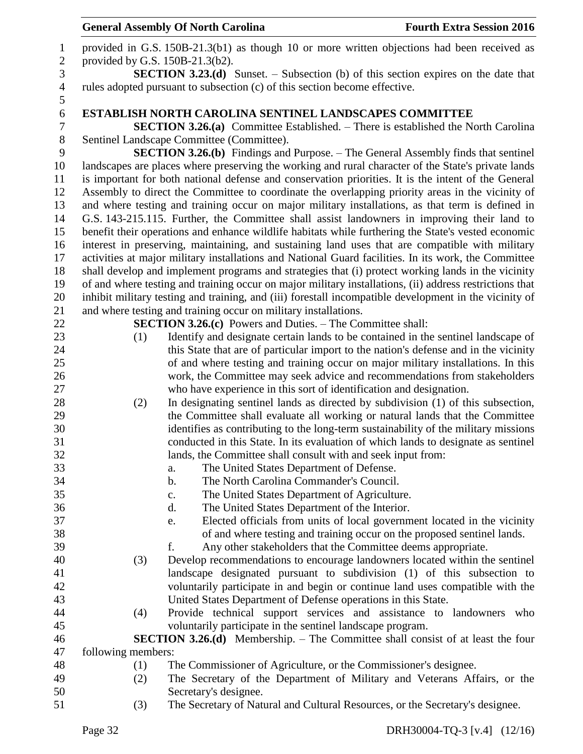|                            |                                 | <b>General Assembly Of North Carolina</b>                                                                                                                                                                         | <b>Fourth Extra Session 2016</b>                                         |
|----------------------------|---------------------------------|-------------------------------------------------------------------------------------------------------------------------------------------------------------------------------------------------------------------|--------------------------------------------------------------------------|
| $\mathbf{1}$<br>$\sqrt{2}$ | provided by G.S. 150B-21.3(b2). | provided in G.S. 150B-21.3(b1) as though 10 or more written objections had been received as                                                                                                                       |                                                                          |
| 3                          |                                 | <b>SECTION 3.23.(d)</b> Sunset. – Subsection (b) of this section expires on the date that                                                                                                                         |                                                                          |
| $\overline{4}$<br>5        |                                 | rules adopted pursuant to subsection (c) of this section become effective.                                                                                                                                        |                                                                          |
| $\sqrt{6}$                 |                                 | <b>ESTABLISH NORTH CAROLINA SENTINEL LANDSCAPES COMMITTEE</b>                                                                                                                                                     |                                                                          |
| $\boldsymbol{7}$           |                                 | <b>SECTION 3.26.(a)</b> Committee Established. – There is established the North Carolina                                                                                                                          |                                                                          |
| $8\,$                      |                                 | Sentinel Landscape Committee (Committee).                                                                                                                                                                         |                                                                          |
| 9                          |                                 | <b>SECTION 3.26.(b)</b> Findings and Purpose. - The General Assembly finds that sentinel                                                                                                                          |                                                                          |
| 10                         |                                 | landscapes are places where preserving the working and rural character of the State's private lands                                                                                                               |                                                                          |
| 11                         |                                 | is important for both national defense and conservation priorities. It is the intent of the General                                                                                                               |                                                                          |
| 12                         |                                 | Assembly to direct the Committee to coordinate the overlapping priority areas in the vicinity of                                                                                                                  |                                                                          |
| 13                         |                                 | and where testing and training occur on major military installations, as that term is defined in                                                                                                                  |                                                                          |
| 14                         |                                 | G.S. 143-215.115. Further, the Committee shall assist landowners in improving their land to                                                                                                                       |                                                                          |
| 15                         |                                 | benefit their operations and enhance wildlife habitats while furthering the State's vested economic                                                                                                               |                                                                          |
| 16                         |                                 | interest in preserving, maintaining, and sustaining land uses that are compatible with military                                                                                                                   |                                                                          |
| 17                         |                                 | activities at major military installations and National Guard facilities. In its work, the Committee                                                                                                              |                                                                          |
| 18                         |                                 | shall develop and implement programs and strategies that (i) protect working lands in the vicinity                                                                                                                |                                                                          |
| 19<br>20                   |                                 | of and where testing and training occur on major military installations, (ii) address restrictions that<br>inhibit military testing and training, and (iii) forestall incompatible development in the vicinity of |                                                                          |
| 21                         |                                 | and where testing and training occur on military installations.                                                                                                                                                   |                                                                          |
| 22                         |                                 | <b>SECTION 3.26.(c)</b> Powers and Duties. – The Committee shall:                                                                                                                                                 |                                                                          |
| 23                         | (1)                             | Identify and designate certain lands to be contained in the sentinel landscape of                                                                                                                                 |                                                                          |
| 24                         |                                 | this State that are of particular import to the nation's defense and in the vicinity                                                                                                                              |                                                                          |
| 25                         |                                 | of and where testing and training occur on major military installations. In this                                                                                                                                  |                                                                          |
| 26                         |                                 | work, the Committee may seek advice and recommendations from stakeholders                                                                                                                                         |                                                                          |
| 27                         |                                 | who have experience in this sort of identification and designation.                                                                                                                                               |                                                                          |
| 28                         | (2)                             | In designating sentinel lands as directed by subdivision (1) of this subsection,                                                                                                                                  |                                                                          |
| 29                         |                                 | the Committee shall evaluate all working or natural lands that the Committee                                                                                                                                      |                                                                          |
| 30                         |                                 | identifies as contributing to the long-term sustainability of the military missions                                                                                                                               |                                                                          |
| 31                         |                                 | conducted in this State. In its evaluation of which lands to designate as sentinel                                                                                                                                |                                                                          |
| 32                         |                                 | lands, the Committee shall consult with and seek input from:                                                                                                                                                      |                                                                          |
| 33                         |                                 | The United States Department of Defense.<br>a.                                                                                                                                                                    |                                                                          |
| 34                         |                                 | The North Carolina Commander's Council.<br>b.                                                                                                                                                                     |                                                                          |
| 35                         |                                 | The United States Department of Agriculture.<br>$\mathbf{c}$ .                                                                                                                                                    |                                                                          |
| 36                         |                                 | The United States Department of the Interior.<br>d.                                                                                                                                                               |                                                                          |
| 37                         |                                 | e.                                                                                                                                                                                                                | Elected officials from units of local government located in the vicinity |
| 38                         |                                 | of and where testing and training occur on the proposed sentinel lands.                                                                                                                                           |                                                                          |
| 39                         |                                 | Any other stakeholders that the Committee deems appropriate.<br>f.                                                                                                                                                |                                                                          |
| 40                         | (3)                             | Develop recommendations to encourage landowners located within the sentinel                                                                                                                                       |                                                                          |
| 41                         |                                 | landscape designated pursuant to subdivision (1) of this subsection to                                                                                                                                            |                                                                          |
| 42                         |                                 | voluntarily participate in and begin or continue land uses compatible with the                                                                                                                                    |                                                                          |
| 43<br>44                   |                                 | United States Department of Defense operations in this State.                                                                                                                                                     |                                                                          |
| 45                         | (4)                             | Provide technical support services and assistance to landowners who<br>voluntarily participate in the sentinel landscape program.                                                                                 |                                                                          |
| 46                         |                                 | <b>SECTION 3.26.(d)</b> Membership. – The Committee shall consist of at least the four                                                                                                                            |                                                                          |
| 47                         | following members:              |                                                                                                                                                                                                                   |                                                                          |
| 48                         | (1)                             | The Commissioner of Agriculture, or the Commissioner's designee.                                                                                                                                                  |                                                                          |
| 49                         | (2)                             | The Secretary of the Department of Military and Veterans Affairs, or the                                                                                                                                          |                                                                          |
| 50                         |                                 | Secretary's designee.                                                                                                                                                                                             |                                                                          |
| 51                         | (3)                             | The Secretary of Natural and Cultural Resources, or the Secretary's designee.                                                                                                                                     |                                                                          |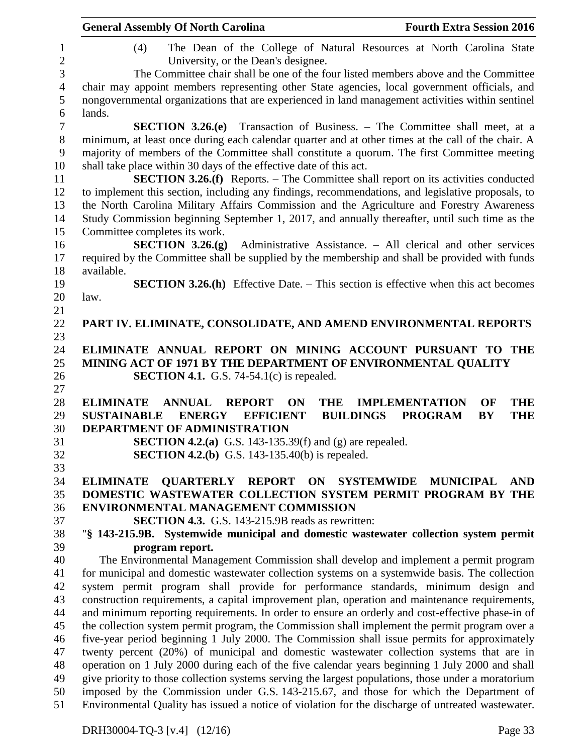|                   | <b>General Assembly Of North Carolina</b><br><b>Fourth Extra Session 2016</b>                                              |
|-------------------|----------------------------------------------------------------------------------------------------------------------------|
| 1<br>$\mathbf{2}$ | The Dean of the College of Natural Resources at North Carolina State<br>(4)<br>University, or the Dean's designee.         |
| 3                 | The Committee chair shall be one of the four listed members above and the Committee                                        |
| $\overline{4}$    | chair may appoint members representing other State agencies, local government officials, and                               |
| 5                 | nongovernmental organizations that are experienced in land management activities within sentinel                           |
| 6                 | lands.                                                                                                                     |
| $\tau$            | <b>SECTION 3.26.(e)</b> Transaction of Business. – The Committee shall meet, at a                                          |
| $8\,$             | minimum, at least once during each calendar quarter and at other times at the call of the chair. A                         |
| $\overline{9}$    | majority of members of the Committee shall constitute a quorum. The first Committee meeting                                |
| 10                | shall take place within 30 days of the effective date of this act.                                                         |
| 11                | <b>SECTION 3.26.(f)</b> Reports. – The Committee shall report on its activities conducted                                  |
| 12                | to implement this section, including any findings, recommendations, and legislative proposals, to                          |
| 13                | the North Carolina Military Affairs Commission and the Agriculture and Forestry Awareness                                  |
| 14                |                                                                                                                            |
|                   | Study Commission beginning September 1, 2017, and annually thereafter, until such time as the                              |
| 15                | Committee completes its work.                                                                                              |
| 16                | SECTION $3.26(g)$<br>Administrative Assistance. – All clerical and other services                                          |
| 17                | required by the Committee shall be supplied by the membership and shall be provided with funds                             |
| 18                | available.                                                                                                                 |
| 19                | <b>SECTION 3.26.(h)</b> Effective Date. – This section is effective when this act becomes                                  |
| 20                | law.                                                                                                                       |
| 21                |                                                                                                                            |
| 22                | PART IV. ELIMINATE, CONSOLIDATE, AND AMEND ENVIRONMENTAL REPORTS                                                           |
| 23                |                                                                                                                            |
| 24                | ELIMINATE ANNUAL REPORT ON MINING ACCOUNT PURSUANT TO THE                                                                  |
| 25                | MINING ACT OF 1971 BY THE DEPARTMENT OF ENVIRONMENTAL QUALITY                                                              |
| 26                | <b>SECTION 4.1.</b> G.S. 74-54.1(c) is repealed.                                                                           |
| 27                |                                                                                                                            |
| 28                | <b>ELIMINATE</b><br><b>ANNUAL</b><br><b>THE</b><br><b>IMPLEMENTATION</b><br><b>THE</b><br><b>REPORT</b><br><b>ON</b><br>OF |
| 29                | <b>BUILDINGS</b><br><b>PROGRAM</b><br><b>BY</b><br>SUSTAINABLE ENERGY EFFICIENT<br><b>THE</b>                              |
| 30                | <b>DEPARTMENT OF ADMINISTRATION</b>                                                                                        |
| 31                | <b>SECTION 4.2.(a)</b> G.S. 143-135.39(f) and (g) are repealed.                                                            |
| 32                | <b>SECTION 4.2.(b)</b> G.S. 143-135.40(b) is repealed.                                                                     |
| 33                |                                                                                                                            |
| 34                | <b>QUARTERLY REPORT ON SYSTEMWIDE</b><br><b>MUNICIPAL</b><br><b>ELIMINATE</b><br><b>AND</b>                                |
| 35                | DOMESTIC WASTEWATER COLLECTION SYSTEM PERMIT PROGRAM BY THE                                                                |
| 36                | ENVIRONMENTAL MANAGEMENT COMMISSION                                                                                        |
| 37                | <b>SECTION 4.3.</b> G.S. 143-215.9B reads as rewritten:                                                                    |
| 38                | "§ 143-215.9B. Systemwide municipal and domestic wastewater collection system permit                                       |
| 39                | program report.                                                                                                            |
| 40                | The Environmental Management Commission shall develop and implement a permit program                                       |
| 41                | for municipal and domestic wastewater collection systems on a systemwide basis. The collection                             |
| 42                | system permit program shall provide for performance standards, minimum design and                                          |
| 43                | construction requirements, a capital improvement plan, operation and maintenance requirements,                             |
| 44                | and minimum reporting requirements. In order to ensure an orderly and cost-effective phase-in of                           |
| 45                | the collection system permit program, the Commission shall implement the permit program over a                             |
| 46                | five-year period beginning 1 July 2000. The Commission shall issue permits for approximately                               |
| 47                | twenty percent (20%) of municipal and domestic wastewater collection systems that are in                                   |
| 48                | operation on 1 July 2000 during each of the five calendar years beginning 1 July 2000 and shall                            |
| 49                | give priority to those collection systems serving the largest populations, those under a moratorium                        |
| 50                | imposed by the Commission under G.S. 143-215.67, and those for which the Department of                                     |
| 51                | Environmental Quality has issued a notice of violation for the discharge of untreated wastewater.                          |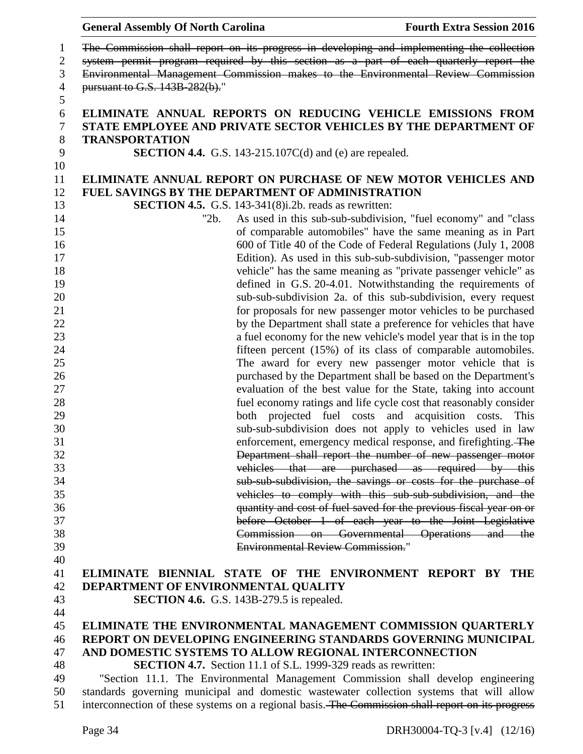| 1              | The Commission shall report on its progress in developing and implementing the collection               |  |  |  |
|----------------|---------------------------------------------------------------------------------------------------------|--|--|--|
| $\overline{c}$ | system permit program required by this section as a part of each quarterly report the                   |  |  |  |
| 3              | Environmental Management Commission makes to the Environmental Review Commission                        |  |  |  |
| $\overline{4}$ | pursuant to G.S. 143B 282(b)."                                                                          |  |  |  |
| 5              |                                                                                                         |  |  |  |
| 6              | ELIMINATE ANNUAL REPORTS ON REDUCING VEHICLE EMISSIONS FROM                                             |  |  |  |
| 7              | STATE EMPLOYEE AND PRIVATE SECTOR VEHICLES BY THE DEPARTMENT OF                                         |  |  |  |
| $8\,$          | <b>TRANSPORTATION</b>                                                                                   |  |  |  |
| 9              | <b>SECTION 4.4.</b> G.S. 143-215.107C(d) and (e) are repealed.                                          |  |  |  |
| 10             |                                                                                                         |  |  |  |
| 11             | ELIMINATE ANNUAL REPORT ON PURCHASE OF NEW MOTOR VEHICLES AND                                           |  |  |  |
| 12             | <b>FUEL SAVINGS BY THE DEPARTMENT OF ADMINISTRATION</b>                                                 |  |  |  |
| 13             | <b>SECTION 4.5.</b> G.S. 143-341 $(8)$ i.2b. reads as rewritten:                                        |  |  |  |
| 14             | As used in this sub-sub-subdivision, "fuel economy" and "class<br>"2b.                                  |  |  |  |
| 15             | of comparable automobiles" have the same meaning as in Part                                             |  |  |  |
| 16             | 600 of Title 40 of the Code of Federal Regulations (July 1, 2008)                                       |  |  |  |
| 17             | Edition). As used in this sub-sub-subdivision, "passenger motor                                         |  |  |  |
| 18             | vehicle" has the same meaning as "private passenger vehicle" as                                         |  |  |  |
| 19             | defined in G.S. 20-4.01. Notwithstanding the requirements of                                            |  |  |  |
| 20             | sub-sub-subdivision 2a. of this sub-subdivision, every request                                          |  |  |  |
| 21             | for proposals for new passenger motor vehicles to be purchased                                          |  |  |  |
| 22             | by the Department shall state a preference for vehicles that have                                       |  |  |  |
| 23             | a fuel economy for the new vehicle's model year that is in the top                                      |  |  |  |
| 24             | fifteen percent (15%) of its class of comparable automobiles.                                           |  |  |  |
| 25             | The award for every new passenger motor vehicle that is                                                 |  |  |  |
| 26             | purchased by the Department shall be based on the Department's                                          |  |  |  |
| 27             |                                                                                                         |  |  |  |
| 28             | evaluation of the best value for the State, taking into account                                         |  |  |  |
|                | fuel economy ratings and life cycle cost that reasonably consider                                       |  |  |  |
| 29<br>30       | both projected fuel costs and acquisition costs.<br>This                                                |  |  |  |
| 31             | sub-sub-subdivision does not apply to vehicles used in law                                              |  |  |  |
|                | enforcement, emergency medical response, and firefighting. The                                          |  |  |  |
| 32             | Department shall report the number of new passenger motor                                               |  |  |  |
| 33             | vehicles that are purchased as required by this                                                         |  |  |  |
| 34<br>35       | sub-sub-subdivision, the savings or costs for the purchase of                                           |  |  |  |
|                | vehicles to comply with this sub-sub-subdivision, and the                                               |  |  |  |
| 36             | quantity and cost of fuel saved for the previous fiscal year on or                                      |  |  |  |
| 37<br>38       | before October 1 of each year to the Joint Legislative<br>Commission on Governmental Operations and the |  |  |  |
|                | <b>Environmental Review Commission."</b>                                                                |  |  |  |
| 39<br>40       |                                                                                                         |  |  |  |
| 41             | ELIMINATE BIENNIAL STATE OF THE ENVIRONMENT REPORT BY THE                                               |  |  |  |
|                |                                                                                                         |  |  |  |
| 42             | DEPARTMENT OF ENVIRONMENTAL QUALITY                                                                     |  |  |  |
| 43             | SECTION 4.6. G.S. 143B-279.5 is repealed.                                                               |  |  |  |
| 44             |                                                                                                         |  |  |  |
| 45             | ELIMINATE THE ENVIRONMENTAL MANAGEMENT COMMISSION QUARTERLY                                             |  |  |  |
| 46             | REPORT ON DEVELOPING ENGINEERING STANDARDS GOVERNING MUNICIPAL                                          |  |  |  |
| 47             | AND DOMESTIC SYSTEMS TO ALLOW REGIONAL INTERCONNECTION                                                  |  |  |  |
| 48             | <b>SECTION 4.7.</b> Section 11.1 of S.L. 1999-329 reads as rewritten:                                   |  |  |  |
| 49             | "Section 11.1. The Environmental Management Commission shall develop engineering                        |  |  |  |
| 50             | standards governing municipal and domestic wastewater collection systems that will allow                |  |  |  |
| 51             | interconnection of these systems on a regional basis. The Commission shall report on its progress       |  |  |  |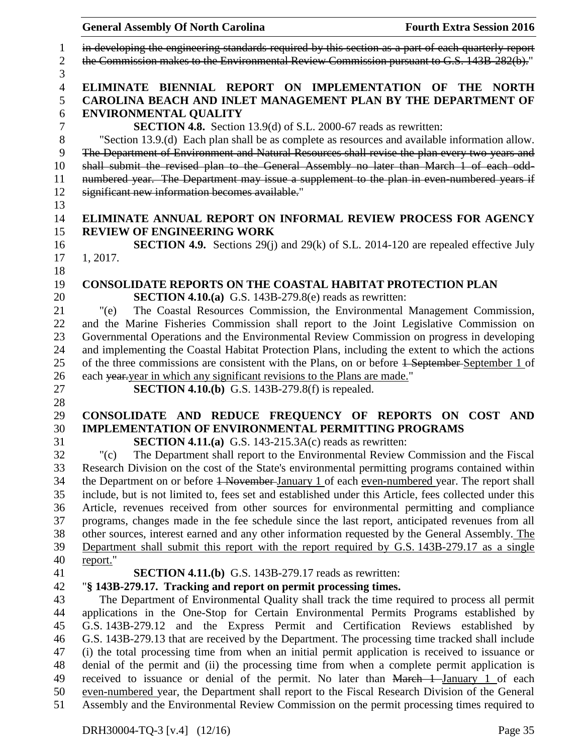|                                         | <b>General Assembly Of North Carolina</b><br><b>Fourth Extra Session 2016</b>                                                                                                                                                                                                                                                                                                                                                                |
|-----------------------------------------|----------------------------------------------------------------------------------------------------------------------------------------------------------------------------------------------------------------------------------------------------------------------------------------------------------------------------------------------------------------------------------------------------------------------------------------------|
| $\mathbf{1}$<br>$\mathbf{2}$            | in developing the engineering standards required by this section as a part of each quarterly report<br>the Commission makes to the Environmental Review Commission pursuant to G.S. 143B-282(b)."                                                                                                                                                                                                                                            |
| 3<br>$\overline{4}$<br>5<br>6<br>$\tau$ | ELIMINATE BIENNIAL REPORT ON IMPLEMENTATION OF THE NORTH<br>CAROLINA BEACH AND INLET MANAGEMENT PLAN BY THE DEPARTMENT OF<br><b>ENVIRONMENTAL QUALITY</b><br><b>SECTION 4.8.</b> Section 13.9(d) of S.L. 2000-67 reads as rewritten:                                                                                                                                                                                                         |
| 8<br>9<br>10<br>11<br>12<br>13          | "Section 13.9.(d) Each plan shall be as complete as resources and available information allow.<br>The Department of Environment and Natural Resources shall revise the plan every two years and<br>shall submit the revised plan to the General Assembly no later than March 1 of each odd-<br>numbered year. The Department may issue a supplement to the plan in even numbered years if<br>significant new information becomes available." |
| 14<br>15                                | ELIMINATE ANNUAL REPORT ON INFORMAL REVIEW PROCESS FOR AGENCY<br><b>REVIEW OF ENGINEERING WORK</b>                                                                                                                                                                                                                                                                                                                                           |
| 16<br>17<br>18                          | <b>SECTION 4.9.</b> Sections 29(j) and 29(k) of S.L. 2014-120 are repealed effective July<br>1, 2017.                                                                                                                                                                                                                                                                                                                                        |
| 19<br>20                                | <b>CONSOLIDATE REPORTS ON THE COASTAL HABITAT PROTECTION PLAN</b><br><b>SECTION 4.10.(a)</b> G.S. 143B-279.8(e) reads as rewritten:                                                                                                                                                                                                                                                                                                          |
| 21<br>22                                | The Coastal Resources Commission, the Environmental Management Commission,<br>"(e)<br>and the Marine Fisheries Commission shall report to the Joint Legislative Commission on                                                                                                                                                                                                                                                                |
| 23<br>24                                | Governmental Operations and the Environmental Review Commission on progress in developing<br>and implementing the Coastal Habitat Protection Plans, including the extent to which the actions                                                                                                                                                                                                                                                |
| 25                                      | of the three commissions are consistent with the Plans, on or before 1 September September 1 of                                                                                                                                                                                                                                                                                                                                              |
| 26<br>27                                | each year-year in which any significant revisions to the Plans are made."<br><b>SECTION 4.10.(b)</b> G.S. 143B-279.8(f) is repealed.                                                                                                                                                                                                                                                                                                         |
| 28<br>29                                | CONSOLIDATE AND REDUCE FREQUENCY OF REPORTS ON COST AND                                                                                                                                                                                                                                                                                                                                                                                      |
| 30                                      | <b>IMPLEMENTATION OF ENVIRONMENTAL PERMITTING PROGRAMS</b>                                                                                                                                                                                                                                                                                                                                                                                   |
| 31                                      | <b>SECTION 4.11.(a)</b> G.S. 143-215.3A(c) reads as rewritten:                                                                                                                                                                                                                                                                                                                                                                               |
| 32                                      | " $(c)$<br>The Department shall report to the Environmental Review Commission and the Fiscal                                                                                                                                                                                                                                                                                                                                                 |
| 33                                      | Research Division on the cost of the State's environmental permitting programs contained within                                                                                                                                                                                                                                                                                                                                              |
| 34<br>35                                | the Department on or before 4 November January 1 of each even-numbered year. The report shall                                                                                                                                                                                                                                                                                                                                                |
|                                         | include, but is not limited to, fees set and established under this Article, fees collected under this                                                                                                                                                                                                                                                                                                                                       |
| 36<br>37                                | Article, revenues received from other sources for environmental permitting and compliance<br>programs, changes made in the fee schedule since the last report, anticipated revenues from all                                                                                                                                                                                                                                                 |
| 38                                      | other sources, interest earned and any other information requested by the General Assembly. The                                                                                                                                                                                                                                                                                                                                              |
| 39                                      | Department shall submit this report with the report required by G.S. 143B-279.17 as a single                                                                                                                                                                                                                                                                                                                                                 |
|                                         | report."                                                                                                                                                                                                                                                                                                                                                                                                                                     |
|                                         | <b>SECTION 4.11.(b)</b> G.S. 143B-279.17 reads as rewritten:                                                                                                                                                                                                                                                                                                                                                                                 |
|                                         | "§ 143B-279.17. Tracking and report on permit processing times.                                                                                                                                                                                                                                                                                                                                                                              |
|                                         | The Department of Environmental Quality shall track the time required to process all permit                                                                                                                                                                                                                                                                                                                                                  |
|                                         | applications in the One-Stop for Certain Environmental Permits Programs established by                                                                                                                                                                                                                                                                                                                                                       |
|                                         | G.S. 143B-279.12 and the Express Permit and Certification Reviews established by                                                                                                                                                                                                                                                                                                                                                             |
|                                         | G.S. 143B-279.13 that are received by the Department. The processing time tracked shall include                                                                                                                                                                                                                                                                                                                                              |
|                                         | (i) the total processing time from when an initial permit application is received to issuance or                                                                                                                                                                                                                                                                                                                                             |
|                                         | denial of the permit and (ii) the processing time from when a complete permit application is                                                                                                                                                                                                                                                                                                                                                 |
|                                         | received to issuance or denial of the permit. No later than March 1 January 1 of each                                                                                                                                                                                                                                                                                                                                                        |
|                                         | even-numbered year, the Department shall report to the Fiscal Research Division of the General<br>Assembly and the Environmental Review Commission on the permit processing times required to                                                                                                                                                                                                                                                |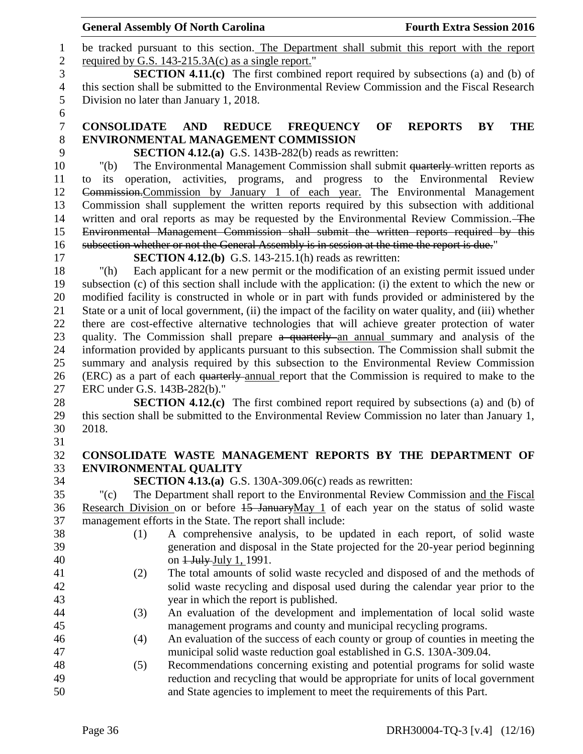|                | <b>General Assembly Of North Carolina</b>                                                                                                                       | <b>Fourth Extra Session 2016</b>         |  |  |
|----------------|-----------------------------------------------------------------------------------------------------------------------------------------------------------------|------------------------------------------|--|--|
| $\mathbf{1}$   | be tracked pursuant to this section. The Department shall submit this report with the report                                                                    |                                          |  |  |
| $\mathbf{2}$   | required by G.S. 143-215.3A(c) as a single report."                                                                                                             |                                          |  |  |
| 3              | <b>SECTION 4.11.(c)</b> The first combined report required by subsections (a) and (b) of                                                                        |                                          |  |  |
| $\overline{4}$ | this section shall be submitted to the Environmental Review Commission and the Fiscal Research                                                                  |                                          |  |  |
| 5              | Division no later than January 1, 2018.                                                                                                                         |                                          |  |  |
| 6              |                                                                                                                                                                 |                                          |  |  |
| $\overline{7}$ | <b>CONSOLIDATE AND</b><br><b>REDUCE</b><br><b>FREQUENCY</b>                                                                                                     | OF<br><b>THE</b><br><b>REPORTS</b><br>BY |  |  |
| $8\,$          | <b>ENVIRONMENTAL MANAGEMENT COMMISSION</b>                                                                                                                      |                                          |  |  |
| 9              | <b>SECTION 4.12.(a)</b> G.S. 143B-282(b) reads as rewritten:                                                                                                    |                                          |  |  |
| 10             | The Environmental Management Commission shall submit quarterly-written reports as<br>" $(b)$                                                                    |                                          |  |  |
| 11             | activities, programs, and progress to the Environmental Review<br>operation,<br>its<br>to                                                                       |                                          |  |  |
| 12             | Commission-Commission by January 1 of each year. The Environmental Management                                                                                   |                                          |  |  |
| 13             | Commission shall supplement the written reports required by this subsection with additional                                                                     |                                          |  |  |
| 14             | written and oral reports as may be requested by the Environmental Review Commission. The                                                                        |                                          |  |  |
| 15             | Environmental Management Commission shall submit the written reports required by this                                                                           |                                          |  |  |
| 16             | subsection whether or not the General Assembly is in session at the time the report is due."                                                                    |                                          |  |  |
| 17             | <b>SECTION 4.12.(b)</b> G.S. 143-215.1(h) reads as rewritten:                                                                                                   |                                          |  |  |
| 18             | Each applicant for a new permit or the modification of an existing permit issued under<br>" $(h)$                                                               |                                          |  |  |
| 19             | subsection (c) of this section shall include with the application: (i) the extent to which the new or                                                           |                                          |  |  |
| 20             | modified facility is constructed in whole or in part with funds provided or administered by the                                                                 |                                          |  |  |
| 21             | State or a unit of local government, (ii) the impact of the facility on water quality, and (iii) whether                                                        |                                          |  |  |
| 22             | there are cost-effective alternative technologies that will achieve greater protection of water                                                                 |                                          |  |  |
| 23             | quality. The Commission shall prepare a quarterly an annual summary and analysis of the                                                                         |                                          |  |  |
| 24             | information provided by applicants pursuant to this subsection. The Commission shall submit the                                                                 |                                          |  |  |
| 25             | summary and analysis required by this subsection to the Environmental Review Commission                                                                         |                                          |  |  |
| 26             | (ERC) as a part of each quarterly-annual report that the Commission is required to make to the                                                                  |                                          |  |  |
| 27             | ERC under G.S. 143B-282(b)."                                                                                                                                    |                                          |  |  |
| 28             | <b>SECTION 4.12.(c)</b> The first combined report required by subsections (a) and (b) of                                                                        |                                          |  |  |
| 29             | this section shall be submitted to the Environmental Review Commission no later than January 1,                                                                 |                                          |  |  |
| 30             | 2018.                                                                                                                                                           |                                          |  |  |
| 31             |                                                                                                                                                                 |                                          |  |  |
| 32             | CONSOLIDATE WASTE MANAGEMENT REPORTS BY THE DEPARTMENT OF                                                                                                       |                                          |  |  |
| 33             | <b>ENVIRONMENTAL QUALITY</b>                                                                                                                                    |                                          |  |  |
| 34<br>35       | <b>SECTION 4.13.(a)</b> G.S. 130A-309.06(c) reads as rewritten:<br>The Department shall report to the Environmental Review Commission and the Fiscal<br>" $(c)$ |                                          |  |  |
| 36             | Research Division on or before 15 JanuaryMay 1 of each year on the status of solid waste                                                                        |                                          |  |  |
| 37             | management efforts in the State. The report shall include:                                                                                                      |                                          |  |  |
| 38             | A comprehensive analysis, to be updated in each report, of solid waste<br>(1)                                                                                   |                                          |  |  |
| 39             | generation and disposal in the State projected for the 20-year period beginning                                                                                 |                                          |  |  |
| 40             | on 1 July July 1, 1991.                                                                                                                                         |                                          |  |  |
| 41             | The total amounts of solid waste recycled and disposed of and the methods of<br>(2)                                                                             |                                          |  |  |
| 42             | solid waste recycling and disposal used during the calendar year prior to the                                                                                   |                                          |  |  |
| 43             | year in which the report is published.                                                                                                                          |                                          |  |  |
| 44             | An evaluation of the development and implementation of local solid waste<br>(3)                                                                                 |                                          |  |  |
| 45             | management programs and county and municipal recycling programs.                                                                                                |                                          |  |  |
| 46             | An evaluation of the success of each county or group of counties in meeting the<br>(4)                                                                          |                                          |  |  |
| 47             | municipal solid waste reduction goal established in G.S. 130A-309.04.                                                                                           |                                          |  |  |
| 48             | Recommendations concerning existing and potential programs for solid waste<br>(5)                                                                               |                                          |  |  |
| 49             | reduction and recycling that would be appropriate for units of local government                                                                                 |                                          |  |  |
| 50             | and State agencies to implement to meet the requirements of this Part.                                                                                          |                                          |  |  |
|                |                                                                                                                                                                 |                                          |  |  |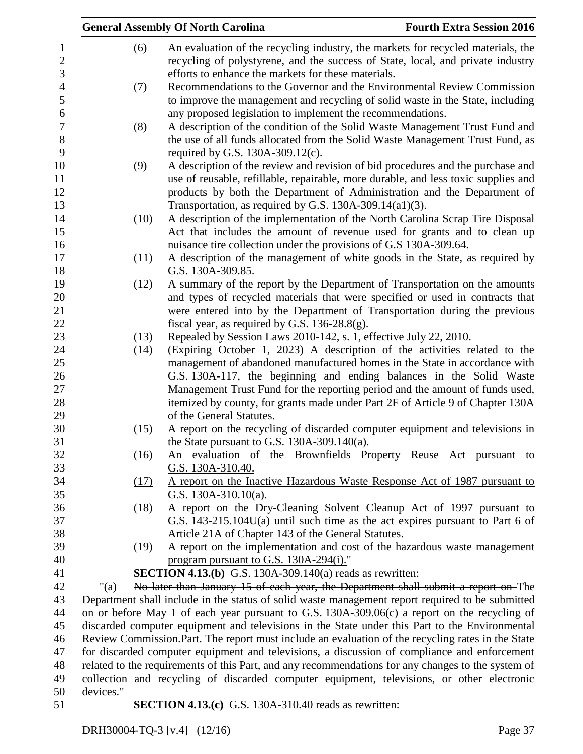|           |      | <b>General Assembly Of North Carolina</b>                                                          | <b>Fourth Extra Session 2016</b> |
|-----------|------|----------------------------------------------------------------------------------------------------|----------------------------------|
|           | (6)  | An evaluation of the recycling industry, the markets for recycled materials, the                   |                                  |
|           |      | recycling of polystyrene, and the success of State, local, and private industry                    |                                  |
|           |      | efforts to enhance the markets for these materials.                                                |                                  |
|           | (7)  | Recommendations to the Governor and the Environmental Review Commission                            |                                  |
|           |      | to improve the management and recycling of solid waste in the State, including                     |                                  |
|           |      | any proposed legislation to implement the recommendations.                                         |                                  |
|           | (8)  | A description of the condition of the Solid Waste Management Trust Fund and                        |                                  |
|           |      | the use of all funds allocated from the Solid Waste Management Trust Fund, as                      |                                  |
|           |      | required by G.S. $130A-309.12(c)$ .                                                                |                                  |
|           | (9)  | A description of the review and revision of bid procedures and the purchase and                    |                                  |
|           |      | use of reusable, refillable, repairable, more durable, and less toxic supplies and                 |                                  |
|           |      | products by both the Department of Administration and the Department of                            |                                  |
|           |      | Transportation, as required by G.S. $130A-309.14(a1)(3)$ .                                         |                                  |
|           | (10) | A description of the implementation of the North Carolina Scrap Tire Disposal                      |                                  |
|           |      | Act that includes the amount of revenue used for grants and to clean up                            |                                  |
|           |      | nuisance tire collection under the provisions of G.S 130A-309.64.                                  |                                  |
|           | (11) | A description of the management of white goods in the State, as required by                        |                                  |
|           |      | G.S. 130A-309.85.                                                                                  |                                  |
|           | (12) | A summary of the report by the Department of Transportation on the amounts                         |                                  |
|           |      | and types of recycled materials that were specified or used in contracts that                      |                                  |
|           |      | were entered into by the Department of Transportation during the previous                          |                                  |
|           |      | fiscal year, as required by G.S. $136-28.8(g)$ .                                                   |                                  |
|           | (13) | Repealed by Session Laws 2010-142, s. 1, effective July 22, 2010.                                  |                                  |
|           | (14) | (Expiring October 1, 2023) A description of the activities related to the                          |                                  |
|           |      | management of abandoned manufactured homes in the State in accordance with                         |                                  |
|           |      | G.S. 130A-117, the beginning and ending balances in the Solid Waste                                |                                  |
|           |      | Management Trust Fund for the reporting period and the amount of funds used,                       |                                  |
|           |      | itemized by county, for grants made under Part 2F of Article 9 of Chapter 130A                     |                                  |
|           |      | of the General Statutes.                                                                           |                                  |
|           | (15) | A report on the recycling of discarded computer equipment and televisions in                       |                                  |
|           |      | the State pursuant to G.S. $130A-309.140(a)$ .                                                     |                                  |
|           | (16) | An evaluation of the Brownfields Property Reuse Act pursuant to                                    |                                  |
|           |      | G.S. 130A-310.40.                                                                                  |                                  |
|           | (17) | A report on the Inactive Hazardous Waste Response Act of 1987 pursuant to                          |                                  |
|           |      | G.S. $130A-310.10(a)$ .                                                                            |                                  |
|           | (18) | A report on the Dry-Cleaning Solvent Cleanup Act of 1997 pursuant to                               |                                  |
|           |      | G.S. $143-215.104U(a)$ until such time as the act expires pursuant to Part 6 of                    |                                  |
|           |      | Article 21A of Chapter 143 of the General Statutes.                                                |                                  |
|           | (19) | A report on the implementation and cost of the hazardous waste management                          |                                  |
|           |      | program pursuant to G.S. 130A-294(i)."                                                             |                                  |
|           |      | <b>SECTION 4.13.(b)</b> G.S. 130A-309.140(a) reads as rewritten:                                   |                                  |
| " $(a)$   |      | No later than January 15 of each year, the Department shall submit a report on The                 |                                  |
|           |      | Department shall include in the status of solid waste management report required to be submitted   |                                  |
|           |      | on or before May 1 of each year pursuant to G.S. 130A-309.06(c) a report on the recycling of       |                                  |
|           |      | discarded computer equipment and televisions in the State under this Part to the Environmental     |                                  |
|           |      | Review Commission. Part. The report must include an evaluation of the recycling rates in the State |                                  |
|           |      | for discarded computer equipment and televisions, a discussion of compliance and enforcement       |                                  |
|           |      | related to the requirements of this Part, and any recommendations for any changes to the system of |                                  |
|           |      | collection and recycling of discarded computer equipment, televisions, or other electronic         |                                  |
| devices." |      |                                                                                                    |                                  |
|           |      | <b>SECTION 4.13.(c)</b> G.S. 130A-310.40 reads as rewritten:                                       |                                  |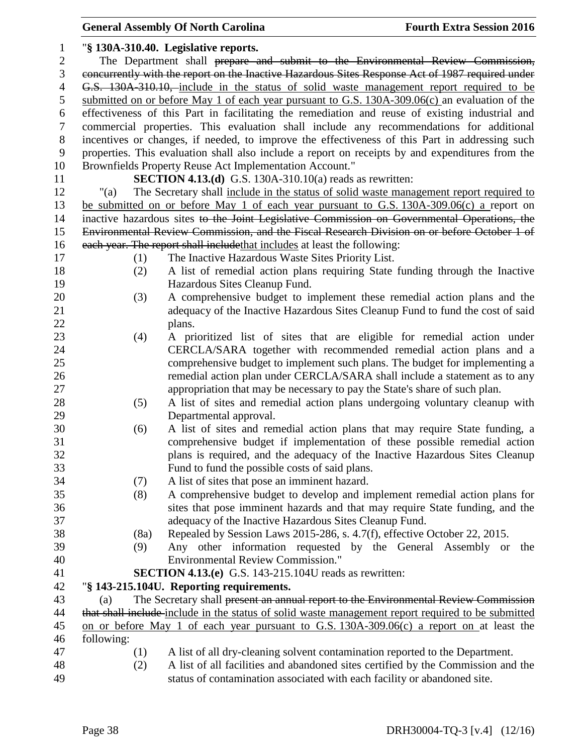|                |            | <b>General Assembly Of North Carolina</b>                                                          | <b>Fourth Extra Session 2016</b> |
|----------------|------------|----------------------------------------------------------------------------------------------------|----------------------------------|
| $\mathbf{1}$   |            | "§ 130A-310.40. Legislative reports.                                                               |                                  |
| $\overline{2}$ |            | The Department shall prepare and submit to the Environmental Review Commission,                    |                                  |
| 3              |            | concurrently with the report on the Inactive Hazardous Sites Response Act of 1987 required under   |                                  |
| $\overline{4}$ |            | G.S. 130A 310.10, include in the status of solid waste management report required to be            |                                  |
| 5              |            | submitted on or before May 1 of each year pursuant to G.S. $130A-309.06(c)$ an evaluation of the   |                                  |
| 6              |            | effectiveness of this Part in facilitating the remediation and reuse of existing industrial and    |                                  |
| $\tau$         |            | commercial properties. This evaluation shall include any recommendations for additional            |                                  |
| $8\,$          |            | incentives or changes, if needed, to improve the effectiveness of this Part in addressing such     |                                  |
| $\mathbf{9}$   |            | properties. This evaluation shall also include a report on receipts by and expenditures from the   |                                  |
| 10             |            | Brownfields Property Reuse Act Implementation Account."                                            |                                  |
| 11             |            | <b>SECTION 4.13.(d)</b> G.S. 130A-310.10(a) reads as rewritten:                                    |                                  |
| 12             | "(a)       | The Secretary shall include in the status of solid waste management report required to             |                                  |
| 13             |            | be submitted on or before May 1 of each year pursuant to G.S. 130A-309.06(c) a report on           |                                  |
| 14             |            | inactive hazardous sites to the Joint Legislative Commission on Governmental Operations, the       |                                  |
| 15             |            | Environmental Review Commission, and the Fiscal Research Division on or before October 1 of        |                                  |
| 16             |            | each year. The report shall include that includes at least the following:                          |                                  |
| 17             | (1)        | The Inactive Hazardous Waste Sites Priority List.                                                  |                                  |
| 18             | (2)        | A list of remedial action plans requiring State funding through the Inactive                       |                                  |
| 19             |            | Hazardous Sites Cleanup Fund.                                                                      |                                  |
| 20             | (3)        | A comprehensive budget to implement these remedial action plans and the                            |                                  |
| 21             |            | adequacy of the Inactive Hazardous Sites Cleanup Fund to fund the cost of said                     |                                  |
| 22             |            | plans.                                                                                             |                                  |
| 23             | (4)        | A prioritized list of sites that are eligible for remedial action under                            |                                  |
| 24             |            | CERCLA/SARA together with recommended remedial action plans and a                                  |                                  |
| 25             |            | comprehensive budget to implement such plans. The budget for implementing a                        |                                  |
| 26             |            | remedial action plan under CERCLA/SARA shall include a statement as to any                         |                                  |
| 27             |            | appropriation that may be necessary to pay the State's share of such plan.                         |                                  |
| 28             | (5)        | A list of sites and remedial action plans undergoing voluntary cleanup with                        |                                  |
| 29             |            | Departmental approval.                                                                             |                                  |
| 30             | (6)        | A list of sites and remedial action plans that may require State funding, a                        |                                  |
| 31             |            | comprehensive budget if implementation of these possible remedial action                           |                                  |
|                |            |                                                                                                    |                                  |
| 32             |            | plans is required, and the adequacy of the Inactive Hazardous Sites Cleanup                        |                                  |
| 33             |            | Fund to fund the possible costs of said plans.                                                     |                                  |
| 34             | (7)        | A list of sites that pose an imminent hazard.                                                      |                                  |
| 35             | (8)        | A comprehensive budget to develop and implement remedial action plans for                          |                                  |
| 36             |            | sites that pose imminent hazards and that may require State funding, and the                       |                                  |
| 37             |            | adequacy of the Inactive Hazardous Sites Cleanup Fund.                                             |                                  |
| 38             | (8a)       | Repealed by Session Laws 2015-286, s. 4.7(f), effective October 22, 2015.                          |                                  |
| 39             | (9)        | Any other information requested by the General Assembly or                                         | the                              |
| 40             |            | <b>Environmental Review Commission."</b>                                                           |                                  |
| 41             |            | <b>SECTION 4.13.(e)</b> G.S. 143-215.104U reads as rewritten:                                      |                                  |
| 42             |            | "§ 143-215.104U. Reporting requirements.                                                           |                                  |
| 43             | (a)        | The Secretary shall present an annual report to the Environmental Review Commission                |                                  |
| 44             |            | that shall include include in the status of solid waste management report required to be submitted |                                  |
| 45             |            | on or before May 1 of each year pursuant to G.S. 130A-309.06(c) a report on at least the           |                                  |
| 46             | following: |                                                                                                    |                                  |
| 47             | (1)        | A list of all dry-cleaning solvent contamination reported to the Department.                       |                                  |
| 48             | (2)        | A list of all facilities and abandoned sites certified by the Commission and the                   |                                  |
| 49             |            | status of contamination associated with each facility or abandoned site.                           |                                  |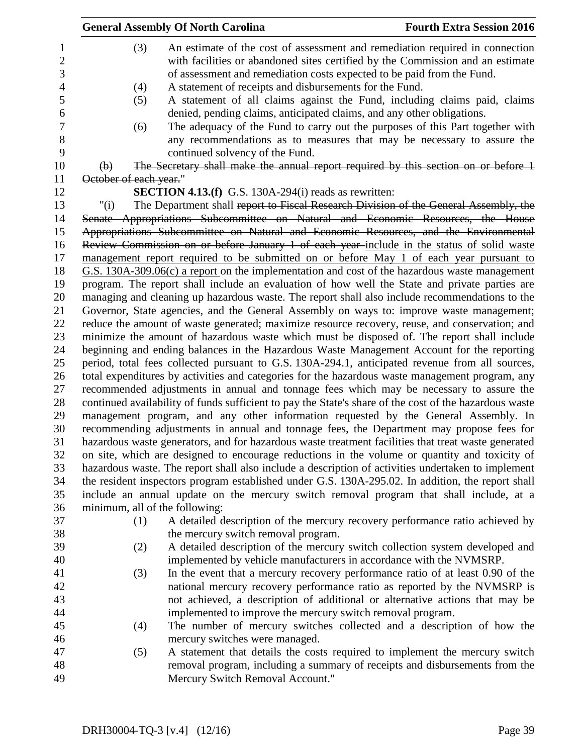|                                | <b>General Assembly Of North Carolina</b>                                                                                                                                                                                                                                                                                                                                        | <b>Fourth Extra Session 2016</b> |
|--------------------------------|----------------------------------------------------------------------------------------------------------------------------------------------------------------------------------------------------------------------------------------------------------------------------------------------------------------------------------------------------------------------------------|----------------------------------|
| (3)<br>(4)<br>(5)              | An estimate of the cost of assessment and remediation required in connection<br>with facilities or abandoned sites certified by the Commission and an estimate<br>of assessment and remediation costs expected to be paid from the Fund.<br>A statement of receipts and disbursements for the Fund.<br>A statement of all claims against the Fund, including claims paid, claims |                                  |
| (6)                            | denied, pending claims, anticipated claims, and any other obligations.<br>The adequacy of the Fund to carry out the purposes of this Part together with                                                                                                                                                                                                                          |                                  |
|                                | any recommendations as to measures that may be necessary to assure the<br>continued solvency of the Fund.                                                                                                                                                                                                                                                                        |                                  |
| $\bigoplus$                    | The Secretary shall make the annual report required by this section on or before 1                                                                                                                                                                                                                                                                                               |                                  |
| October of each year."         |                                                                                                                                                                                                                                                                                                                                                                                  |                                  |
|                                | <b>SECTION 4.13.(f)</b> G.S. 130A-294(i) reads as rewritten:                                                                                                                                                                                                                                                                                                                     |                                  |
| " $(i)$                        | The Department shall report to Fiscal Research Division of the General Assembly, the<br>Senate Appropriations Subcommittee on Natural and Economic Resources, the House                                                                                                                                                                                                          |                                  |
|                                | Appropriations Subcommittee on Natural and Economic Resources, and the Environmental                                                                                                                                                                                                                                                                                             |                                  |
|                                | Review Commission on or before January 1 of each year-include in the status of solid waste                                                                                                                                                                                                                                                                                       |                                  |
|                                | management report required to be submitted on or before May 1 of each year pursuant to                                                                                                                                                                                                                                                                                           |                                  |
|                                | $G.S. 130A-309.06(c)$ a report on the implementation and cost of the hazardous waste management                                                                                                                                                                                                                                                                                  |                                  |
|                                | program. The report shall include an evaluation of how well the State and private parties are                                                                                                                                                                                                                                                                                    |                                  |
|                                | managing and cleaning up hazardous waste. The report shall also include recommendations to the                                                                                                                                                                                                                                                                                   |                                  |
|                                | Governor, State agencies, and the General Assembly on ways to: improve waste management;                                                                                                                                                                                                                                                                                         |                                  |
|                                | reduce the amount of waste generated; maximize resource recovery, reuse, and conservation; and                                                                                                                                                                                                                                                                                   |                                  |
|                                | minimize the amount of hazardous waste which must be disposed of. The report shall include                                                                                                                                                                                                                                                                                       |                                  |
|                                | beginning and ending balances in the Hazardous Waste Management Account for the reporting                                                                                                                                                                                                                                                                                        |                                  |
|                                | period, total fees collected pursuant to G.S. 130A-294.1, anticipated revenue from all sources,<br>total expenditures by activities and categories for the hazardous waste management program, any                                                                                                                                                                               |                                  |
|                                | recommended adjustments in annual and tonnage fees which may be necessary to assure the                                                                                                                                                                                                                                                                                          |                                  |
|                                | continued availability of funds sufficient to pay the State's share of the cost of the hazardous waste                                                                                                                                                                                                                                                                           |                                  |
|                                | management program, and any other information requested by the General Assembly. In                                                                                                                                                                                                                                                                                              |                                  |
|                                | recommending adjustments in annual and tonnage fees, the Department may propose fees for                                                                                                                                                                                                                                                                                         |                                  |
|                                | hazardous waste generators, and for hazardous waste treatment facilities that treat waste generated                                                                                                                                                                                                                                                                              |                                  |
|                                | on site, which are designed to encourage reductions in the volume or quantity and toxicity of                                                                                                                                                                                                                                                                                    |                                  |
|                                | hazardous waste. The report shall also include a description of activities undertaken to implement                                                                                                                                                                                                                                                                               |                                  |
|                                | the resident inspectors program established under G.S. 130A-295.02. In addition, the report shall                                                                                                                                                                                                                                                                                |                                  |
|                                | include an annual update on the mercury switch removal program that shall include, at a                                                                                                                                                                                                                                                                                          |                                  |
| minimum, all of the following: |                                                                                                                                                                                                                                                                                                                                                                                  |                                  |
| (1)                            | A detailed description of the mercury recovery performance ratio achieved by                                                                                                                                                                                                                                                                                                     |                                  |
|                                | the mercury switch removal program.                                                                                                                                                                                                                                                                                                                                              |                                  |
| (2)                            | A detailed description of the mercury switch collection system developed and                                                                                                                                                                                                                                                                                                     |                                  |
|                                | implemented by vehicle manufacturers in accordance with the NVMSRP.                                                                                                                                                                                                                                                                                                              |                                  |
| (3)                            | In the event that a mercury recovery performance ratio of at least 0.90 of the                                                                                                                                                                                                                                                                                                   |                                  |
|                                | national mercury recovery performance ratio as reported by the NVMSRP is<br>not achieved, a description of additional or alternative actions that may be                                                                                                                                                                                                                         |                                  |
|                                | implemented to improve the mercury switch removal program.                                                                                                                                                                                                                                                                                                                       |                                  |
| (4)                            | The number of mercury switches collected and a description of how the                                                                                                                                                                                                                                                                                                            |                                  |
|                                | mercury switches were managed.                                                                                                                                                                                                                                                                                                                                                   |                                  |
| (5)                            | A statement that details the costs required to implement the mercury switch                                                                                                                                                                                                                                                                                                      |                                  |
|                                | removal program, including a summary of receipts and disbursements from the                                                                                                                                                                                                                                                                                                      |                                  |
|                                | Mercury Switch Removal Account."                                                                                                                                                                                                                                                                                                                                                 |                                  |
|                                |                                                                                                                                                                                                                                                                                                                                                                                  |                                  |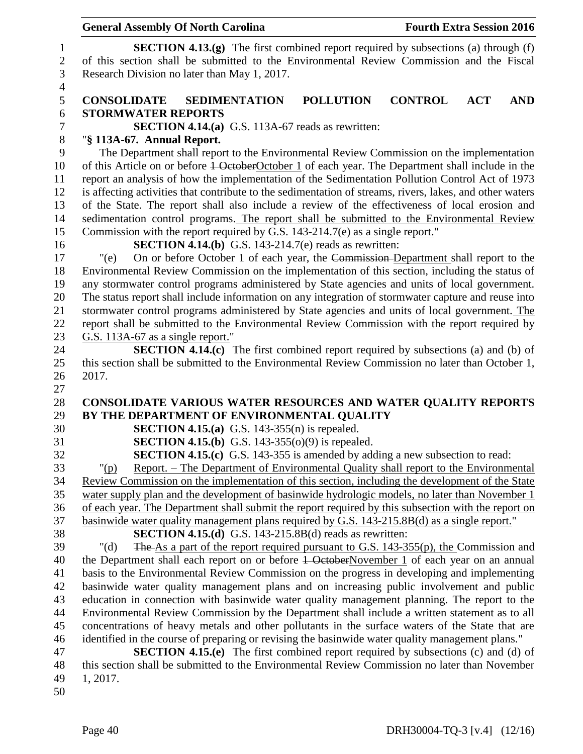| <b>General Assembly Of North Carolina</b>                                                                                                                                                   |                  | <b>Fourth Extra Session 2016</b> |            |            |
|---------------------------------------------------------------------------------------------------------------------------------------------------------------------------------------------|------------------|----------------------------------|------------|------------|
| <b>SECTION 4.13.(g)</b> The first combined report required by subsections (a) through $(f)$                                                                                                 |                  |                                  |            |            |
| of this section shall be submitted to the Environmental Review Commission and the Fiscal<br>Research Division no later than May 1, 2017.                                                    |                  |                                  |            |            |
| <b>CONSOLIDATE</b><br><b>SEDIMENTATION</b>                                                                                                                                                  | <b>POLLUTION</b> | <b>CONTROL</b>                   | <b>ACT</b> | <b>AND</b> |
| <b>STORMWATER REPORTS</b><br>SECTION 4.14.(a) G.S. 113A-67 reads as rewritten:                                                                                                              |                  |                                  |            |            |
| "§ 113A-67. Annual Report.<br>The Department shall report to the Environmental Review Commission on the implementation                                                                      |                  |                                  |            |            |
| of this Article on or before <del>1 October</del> October 1 of each year. The Department shall include in the                                                                               |                  |                                  |            |            |
| report an analysis of how the implementation of the Sedimentation Pollution Control Act of 1973                                                                                             |                  |                                  |            |            |
| is affecting activities that contribute to the sedimentation of streams, rivers, lakes, and other waters                                                                                    |                  |                                  |            |            |
| of the State. The report shall also include a review of the effectiveness of local erosion and                                                                                              |                  |                                  |            |            |
| sedimentation control programs. The report shall be submitted to the Environmental Review                                                                                                   |                  |                                  |            |            |
| Commission with the report required by G.S. 143-214.7(e) as a single report."                                                                                                               |                  |                                  |            |            |
| <b>SECTION 4.14.(b)</b> G.S. 143-214.7(e) reads as rewritten:                                                                                                                               |                  |                                  |            |            |
| On or before October 1 of each year, the Commission-Department shall report to the<br>" $(e)$                                                                                               |                  |                                  |            |            |
| Environmental Review Commission on the implementation of this section, including the status of                                                                                              |                  |                                  |            |            |
| any stormwater control programs administered by State agencies and units of local government.                                                                                               |                  |                                  |            |            |
| The status report shall include information on any integration of stormwater capture and reuse into                                                                                         |                  |                                  |            |            |
| stormwater control programs administered by State agencies and units of local government. The                                                                                               |                  |                                  |            |            |
| report shall be submitted to the Environmental Review Commission with the report required by                                                                                                |                  |                                  |            |            |
| G.S. 113A-67 as a single report."                                                                                                                                                           |                  |                                  |            |            |
|                                                                                                                                                                                             |                  |                                  |            |            |
| <b>SECTION 4.14.(c)</b> The first combined report required by subsections (a) and (b) of<br>this section shall be submitted to the Environmental Review Commission no later than October 1, |                  |                                  |            |            |
| 2017.                                                                                                                                                                                       |                  |                                  |            |            |
|                                                                                                                                                                                             |                  |                                  |            |            |
| <b>CONSOLIDATE VARIOUS WATER RESOURCES AND WATER QUALITY REPORTS</b>                                                                                                                        |                  |                                  |            |            |
| BY THE DEPARTMENT OF ENVIRONMENTAL QUALITY                                                                                                                                                  |                  |                                  |            |            |
| <b>SECTION 4.15.(a)</b> G.S. 143-355(n) is repealed.                                                                                                                                        |                  |                                  |            |            |
| <b>SECTION 4.15.(b)</b> G.S. 143-355(o)(9) is repealed.                                                                                                                                     |                  |                                  |            |            |
| <b>SECTION 4.15.(c)</b> G.S. 143-355 is amended by adding a new subsection to read:                                                                                                         |                  |                                  |            |            |
| <u>Report. – The Department of Environmental Quality shall report to the Environmental</u><br>$"(\underline{p})$                                                                            |                  |                                  |            |            |
| Review Commission on the implementation of this section, including the development of the State                                                                                             |                  |                                  |            |            |
| water supply plan and the development of basinwide hydrologic models, no later than November 1                                                                                              |                  |                                  |            |            |
| of each year. The Department shall submit the report required by this subsection with the report on                                                                                         |                  |                                  |            |            |
| basinwide water quality management plans required by G.S. 143-215.8B(d) as a single report."                                                                                                |                  |                                  |            |            |
| <b>SECTION 4.15.(d)</b> G.S. 143-215.8B(d) reads as rewritten:                                                                                                                              |                  |                                  |            |            |
| The As a part of the report required pursuant to G.S. 143-355(p), the Commission and<br>" $(d)$                                                                                             |                  |                                  |            |            |
| the Department shall each report on or before <del>1 October</del> November 1 of each year on an annual                                                                                     |                  |                                  |            |            |
| basis to the Environmental Review Commission on the progress in developing and implementing                                                                                                 |                  |                                  |            |            |
| basinwide water quality management plans and on increasing public involvement and public                                                                                                    |                  |                                  |            |            |
| education in connection with basinwide water quality management planning. The report to the                                                                                                 |                  |                                  |            |            |
| Environmental Review Commission by the Department shall include a written statement as to all                                                                                               |                  |                                  |            |            |
| concentrations of heavy metals and other pollutants in the surface waters of the State that are                                                                                             |                  |                                  |            |            |
| identified in the course of preparing or revising the basinwide water quality management plans."                                                                                            |                  |                                  |            |            |
| <b>SECTION 4.15.(e)</b> The first combined report required by subsections (c) and (d) of                                                                                                    |                  |                                  |            |            |
| this section shall be submitted to the Environmental Review Commission no later than November                                                                                               |                  |                                  |            |            |
| 1, 2017.                                                                                                                                                                                    |                  |                                  |            |            |
|                                                                                                                                                                                             |                  |                                  |            |            |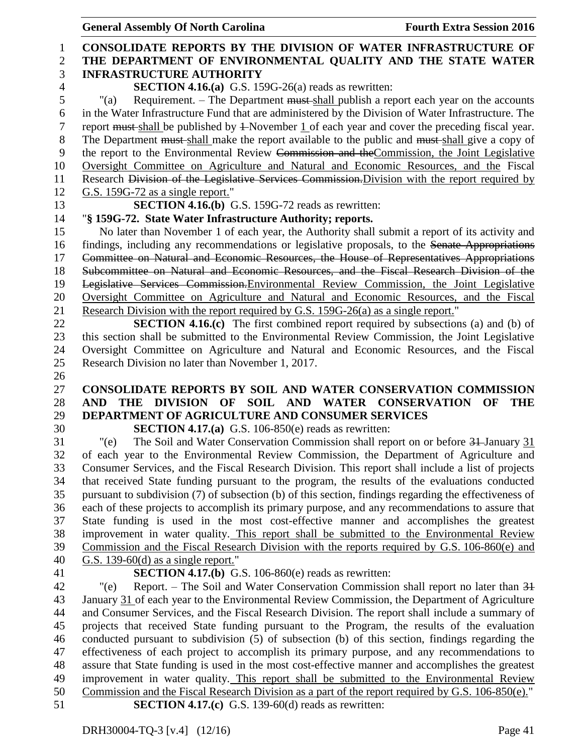|                                | <b>General Assembly Of North Carolina</b>                                                                                                                                                          | <b>Fourth Extra Session 2016</b> |  |
|--------------------------------|----------------------------------------------------------------------------------------------------------------------------------------------------------------------------------------------------|----------------------------------|--|
| $\mathbf{1}$<br>$\overline{2}$ | <b>CONSOLIDATE REPORTS BY THE DIVISION OF WATER INFRASTRUCTURE OF</b><br>THE DEPARTMENT OF ENVIRONMENTAL QUALITY AND THE STATE WATER                                                               |                                  |  |
| 3                              | <b>INFRASTRUCTURE AUTHORITY</b>                                                                                                                                                                    |                                  |  |
| $\overline{4}$                 | <b>SECTION 4.16.(a)</b> G.S. 159G-26(a) reads as rewritten:                                                                                                                                        |                                  |  |
| 5                              | Requirement. - The Department must-shall publish a report each year on the accounts<br>"(a)                                                                                                        |                                  |  |
| 6                              | in the Water Infrastructure Fund that are administered by the Division of Water Infrastructure. The                                                                                                |                                  |  |
| $\tau$                         | report must shall be published by $\pm$ November 1 of each year and cover the preceding fiscal year.                                                                                               |                                  |  |
| 8                              | The Department must shall make the report available to the public and must shall give a copy of                                                                                                    |                                  |  |
| 9                              | the report to the Environmental Review Commission and the Commission, the Joint Legislative                                                                                                        |                                  |  |
| 10                             | Oversight Committee on Agriculture and Natural and Economic Resources, and the Fiscal                                                                                                              |                                  |  |
| 11                             | Research Division of the Legislative Services Commission. Division with the report required by                                                                                                     |                                  |  |
| 12                             | G.S. 159G-72 as a single report."                                                                                                                                                                  |                                  |  |
| 13                             | <b>SECTION 4.16.(b)</b> G.S. 159G-72 reads as rewritten:                                                                                                                                           |                                  |  |
| 14                             | "§ 159G-72. State Water Infrastructure Authority; reports.                                                                                                                                         |                                  |  |
| 15                             | No later than November 1 of each year, the Authority shall submit a report of its activity and                                                                                                     |                                  |  |
| 16                             | findings, including any recommendations or legislative proposals, to the Senate Appropriations                                                                                                     |                                  |  |
| 17<br>18                       | Committee on Natural and Economic Resources, the House of Representatives Appropriations<br>Subcommittee on Natural and Economic Resources, and the Fiscal Research Division of the                |                                  |  |
| 19                             | Legislative Services Commission-Environmental Review Commission, the Joint Legislative                                                                                                             |                                  |  |
| 20                             | Oversight Committee on Agriculture and Natural and Economic Resources, and the Fiscal                                                                                                              |                                  |  |
| 21                             | Research Division with the report required by G.S. 159G-26(a) as a single report."                                                                                                                 |                                  |  |
| 22                             | <b>SECTION 4.16.(c)</b> The first combined report required by subsections (a) and (b) of                                                                                                           |                                  |  |
| 23                             | this section shall be submitted to the Environmental Review Commission, the Joint Legislative                                                                                                      |                                  |  |
| 24                             | Oversight Committee on Agriculture and Natural and Economic Resources, and the Fiscal                                                                                                              |                                  |  |
| 25                             | Research Division no later than November 1, 2017.                                                                                                                                                  |                                  |  |
| 26                             |                                                                                                                                                                                                    |                                  |  |
| 27                             | <b>CONSOLIDATE REPORTS BY SOIL AND WATER CONSERVATION COMMISSION</b>                                                                                                                               |                                  |  |
| 28                             | <b>DIVISION</b><br>OF SOIL AND WATER CONSERVATION OF<br><b>AND</b><br>THE                                                                                                                          | <b>THE</b>                       |  |
| 29                             | <b>DEPARTMENT OF AGRICULTURE AND CONSUMER SERVICES</b>                                                                                                                                             |                                  |  |
| 30                             | <b>SECTION 4.17.(a)</b> G.S. 106-850(e) reads as rewritten:                                                                                                                                        |                                  |  |
| 31                             | The Soil and Water Conservation Commission shall report on or before 31 January 31<br>"(e)                                                                                                         |                                  |  |
| 32                             | of each year to the Environmental Review Commission, the Department of Agriculture and                                                                                                             |                                  |  |
| 33<br>34                       | Consumer Services, and the Fiscal Research Division. This report shall include a list of projects<br>that received State funding pursuant to the program, the results of the evaluations conducted |                                  |  |
| 35                             | pursuant to subdivision (7) of subsection (b) of this section, findings regarding the effectiveness of                                                                                             |                                  |  |
| 36                             | each of these projects to accomplish its primary purpose, and any recommendations to assure that                                                                                                   |                                  |  |
| 37                             | State funding is used in the most cost-effective manner and accomplishes the greatest                                                                                                              |                                  |  |
| 38                             | improvement in water quality. This report shall be submitted to the Environmental Review                                                                                                           |                                  |  |
| 39                             | Commission and the Fiscal Research Division with the reports required by G.S. 106-860(e) and                                                                                                       |                                  |  |
| 40                             | G.S. 139-60 $(d)$ as a single report."                                                                                                                                                             |                                  |  |
| 41                             | <b>SECTION 4.17.(b)</b> G.S. 106-860(e) reads as rewritten:                                                                                                                                        |                                  |  |
| 42                             | Report. – The Soil and Water Conservation Commission shall report no later than 31<br>"(e)                                                                                                         |                                  |  |
| 43                             | January 31 of each year to the Environmental Review Commission, the Department of Agriculture                                                                                                      |                                  |  |
| 44                             | and Consumer Services, and the Fiscal Research Division. The report shall include a summary of                                                                                                     |                                  |  |
| 45                             | projects that received State funding pursuant to the Program, the results of the evaluation                                                                                                        |                                  |  |
| 46                             | conducted pursuant to subdivision (5) of subsection (b) of this section, findings regarding the                                                                                                    |                                  |  |
| 47                             | effectiveness of each project to accomplish its primary purpose, and any recommendations to                                                                                                        |                                  |  |
| 48                             | assure that State funding is used in the most cost-effective manner and accomplishes the greatest                                                                                                  |                                  |  |
| 49                             | improvement in water quality. This report shall be submitted to the Environmental Review                                                                                                           |                                  |  |
| 50                             | Commission and the Fiscal Research Division as a part of the report required by G.S. 106-850(e)."                                                                                                  |                                  |  |
| 51                             | <b>SECTION 4.17.(c)</b> G.S. 139-60(d) reads as rewritten:                                                                                                                                         |                                  |  |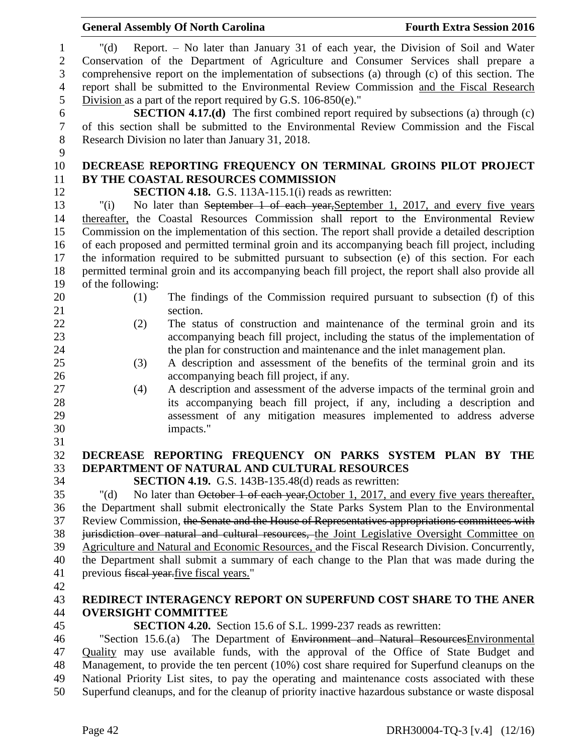|                                                          | <b>General Assembly Of North Carolina</b>                                                                                                                                                                                                                                                                                                                                                                                                            | <b>Fourth Extra Session 2016</b> |
|----------------------------------------------------------|------------------------------------------------------------------------------------------------------------------------------------------------------------------------------------------------------------------------------------------------------------------------------------------------------------------------------------------------------------------------------------------------------------------------------------------------------|----------------------------------|
| $\mathbf{1}$<br>$\mathbf{2}$<br>3<br>$\overline{4}$<br>5 | Report. - No later than January 31 of each year, the Division of Soil and Water<br>" $(d)$<br>Conservation of the Department of Agriculture and Consumer Services shall prepare a<br>comprehensive report on the implementation of subsections (a) through (c) of this section. The<br>report shall be submitted to the Environmental Review Commission and the Fiscal Research<br>Division as a part of the report required by G.S. $106-850(e)$ ." |                                  |
| 6<br>$\boldsymbol{7}$                                    | <b>SECTION 4.17.(d)</b> The first combined report required by subsections (a) through (c)<br>of this section shall be submitted to the Environmental Review Commission and the Fiscal                                                                                                                                                                                                                                                                |                                  |
| $8\,$<br>9                                               | Research Division no later than January 31, 2018.                                                                                                                                                                                                                                                                                                                                                                                                    |                                  |
| 10                                                       | DECREASE REPORTING FREQUENCY ON TERMINAL GROINS PILOT PROJECT                                                                                                                                                                                                                                                                                                                                                                                        |                                  |
| 11                                                       | BY THE COASTAL RESOURCES COMMISSION                                                                                                                                                                                                                                                                                                                                                                                                                  |                                  |
| 12                                                       | SECTION 4.18. G.S. 113A-115.1(i) reads as rewritten:                                                                                                                                                                                                                                                                                                                                                                                                 |                                  |
| 13<br>14                                                 | No later than September 1 of each year, September 1, 2017, and every five years<br>"(i)<br>thereafter, the Coastal Resources Commission shall report to the Environmental Review                                                                                                                                                                                                                                                                     |                                  |
| 15                                                       | Commission on the implementation of this section. The report shall provide a detailed description                                                                                                                                                                                                                                                                                                                                                    |                                  |
| 16                                                       | of each proposed and permitted terminal groin and its accompanying beach fill project, including                                                                                                                                                                                                                                                                                                                                                     |                                  |
| 17                                                       | the information required to be submitted pursuant to subsection (e) of this section. For each                                                                                                                                                                                                                                                                                                                                                        |                                  |
| 18                                                       | permitted terminal groin and its accompanying beach fill project, the report shall also provide all                                                                                                                                                                                                                                                                                                                                                  |                                  |
| 19                                                       | of the following:                                                                                                                                                                                                                                                                                                                                                                                                                                    |                                  |
| 20                                                       | The findings of the Commission required pursuant to subsection (f) of this<br>(1)                                                                                                                                                                                                                                                                                                                                                                    |                                  |
| 21                                                       | section.                                                                                                                                                                                                                                                                                                                                                                                                                                             |                                  |
| 22                                                       | The status of construction and maintenance of the terminal groin and its<br>(2)                                                                                                                                                                                                                                                                                                                                                                      |                                  |
| 23                                                       | accompanying beach fill project, including the status of the implementation of                                                                                                                                                                                                                                                                                                                                                                       |                                  |
| 24<br>25                                                 | the plan for construction and maintenance and the inlet management plan.                                                                                                                                                                                                                                                                                                                                                                             |                                  |
| 26                                                       | A description and assessment of the benefits of the terminal groin and its<br>(3)<br>accompanying beach fill project, if any.                                                                                                                                                                                                                                                                                                                        |                                  |
| 27                                                       | A description and assessment of the adverse impacts of the terminal groin and<br>(4)                                                                                                                                                                                                                                                                                                                                                                 |                                  |
| 28                                                       | its accompanying beach fill project, if any, including a description and                                                                                                                                                                                                                                                                                                                                                                             |                                  |
| 29                                                       | assessment of any mitigation measures implemented to address adverse                                                                                                                                                                                                                                                                                                                                                                                 |                                  |
| 30                                                       | impacts."                                                                                                                                                                                                                                                                                                                                                                                                                                            |                                  |
| 31                                                       |                                                                                                                                                                                                                                                                                                                                                                                                                                                      |                                  |
| 32                                                       | DECREASE REPORTING FREQUENCY ON PARKS SYSTEM PLAN BY THE                                                                                                                                                                                                                                                                                                                                                                                             |                                  |
| 33                                                       | DEPARTMENT OF NATURAL AND CULTURAL RESOURCES                                                                                                                                                                                                                                                                                                                                                                                                         |                                  |
| 34                                                       | <b>SECTION 4.19.</b> G.S. 143B-135.48(d) reads as rewritten:                                                                                                                                                                                                                                                                                                                                                                                         |                                  |
| 35                                                       | No later than October 1 of each year, October 1, 2017, and every five years thereafter,<br>" $(d)$                                                                                                                                                                                                                                                                                                                                                   |                                  |
| 36                                                       | the Department shall submit electronically the State Parks System Plan to the Environmental                                                                                                                                                                                                                                                                                                                                                          |                                  |
| 37<br>38                                                 | Review Commission, the Senate and the House of Representatives appropriations committees with<br>jurisdiction over natural and cultural resources, the Joint Legislative Oversight Committee on                                                                                                                                                                                                                                                      |                                  |
| 39                                                       | Agriculture and Natural and Economic Resources, and the Fiscal Research Division. Concurrently,                                                                                                                                                                                                                                                                                                                                                      |                                  |
| 40                                                       | the Department shall submit a summary of each change to the Plan that was made during the                                                                                                                                                                                                                                                                                                                                                            |                                  |
| 41                                                       | previous fiscal year.five fiscal years."                                                                                                                                                                                                                                                                                                                                                                                                             |                                  |
| 42                                                       |                                                                                                                                                                                                                                                                                                                                                                                                                                                      |                                  |
| 43                                                       | REDIRECT INTERAGENCY REPORT ON SUPERFUND COST SHARE TO THE ANER                                                                                                                                                                                                                                                                                                                                                                                      |                                  |
| 44                                                       | <b>OVERSIGHT COMMITTEE</b>                                                                                                                                                                                                                                                                                                                                                                                                                           |                                  |
| 45                                                       | SECTION 4.20. Section 15.6 of S.L. 1999-237 reads as rewritten:                                                                                                                                                                                                                                                                                                                                                                                      |                                  |
| 46                                                       | "Section 15.6.(a) The Department of Environment and Natural Resources Environmental                                                                                                                                                                                                                                                                                                                                                                  |                                  |
| 47                                                       | Quality may use available funds, with the approval of the Office of State Budget and                                                                                                                                                                                                                                                                                                                                                                 |                                  |
| 48                                                       | Management, to provide the ten percent (10%) cost share required for Superfund cleanups on the                                                                                                                                                                                                                                                                                                                                                       |                                  |
| 49<br>50                                                 | National Priority List sites, to pay the operating and maintenance costs associated with these<br>Superfund cleanups, and for the cleanup of priority inactive hazardous substance or waste disposal                                                                                                                                                                                                                                                 |                                  |